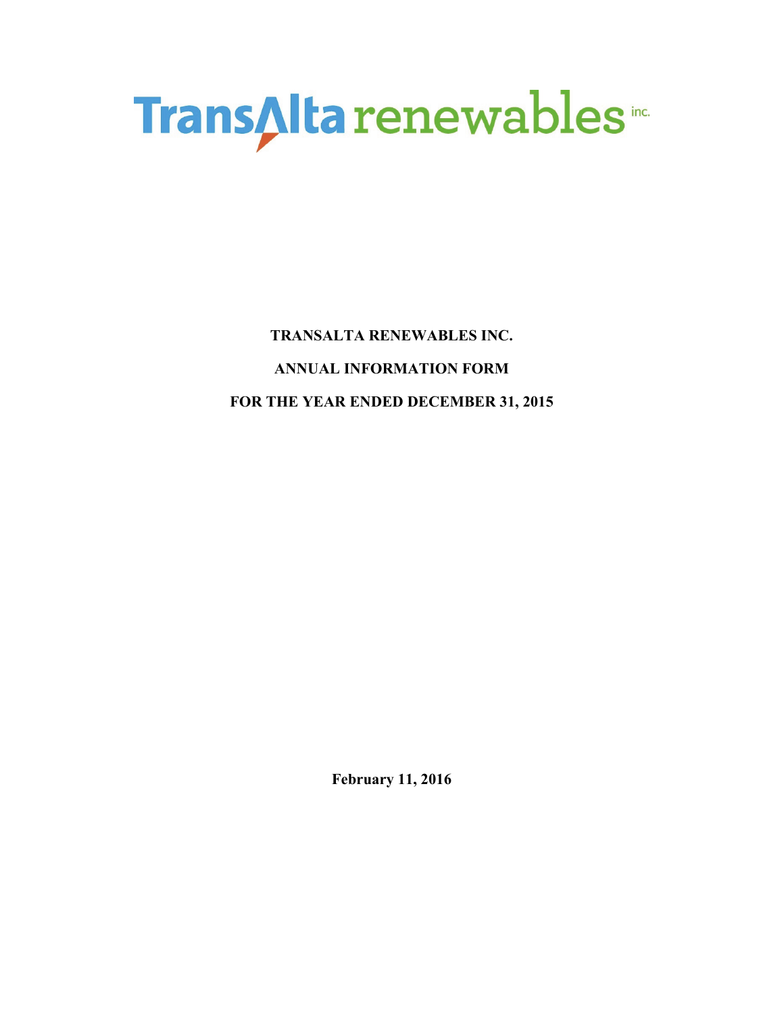

**TRANSALTA RENEWABLES INC. ANNUAL INFORMATION FORM FOR THE YEAR ENDED DECEMBER 31, 2015** 

**February 11, 2016**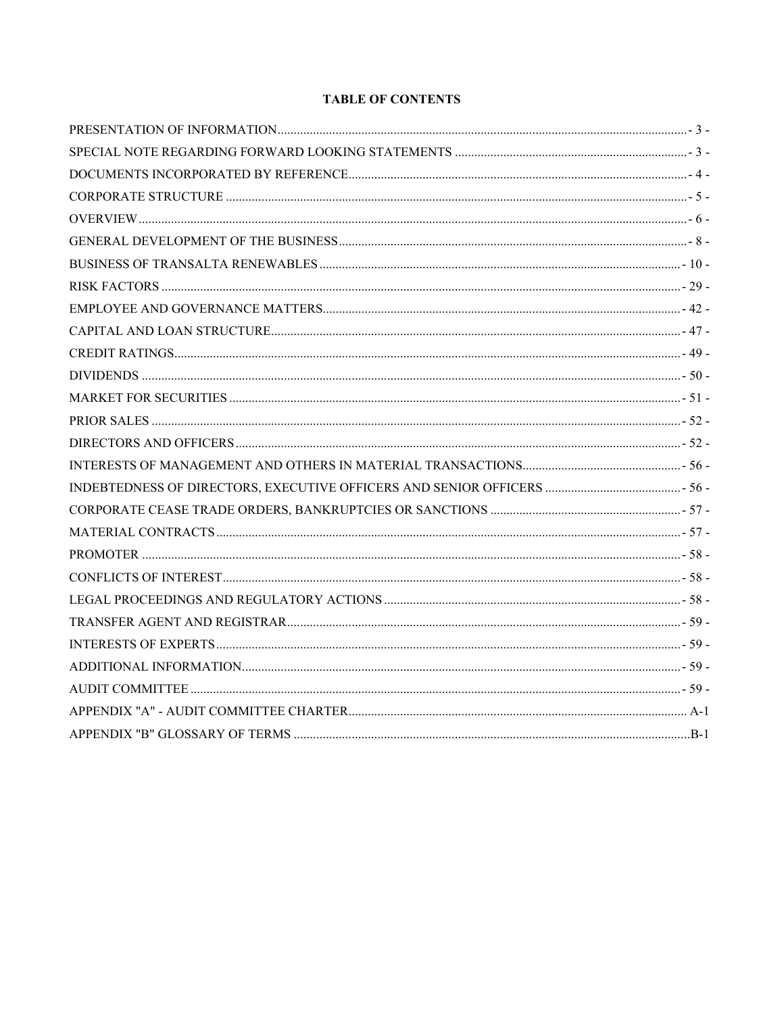# **TABLE OF CONTENTS**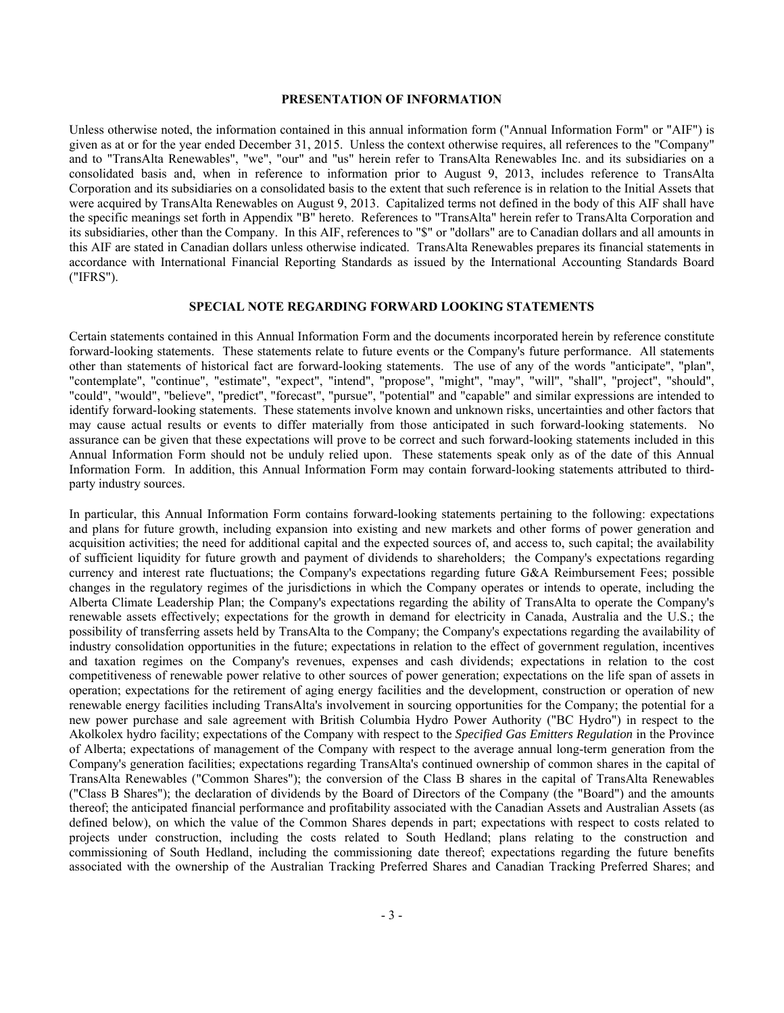## **PRESENTATION OF INFORMATION**

Unless otherwise noted, the information contained in this annual information form ("Annual Information Form" or "AIF") is given as at or for the year ended December 31, 2015. Unless the context otherwise requires, all references to the "Company" and to "TransAlta Renewables", "we", "our" and "us" herein refer to TransAlta Renewables Inc. and its subsidiaries on a consolidated basis and, when in reference to information prior to August 9, 2013, includes reference to TransAlta Corporation and its subsidiaries on a consolidated basis to the extent that such reference is in relation to the Initial Assets that were acquired by TransAlta Renewables on August 9, 2013. Capitalized terms not defined in the body of this AIF shall have the specific meanings set forth in Appendix "B" hereto. References to "TransAlta" herein refer to TransAlta Corporation and its subsidiaries, other than the Company. In this AIF, references to "\$" or "dollars" are to Canadian dollars and all amounts in this AIF are stated in Canadian dollars unless otherwise indicated. TransAlta Renewables prepares its financial statements in accordance with International Financial Reporting Standards as issued by the International Accounting Standards Board ("IFRS").

#### **SPECIAL NOTE REGARDING FORWARD LOOKING STATEMENTS**

Certain statements contained in this Annual Information Form and the documents incorporated herein by reference constitute forward-looking statements. These statements relate to future events or the Company's future performance. All statements other than statements of historical fact are forward-looking statements. The use of any of the words "anticipate", "plan", "contemplate", "continue", "estimate", "expect", "intend", "propose", "might", "may", "will", "shall", "project", "should", "could", "would", "believe", "predict", "forecast", "pursue", "potential" and "capable" and similar expressions are intended to identify forward-looking statements. These statements involve known and unknown risks, uncertainties and other factors that may cause actual results or events to differ materially from those anticipated in such forward-looking statements. No assurance can be given that these expectations will prove to be correct and such forward-looking statements included in this Annual Information Form should not be unduly relied upon. These statements speak only as of the date of this Annual Information Form. In addition, this Annual Information Form may contain forward-looking statements attributed to thirdparty industry sources.

In particular, this Annual Information Form contains forward-looking statements pertaining to the following: expectations and plans for future growth, including expansion into existing and new markets and other forms of power generation and acquisition activities; the need for additional capital and the expected sources of, and access to, such capital; the availability of sufficient liquidity for future growth and payment of dividends to shareholders; the Company's expectations regarding currency and interest rate fluctuations; the Company's expectations regarding future G&A Reimbursement Fees; possible changes in the regulatory regimes of the jurisdictions in which the Company operates or intends to operate, including the Alberta Climate Leadership Plan; the Company's expectations regarding the ability of TransAlta to operate the Company's renewable assets effectively; expectations for the growth in demand for electricity in Canada, Australia and the U.S.; the possibility of transferring assets held by TransAlta to the Company; the Company's expectations regarding the availability of industry consolidation opportunities in the future; expectations in relation to the effect of government regulation, incentives and taxation regimes on the Company's revenues, expenses and cash dividends; expectations in relation to the cost competitiveness of renewable power relative to other sources of power generation; expectations on the life span of assets in operation; expectations for the retirement of aging energy facilities and the development, construction or operation of new renewable energy facilities including TransAlta's involvement in sourcing opportunities for the Company; the potential for a new power purchase and sale agreement with British Columbia Hydro Power Authority ("BC Hydro") in respect to the Akolkolex hydro facility; expectations of the Company with respect to the *Specified Gas Emitters Regulation* in the Province of Alberta; expectations of management of the Company with respect to the average annual long-term generation from the Company's generation facilities; expectations regarding TransAlta's continued ownership of common shares in the capital of TransAlta Renewables ("Common Shares"); the conversion of the Class B shares in the capital of TransAlta Renewables ("Class B Shares"); the declaration of dividends by the Board of Directors of the Company (the "Board") and the amounts thereof; the anticipated financial performance and profitability associated with the Canadian Assets and Australian Assets (as defined below), on which the value of the Common Shares depends in part; expectations with respect to costs related to projects under construction, including the costs related to South Hedland; plans relating to the construction and commissioning of South Hedland, including the commissioning date thereof; expectations regarding the future benefits associated with the ownership of the Australian Tracking Preferred Shares and Canadian Tracking Preferred Shares; and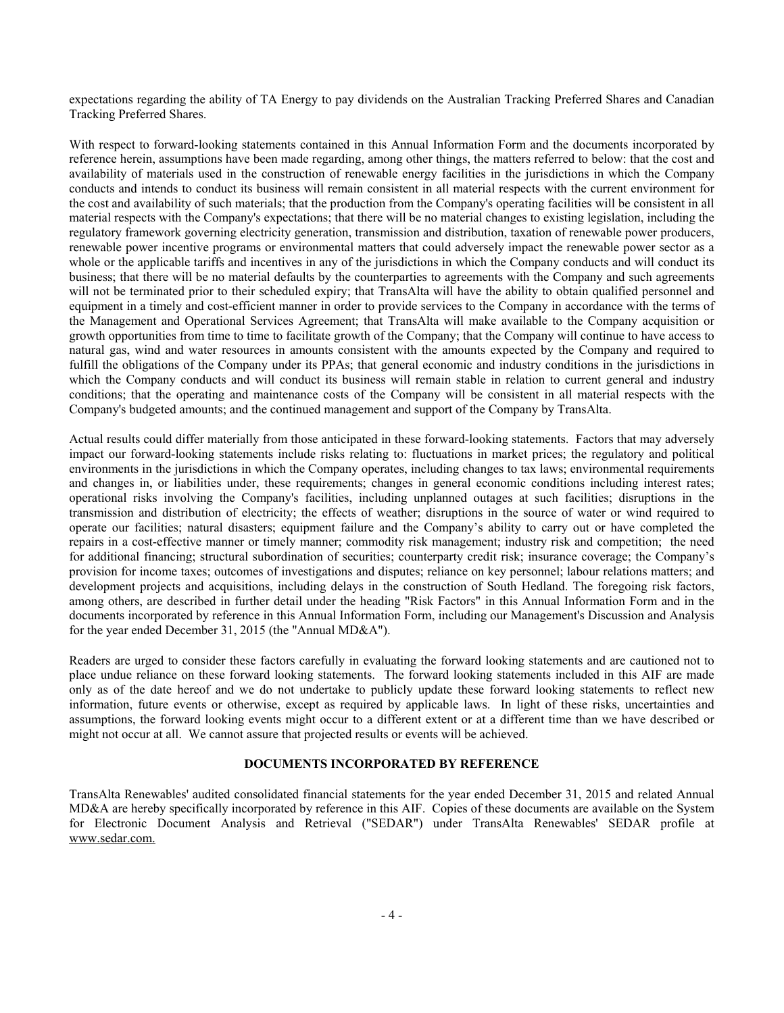expectations regarding the ability of TA Energy to pay dividends on the Australian Tracking Preferred Shares and Canadian Tracking Preferred Shares.

With respect to forward-looking statements contained in this Annual Information Form and the documents incorporated by reference herein, assumptions have been made regarding, among other things, the matters referred to below: that the cost and availability of materials used in the construction of renewable energy facilities in the jurisdictions in which the Company conducts and intends to conduct its business will remain consistent in all material respects with the current environment for the cost and availability of such materials; that the production from the Company's operating facilities will be consistent in all material respects with the Company's expectations; that there will be no material changes to existing legislation, including the regulatory framework governing electricity generation, transmission and distribution, taxation of renewable power producers, renewable power incentive programs or environmental matters that could adversely impact the renewable power sector as a whole or the applicable tariffs and incentives in any of the jurisdictions in which the Company conducts and will conduct its business; that there will be no material defaults by the counterparties to agreements with the Company and such agreements will not be terminated prior to their scheduled expiry; that TransAlta will have the ability to obtain qualified personnel and equipment in a timely and cost-efficient manner in order to provide services to the Company in accordance with the terms of the Management and Operational Services Agreement; that TransAlta will make available to the Company acquisition or growth opportunities from time to time to facilitate growth of the Company; that the Company will continue to have access to natural gas, wind and water resources in amounts consistent with the amounts expected by the Company and required to fulfill the obligations of the Company under its PPAs; that general economic and industry conditions in the jurisdictions in which the Company conducts and will conduct its business will remain stable in relation to current general and industry conditions; that the operating and maintenance costs of the Company will be consistent in all material respects with the Company's budgeted amounts; and the continued management and support of the Company by TransAlta.

Actual results could differ materially from those anticipated in these forward-looking statements. Factors that may adversely impact our forward-looking statements include risks relating to: fluctuations in market prices; the regulatory and political environments in the jurisdictions in which the Company operates, including changes to tax laws; environmental requirements and changes in, or liabilities under, these requirements; changes in general economic conditions including interest rates; operational risks involving the Company's facilities, including unplanned outages at such facilities; disruptions in the transmission and distribution of electricity; the effects of weather; disruptions in the source of water or wind required to operate our facilities; natural disasters; equipment failure and the Company's ability to carry out or have completed the repairs in a cost-effective manner or timely manner; commodity risk management; industry risk and competition; the need for additional financing; structural subordination of securities; counterparty credit risk; insurance coverage; the Company's provision for income taxes; outcomes of investigations and disputes; reliance on key personnel; labour relations matters; and development projects and acquisitions, including delays in the construction of South Hedland. The foregoing risk factors, among others, are described in further detail under the heading "Risk Factors" in this Annual Information Form and in the documents incorporated by reference in this Annual Information Form, including our Management's Discussion and Analysis for the year ended December 31, 2015 (the "Annual MD&A").

Readers are urged to consider these factors carefully in evaluating the forward looking statements and are cautioned not to place undue reliance on these forward looking statements. The forward looking statements included in this AIF are made only as of the date hereof and we do not undertake to publicly update these forward looking statements to reflect new information, future events or otherwise, except as required by applicable laws. In light of these risks, uncertainties and assumptions, the forward looking events might occur to a different extent or at a different time than we have described or might not occur at all. We cannot assure that projected results or events will be achieved.

# **DOCUMENTS INCORPORATED BY REFERENCE**

TransAlta Renewables' audited consolidated financial statements for the year ended December 31, 2015 and related Annual MD&A are hereby specifically incorporated by reference in this AIF. Copies of these documents are available on the System for Electronic Document Analysis and Retrieval ("SEDAR") under TransAlta Renewables' SEDAR profile at www.sedar.com.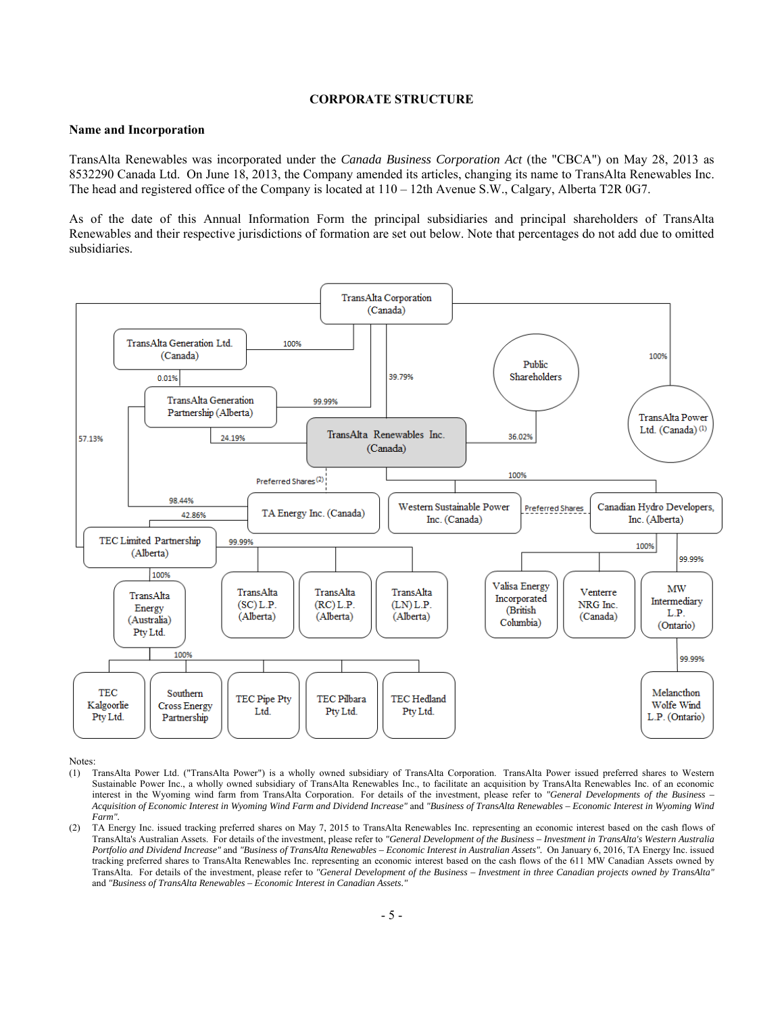## **CORPORATE STRUCTURE**

#### **Name and Incorporation**

TransAlta Renewables was incorporated under the *Canada Business Corporation Act* (the "CBCA") on May 28, 2013 as 8532290 Canada Ltd. On June 18, 2013, the Company amended its articles, changing its name to TransAlta Renewables Inc. The head and registered office of the Company is located at 110 – 12th Avenue S.W., Calgary, Alberta T2R 0G7.

As of the date of this Annual Information Form the principal subsidiaries and principal shareholders of TransAlta Renewables and their respective jurisdictions of formation are set out below. Note that percentages do not add due to omitted subsidiaries.



Notes:

- (1) TransAlta Power Ltd. ("TransAlta Power") is a wholly owned subsidiary of TransAlta Corporation. TransAlta Power issued preferred shares to Western Sustainable Power Inc., a wholly owned subsidiary of TransAlta Renewables Inc., to facilitate an acquisition by TransAlta Renewables Inc. of an economic interest in the Wyoming wind farm from TransAlta Corporation. For details of the investment, please refer to *"General Developments of the Business – Acquisition of Economic Interest in Wyoming Wind Farm and Dividend Increase"* and *"Business of TransAlta Renewables – Economic Interest in Wyoming Wind Farm".*
- (2) TA Energy Inc. issued tracking preferred shares on May 7, 2015 to TransAlta Renewables Inc. representing an economic interest based on the cash flows of TransAlta's Australian Assets. For details of the investment, please refer to *"General Development of the Business – Investment in TransAlta's Western Australia Portfolio and Dividend Increase"* and *"Business of TransAlta Renewables – Economic Interest in Australian Assets".* On January 6, 2016, TA Energy Inc. issued tracking preferred shares to TransAlta Renewables Inc. representing an economic interest based on the cash flows of the 611 MW Canadian Assets owned by TransAlta. For details of the investment, please refer to *"General Development of the Business – Investment in three Canadian projects owned by TransAlta"*  and *"Business of TransAlta Renewables – Economic Interest in Canadian Assets."*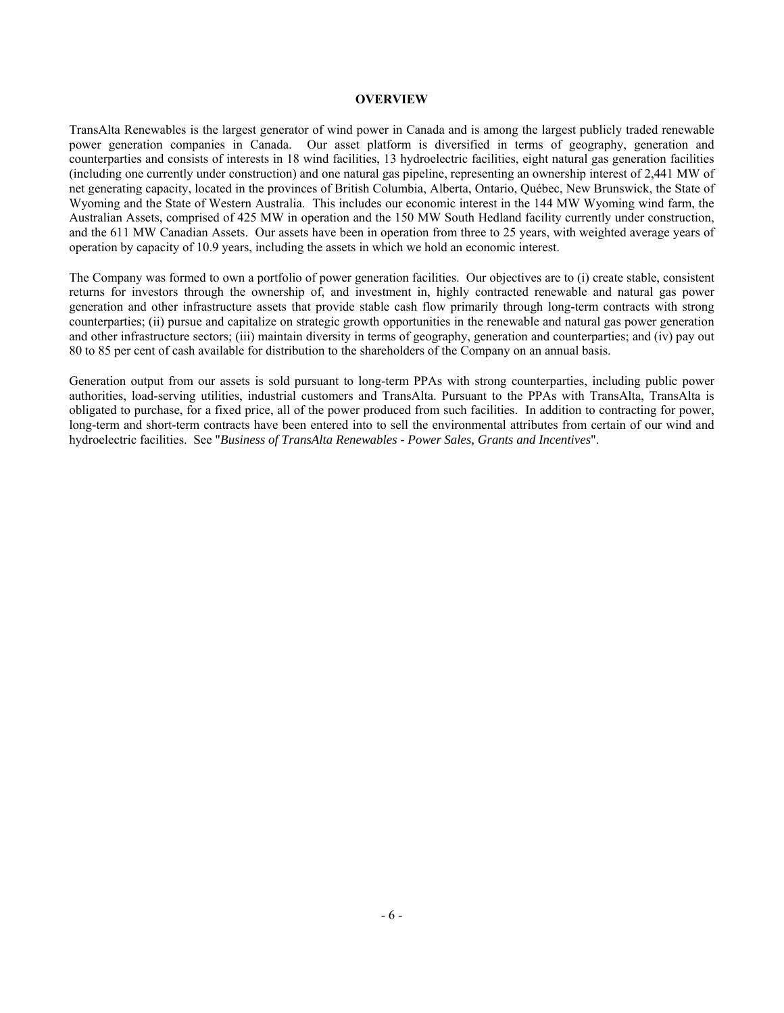#### **OVERVIEW**

TransAlta Renewables is the largest generator of wind power in Canada and is among the largest publicly traded renewable power generation companies in Canada. Our asset platform is diversified in terms of geography, generation and counterparties and consists of interests in 18 wind facilities, 13 hydroelectric facilities, eight natural gas generation facilities (including one currently under construction) and one natural gas pipeline, representing an ownership interest of 2,441 MW of net generating capacity, located in the provinces of British Columbia, Alberta, Ontario, Québec, New Brunswick, the State of Wyoming and the State of Western Australia. This includes our economic interest in the 144 MW Wyoming wind farm, the Australian Assets, comprised of 425 MW in operation and the 150 MW South Hedland facility currently under construction, and the 611 MW Canadian Assets. Our assets have been in operation from three to 25 years, with weighted average years of operation by capacity of 10.9 years, including the assets in which we hold an economic interest.

The Company was formed to own a portfolio of power generation facilities. Our objectives are to (i) create stable, consistent returns for investors through the ownership of, and investment in, highly contracted renewable and natural gas power generation and other infrastructure assets that provide stable cash flow primarily through long-term contracts with strong counterparties; (ii) pursue and capitalize on strategic growth opportunities in the renewable and natural gas power generation and other infrastructure sectors; (iii) maintain diversity in terms of geography, generation and counterparties; and (iv) pay out 80 to 85 per cent of cash available for distribution to the shareholders of the Company on an annual basis.

Generation output from our assets is sold pursuant to long-term PPAs with strong counterparties, including public power authorities, load-serving utilities, industrial customers and TransAlta. Pursuant to the PPAs with TransAlta, TransAlta is obligated to purchase, for a fixed price, all of the power produced from such facilities. In addition to contracting for power, long-term and short-term contracts have been entered into to sell the environmental attributes from certain of our wind and hydroelectric facilities. See "*Business of TransAlta Renewables - Power Sales, Grants and Incentives*".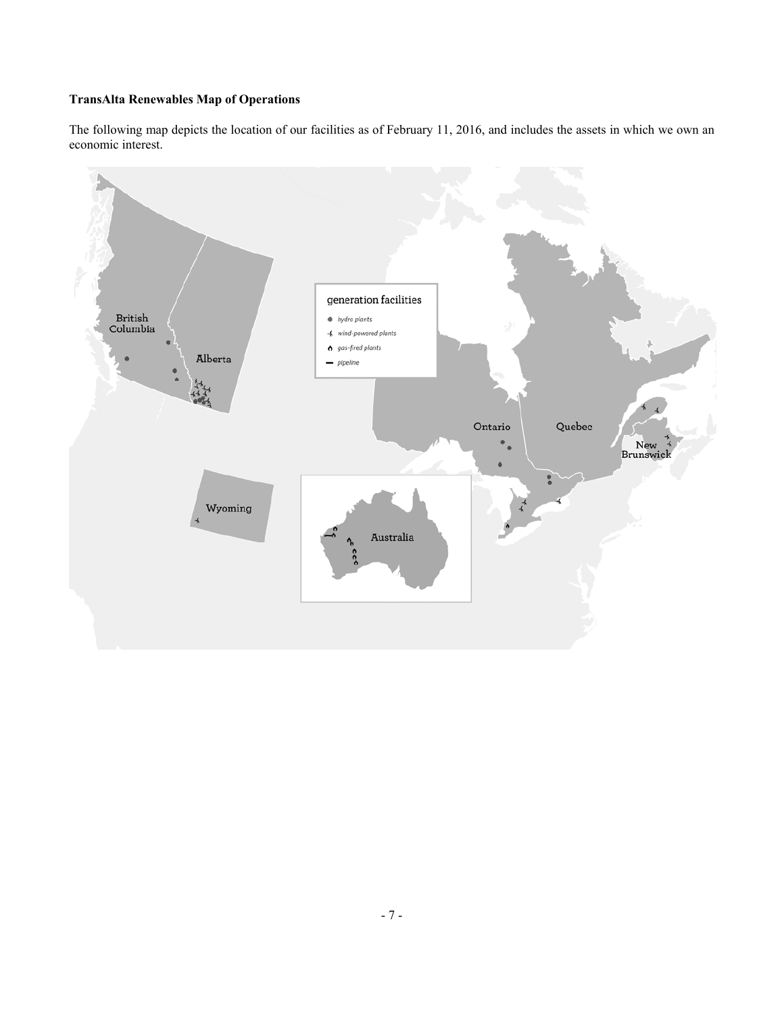# **TransAlta Renewables Map of Operations**

The following map depicts the location of our facilities as of February 11, 2016, and includes the assets in which we own an economic interest.

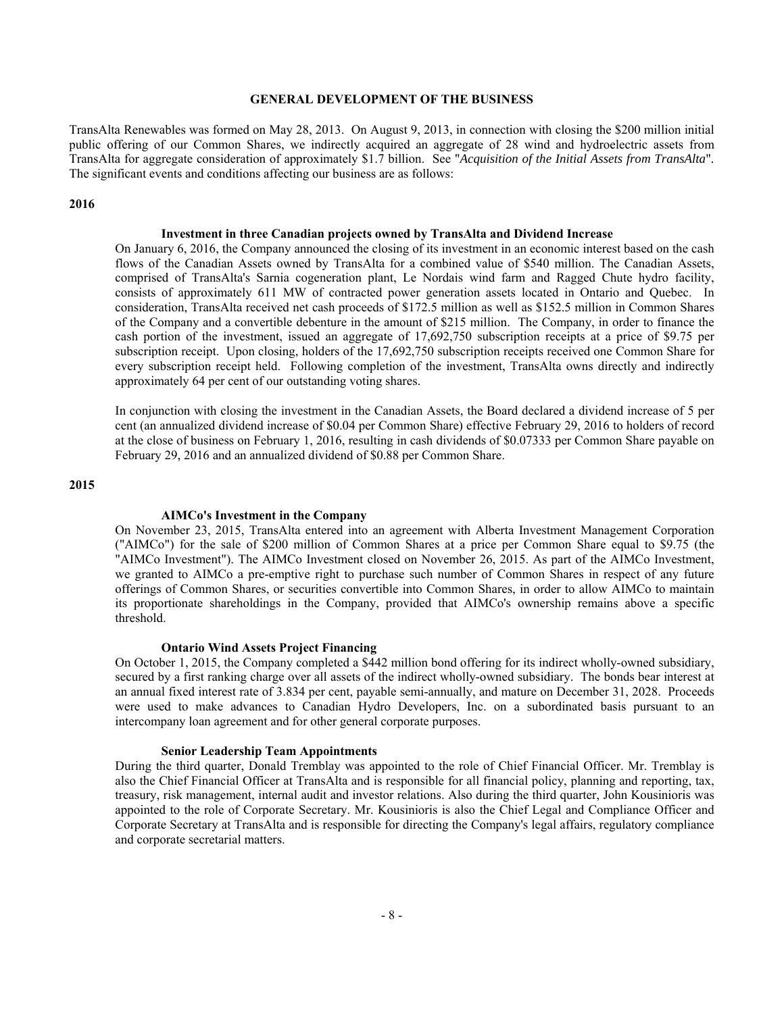#### **GENERAL DEVELOPMENT OF THE BUSINESS**

TransAlta Renewables was formed on May 28, 2013. On August 9, 2013, in connection with closing the \$200 million initial public offering of our Common Shares, we indirectly acquired an aggregate of 28 wind and hydroelectric assets from TransAlta for aggregate consideration of approximately \$1.7 billion. See "*Acquisition of the Initial Assets from TransAlta*"*.* The significant events and conditions affecting our business are as follows:

#### **2016**

# **Investment in three Canadian projects owned by TransAlta and Dividend Increase**

On January 6, 2016, the Company announced the closing of its investment in an economic interest based on the cash flows of the Canadian Assets owned by TransAlta for a combined value of \$540 million. The Canadian Assets, comprised of TransAlta's Sarnia cogeneration plant, Le Nordais wind farm and Ragged Chute hydro facility, consists of approximately 611 MW of contracted power generation assets located in Ontario and Quebec. In consideration, TransAlta received net cash proceeds of \$172.5 million as well as \$152.5 million in Common Shares of the Company and a convertible debenture in the amount of \$215 million. The Company, in order to finance the cash portion of the investment, issued an aggregate of 17,692,750 subscription receipts at a price of \$9.75 per subscription receipt. Upon closing, holders of the 17,692,750 subscription receipts received one Common Share for every subscription receipt held. Following completion of the investment, TransAlta owns directly and indirectly approximately 64 per cent of our outstanding voting shares.

In conjunction with closing the investment in the Canadian Assets, the Board declared a dividend increase of 5 per cent (an annualized dividend increase of \$0.04 per Common Share) effective February 29, 2016 to holders of record at the close of business on February 1, 2016, resulting in cash dividends of \$0.07333 per Common Share payable on February 29, 2016 and an annualized dividend of \$0.88 per Common Share.

## **2015**

#### **AIMCo's Investment in the Company**

On November 23, 2015, TransAlta entered into an agreement with Alberta Investment Management Corporation ("AIMCo") for the sale of \$200 million of Common Shares at a price per Common Share equal to \$9.75 (the "AIMCo Investment"). The AIMCo Investment closed on November 26, 2015. As part of the AIMCo Investment, we granted to AIMCo a pre-emptive right to purchase such number of Common Shares in respect of any future offerings of Common Shares, or securities convertible into Common Shares, in order to allow AIMCo to maintain its proportionate shareholdings in the Company, provided that AIMCo's ownership remains above a specific threshold.

#### **Ontario Wind Assets Project Financing**

On October 1, 2015, the Company completed a \$442 million bond offering for its indirect wholly-owned subsidiary, secured by a first ranking charge over all assets of the indirect wholly-owned subsidiary. The bonds bear interest at an annual fixed interest rate of 3.834 per cent, payable semi-annually, and mature on December 31, 2028. Proceeds were used to make advances to Canadian Hydro Developers, Inc. on a subordinated basis pursuant to an intercompany loan agreement and for other general corporate purposes.

#### **Senior Leadership Team Appointments**

During the third quarter, Donald Tremblay was appointed to the role of Chief Financial Officer. Mr. Tremblay is also the Chief Financial Officer at TransAlta and is responsible for all financial policy, planning and reporting, tax, treasury, risk management, internal audit and investor relations. Also during the third quarter, John Kousinioris was appointed to the role of Corporate Secretary. Mr. Kousinioris is also the Chief Legal and Compliance Officer and Corporate Secretary at TransAlta and is responsible for directing the Company's legal affairs, regulatory compliance and corporate secretarial matters.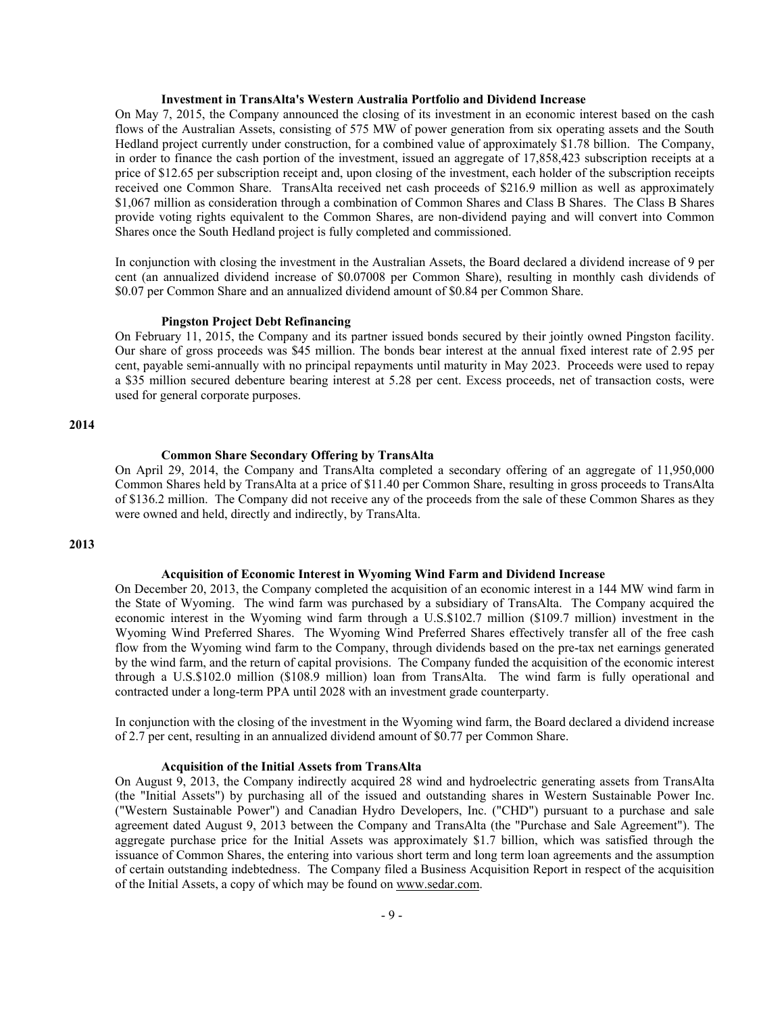#### **Investment in TransAlta's Western Australia Portfolio and Dividend Increase**

On May 7, 2015, the Company announced the closing of its investment in an economic interest based on the cash flows of the Australian Assets, consisting of 575 MW of power generation from six operating assets and the South Hedland project currently under construction, for a combined value of approximately \$1.78 billion. The Company, in order to finance the cash portion of the investment, issued an aggregate of 17,858,423 subscription receipts at a price of \$12.65 per subscription receipt and, upon closing of the investment, each holder of the subscription receipts received one Common Share. TransAlta received net cash proceeds of \$216.9 million as well as approximately \$1,067 million as consideration through a combination of Common Shares and Class B Shares. The Class B Shares provide voting rights equivalent to the Common Shares, are non-dividend paying and will convert into Common Shares once the South Hedland project is fully completed and commissioned.

In conjunction with closing the investment in the Australian Assets, the Board declared a dividend increase of 9 per cent (an annualized dividend increase of \$0.07008 per Common Share), resulting in monthly cash dividends of \$0.07 per Common Share and an annualized dividend amount of \$0.84 per Common Share.

#### **Pingston Project Debt Refinancing**

On February 11, 2015, the Company and its partner issued bonds secured by their jointly owned Pingston facility. Our share of gross proceeds was \$45 million. The bonds bear interest at the annual fixed interest rate of 2.95 per cent, payable semi-annually with no principal repayments until maturity in May 2023. Proceeds were used to repay a \$35 million secured debenture bearing interest at 5.28 per cent. Excess proceeds, net of transaction costs, were used for general corporate purposes.

## **2014**

#### **Common Share Secondary Offering by TransAlta**

On April 29, 2014, the Company and TransAlta completed a secondary offering of an aggregate of 11,950,000 Common Shares held by TransAlta at a price of \$11.40 per Common Share, resulting in gross proceeds to TransAlta of \$136.2 million. The Company did not receive any of the proceeds from the sale of these Common Shares as they were owned and held, directly and indirectly, by TransAlta.

## **2013**

#### **Acquisition of Economic Interest in Wyoming Wind Farm and Dividend Increase**

On December 20, 2013, the Company completed the acquisition of an economic interest in a 144 MW wind farm in the State of Wyoming. The wind farm was purchased by a subsidiary of TransAlta. The Company acquired the economic interest in the Wyoming wind farm through a U.S.\$102.7 million (\$109.7 million) investment in the Wyoming Wind Preferred Shares. The Wyoming Wind Preferred Shares effectively transfer all of the free cash flow from the Wyoming wind farm to the Company, through dividends based on the pre-tax net earnings generated by the wind farm, and the return of capital provisions. The Company funded the acquisition of the economic interest through a U.S.\$102.0 million (\$108.9 million) loan from TransAlta. The wind farm is fully operational and contracted under a long-term PPA until 2028 with an investment grade counterparty.

In conjunction with the closing of the investment in the Wyoming wind farm, the Board declared a dividend increase of 2.7 per cent, resulting in an annualized dividend amount of \$0.77 per Common Share.

## **Acquisition of the Initial Assets from TransAlta**

On August 9, 2013, the Company indirectly acquired 28 wind and hydroelectric generating assets from TransAlta (the "Initial Assets") by purchasing all of the issued and outstanding shares in Western Sustainable Power Inc. ("Western Sustainable Power") and Canadian Hydro Developers, Inc. ("CHD") pursuant to a purchase and sale agreement dated August 9, 2013 between the Company and TransAlta (the "Purchase and Sale Agreement"). The aggregate purchase price for the Initial Assets was approximately \$1.7 billion, which was satisfied through the issuance of Common Shares, the entering into various short term and long term loan agreements and the assumption of certain outstanding indebtedness. The Company filed a Business Acquisition Report in respect of the acquisition of the Initial Assets, a copy of which may be found on www.sedar.com.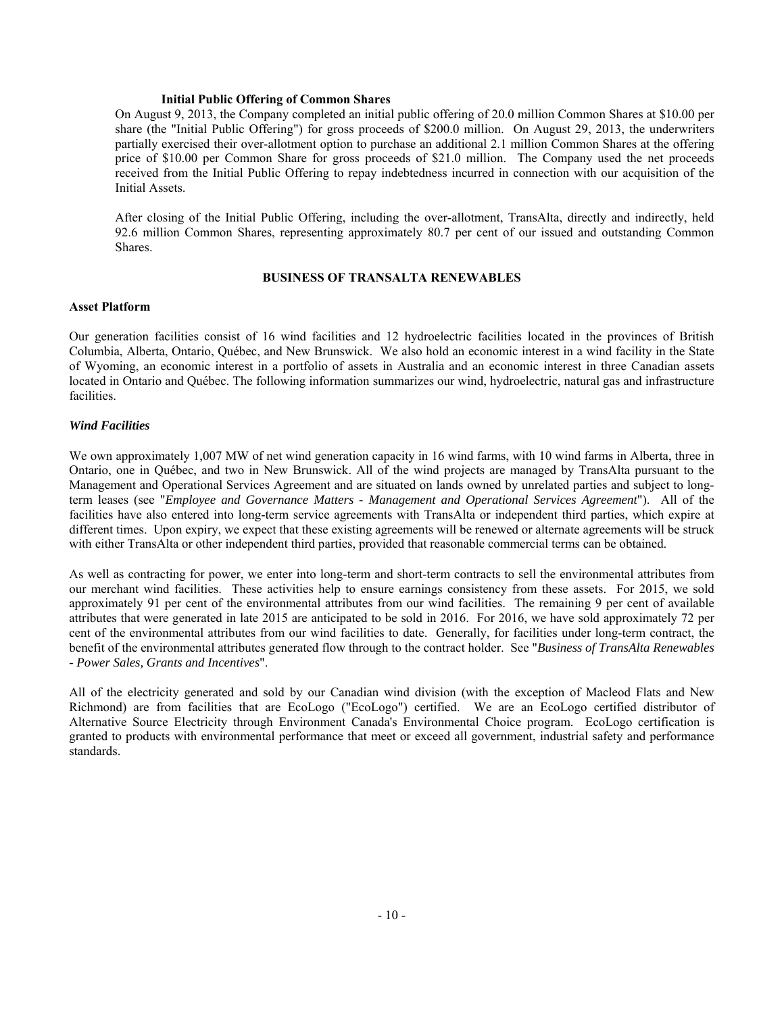#### **Initial Public Offering of Common Shares**

On August 9, 2013, the Company completed an initial public offering of 20.0 million Common Shares at \$10.00 per share (the "Initial Public Offering") for gross proceeds of \$200.0 million. On August 29, 2013, the underwriters partially exercised their over-allotment option to purchase an additional 2.1 million Common Shares at the offering price of \$10.00 per Common Share for gross proceeds of \$21.0 million. The Company used the net proceeds received from the Initial Public Offering to repay indebtedness incurred in connection with our acquisition of the Initial Assets.

After closing of the Initial Public Offering, including the over-allotment, TransAlta, directly and indirectly, held 92.6 million Common Shares, representing approximately 80.7 per cent of our issued and outstanding Common Shares.

# **BUSINESS OF TRANSALTA RENEWABLES**

## **Asset Platform**

Our generation facilities consist of 16 wind facilities and 12 hydroelectric facilities located in the provinces of British Columbia, Alberta, Ontario, Québec, and New Brunswick. We also hold an economic interest in a wind facility in the State of Wyoming, an economic interest in a portfolio of assets in Australia and an economic interest in three Canadian assets located in Ontario and Québec. The following information summarizes our wind, hydroelectric, natural gas and infrastructure facilities.

# *Wind Facilities*

We own approximately 1,007 MW of net wind generation capacity in 16 wind farms, with 10 wind farms in Alberta, three in Ontario, one in Québec, and two in New Brunswick. All of the wind projects are managed by TransAlta pursuant to the Management and Operational Services Agreement and are situated on lands owned by unrelated parties and subject to longterm leases (see "*Employee and Governance Matters - Management and Operational Services Agreement*"). All of the facilities have also entered into long-term service agreements with TransAlta or independent third parties, which expire at different times. Upon expiry, we expect that these existing agreements will be renewed or alternate agreements will be struck with either TransAlta or other independent third parties, provided that reasonable commercial terms can be obtained.

As well as contracting for power, we enter into long-term and short-term contracts to sell the environmental attributes from our merchant wind facilities. These activities help to ensure earnings consistency from these assets. For 2015, we sold approximately 91 per cent of the environmental attributes from our wind facilities. The remaining 9 per cent of available attributes that were generated in late 2015 are anticipated to be sold in 2016. For 2016, we have sold approximately 72 per cent of the environmental attributes from our wind facilities to date. Generally, for facilities under long-term contract, the benefit of the environmental attributes generated flow through to the contract holder. See "*Business of TransAlta Renewables - Power Sales, Grants and Incentives*".

All of the electricity generated and sold by our Canadian wind division (with the exception of Macleod Flats and New Richmond) are from facilities that are EcoLogo ("EcoLogo") certified. We are an EcoLogo certified distributor of Alternative Source Electricity through Environment Canada's Environmental Choice program. EcoLogo certification is granted to products with environmental performance that meet or exceed all government, industrial safety and performance standards.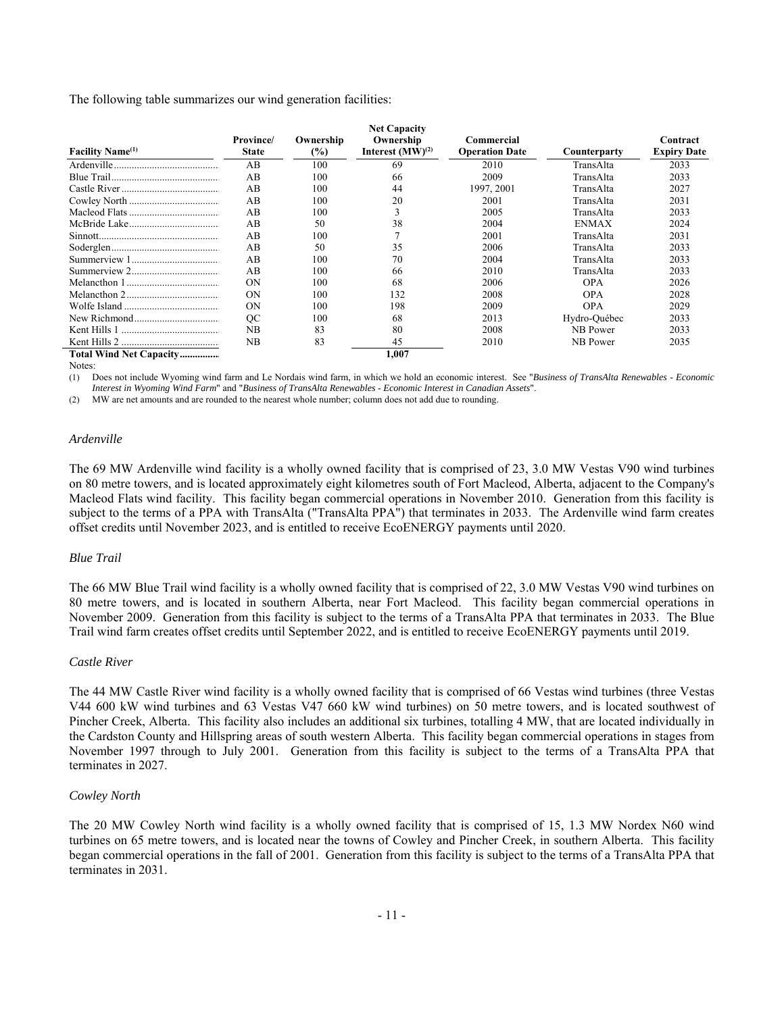The following table summarizes our wind generation facilities:

|                              |                 |           | <b>Net Capacity</b>   |                       |              |                    |
|------------------------------|-----------------|-----------|-----------------------|-----------------------|--------------|--------------------|
|                              | <b>Province</b> | Ownership | Ownership             | Commercial            |              | Contract           |
| Facility Name <sup>(1)</sup> | <b>State</b>    | $(\%)$    | Interest $(MW)^{(2)}$ | <b>Operation Date</b> | Counterparty | <b>Expiry Date</b> |
|                              | AB              | 100       | 69                    | 2010                  | TransAlta    | 2033               |
|                              | AB              | 100       | 66                    | 2009                  | TransAlta    | 2033               |
|                              | AB              | 100       | 44                    | 1997, 2001            | TransAlta    | 2027               |
|                              | AB              | 100       | 20                    | 2001                  | TransAlta    | 2031               |
|                              | AB              | 100       |                       | 2005                  | TransAlta    | 2033               |
|                              | AB              | 50        | 38                    | 2004                  | <b>ENMAX</b> | 2024               |
|                              | AB              | 100       |                       | 2001                  | TransAlta    | 2031               |
|                              | AB              | 50        | 35                    | 2006                  | TransAlta    | 2033               |
|                              | AB              | 100       | 70                    | 2004                  | TransAlta    | 2033               |
|                              | AB              | 100       | 66                    | 2010                  | TransAlta    | 2033               |
|                              | ON              | 100       | 68                    | 2006                  | <b>OPA</b>   | 2026               |
|                              | ON              | 100       | 132                   | 2008                  | <b>OPA</b>   | 2028               |
|                              | ON              | 100       | 198                   | 2009                  | <b>OPA</b>   | 2029               |
|                              | OC              | 100       | 68                    | 2013                  | Hydro-Québec | 2033               |
|                              | NB              | 83        | 80                    | 2008                  | NB Power     | 2033               |
|                              | NB              | 83        | 45                    | 2010                  | NB Power     | 2035               |
| Total Wind Net Capacity      |                 |           | 1,007                 |                       |              |                    |

Notes:

(1) Does not include Wyoming wind farm and Le Nordais wind farm, in which we hold an economic interest. See "*Business of TransAlta Renewables* - *Economic Interest in Wyoming Wind Farm*" and "*Business of TransAlta Renewables* - *Economic Interest in Canadian Assets*".

(2) MW are net amounts and are rounded to the nearest whole number; column does not add due to rounding.

## *Ardenville*

The 69 MW Ardenville wind facility is a wholly owned facility that is comprised of 23, 3.0 MW Vestas V90 wind turbines on 80 metre towers, and is located approximately eight kilometres south of Fort Macleod, Alberta, adjacent to the Company's Macleod Flats wind facility. This facility began commercial operations in November 2010. Generation from this facility is subject to the terms of a PPA with TransAlta ("TransAlta PPA") that terminates in 2033. The Ardenville wind farm creates offset credits until November 2023, and is entitled to receive EcoENERGY payments until 2020.

## *Blue Trail*

The 66 MW Blue Trail wind facility is a wholly owned facility that is comprised of 22, 3.0 MW Vestas V90 wind turbines on 80 metre towers, and is located in southern Alberta, near Fort Macleod. This facility began commercial operations in November 2009. Generation from this facility is subject to the terms of a TransAlta PPA that terminates in 2033. The Blue Trail wind farm creates offset credits until September 2022, and is entitled to receive EcoENERGY payments until 2019.

## *Castle River*

The 44 MW Castle River wind facility is a wholly owned facility that is comprised of 66 Vestas wind turbines (three Vestas V44 600 kW wind turbines and 63 Vestas V47 660 kW wind turbines) on 50 metre towers, and is located southwest of Pincher Creek, Alberta. This facility also includes an additional six turbines, totalling 4 MW, that are located individually in the Cardston County and Hillspring areas of south western Alberta. This facility began commercial operations in stages from November 1997 through to July 2001. Generation from this facility is subject to the terms of a TransAlta PPA that terminates in 2027.

## *Cowley North*

The 20 MW Cowley North wind facility is a wholly owned facility that is comprised of 15, 1.3 MW Nordex N60 wind turbines on 65 metre towers, and is located near the towns of Cowley and Pincher Creek, in southern Alberta. This facility began commercial operations in the fall of 2001. Generation from this facility is subject to the terms of a TransAlta PPA that terminates in 2031.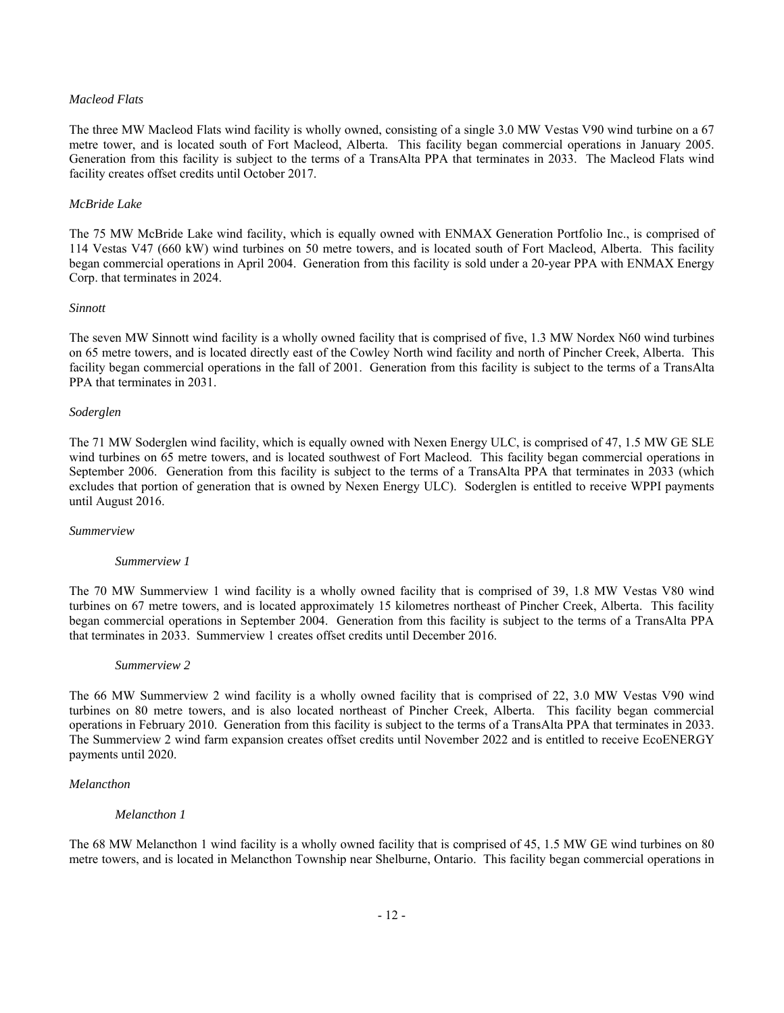# *Macleod Flats*

The three MW Macleod Flats wind facility is wholly owned, consisting of a single 3.0 MW Vestas V90 wind turbine on a 67 metre tower, and is located south of Fort Macleod, Alberta. This facility began commercial operations in January 2005. Generation from this facility is subject to the terms of a TransAlta PPA that terminates in 2033. The Macleod Flats wind facility creates offset credits until October 2017.

# *McBride Lake*

The 75 MW McBride Lake wind facility, which is equally owned with ENMAX Generation Portfolio Inc., is comprised of 114 Vestas V47 (660 kW) wind turbines on 50 metre towers, and is located south of Fort Macleod, Alberta. This facility began commercial operations in April 2004. Generation from this facility is sold under a 20-year PPA with ENMAX Energy Corp. that terminates in 2024.

## *Sinnott*

The seven MW Sinnott wind facility is a wholly owned facility that is comprised of five, 1.3 MW Nordex N60 wind turbines on 65 metre towers, and is located directly east of the Cowley North wind facility and north of Pincher Creek, Alberta. This facility began commercial operations in the fall of 2001. Generation from this facility is subject to the terms of a TransAlta PPA that terminates in 2031.

# *Soderglen*

The 71 MW Soderglen wind facility, which is equally owned with Nexen Energy ULC, is comprised of 47, 1.5 MW GE SLE wind turbines on 65 metre towers, and is located southwest of Fort Macleod. This facility began commercial operations in September 2006. Generation from this facility is subject to the terms of a TransAlta PPA that terminates in 2033 (which excludes that portion of generation that is owned by Nexen Energy ULC). Soderglen is entitled to receive WPPI payments until August 2016.

## *Summerview*

## *Summerview 1*

The 70 MW Summerview 1 wind facility is a wholly owned facility that is comprised of 39, 1.8 MW Vestas V80 wind turbines on 67 metre towers, and is located approximately 15 kilometres northeast of Pincher Creek, Alberta. This facility began commercial operations in September 2004. Generation from this facility is subject to the terms of a TransAlta PPA that terminates in 2033. Summerview 1 creates offset credits until December 2016.

## *Summerview 2*

The 66 MW Summerview 2 wind facility is a wholly owned facility that is comprised of 22, 3.0 MW Vestas V90 wind turbines on 80 metre towers, and is also located northeast of Pincher Creek, Alberta. This facility began commercial operations in February 2010. Generation from this facility is subject to the terms of a TransAlta PPA that terminates in 2033. The Summerview 2 wind farm expansion creates offset credits until November 2022 and is entitled to receive EcoENERGY payments until 2020.

## *Melancthon*

# *Melancthon 1*

The 68 MW Melancthon 1 wind facility is a wholly owned facility that is comprised of 45, 1.5 MW GE wind turbines on 80 metre towers, and is located in Melancthon Township near Shelburne, Ontario. This facility began commercial operations in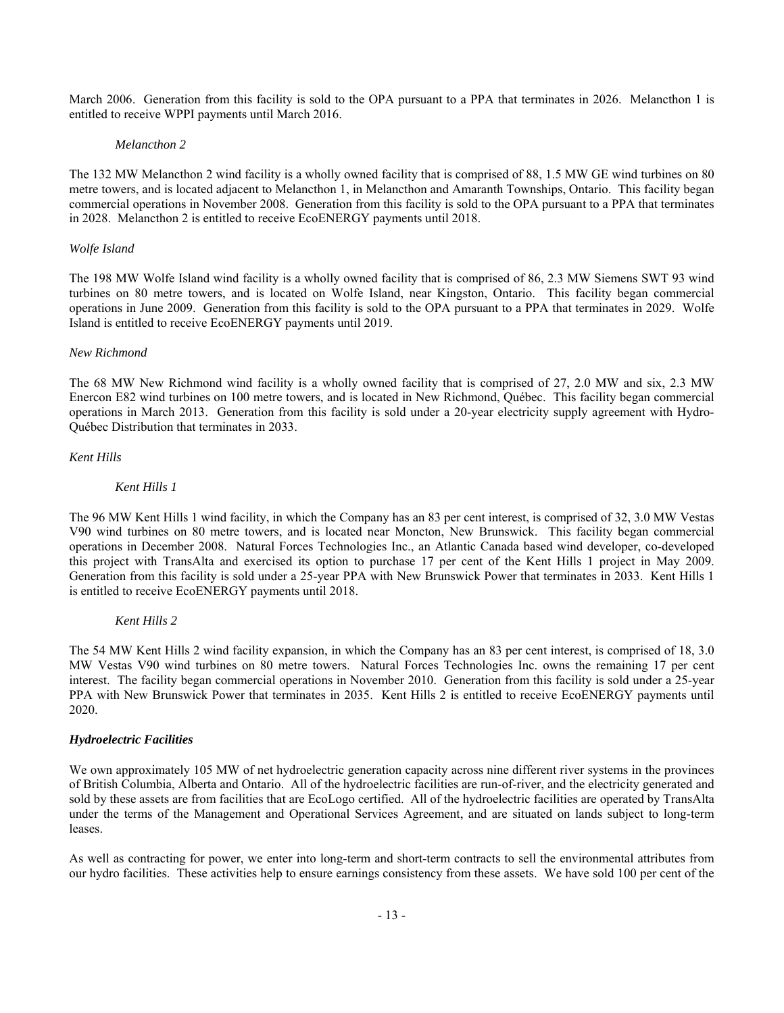March 2006. Generation from this facility is sold to the OPA pursuant to a PPA that terminates in 2026. Melancthon 1 is entitled to receive WPPI payments until March 2016.

## *Melancthon 2*

The 132 MW Melancthon 2 wind facility is a wholly owned facility that is comprised of 88, 1.5 MW GE wind turbines on 80 metre towers, and is located adjacent to Melancthon 1, in Melancthon and Amaranth Townships, Ontario. This facility began commercial operations in November 2008. Generation from this facility is sold to the OPA pursuant to a PPA that terminates in 2028. Melancthon 2 is entitled to receive EcoENERGY payments until 2018.

# *Wolfe Island*

The 198 MW Wolfe Island wind facility is a wholly owned facility that is comprised of 86, 2.3 MW Siemens SWT 93 wind turbines on 80 metre towers, and is located on Wolfe Island, near Kingston, Ontario. This facility began commercial operations in June 2009. Generation from this facility is sold to the OPA pursuant to a PPA that terminates in 2029. Wolfe Island is entitled to receive EcoENERGY payments until 2019.

# *New Richmond*

The 68 MW New Richmond wind facility is a wholly owned facility that is comprised of 27, 2.0 MW and six, 2.3 MW Enercon E82 wind turbines on 100 metre towers, and is located in New Richmond, Québec. This facility began commercial operations in March 2013. Generation from this facility is sold under a 20-year electricity supply agreement with Hydro-Québec Distribution that terminates in 2033.

# *Kent Hills*

# *Kent Hills 1*

The 96 MW Kent Hills 1 wind facility, in which the Company has an 83 per cent interest, is comprised of 32, 3.0 MW Vestas V90 wind turbines on 80 metre towers, and is located near Moncton, New Brunswick. This facility began commercial operations in December 2008. Natural Forces Technologies Inc., an Atlantic Canada based wind developer, co-developed this project with TransAlta and exercised its option to purchase 17 per cent of the Kent Hills 1 project in May 2009. Generation from this facility is sold under a 25-year PPA with New Brunswick Power that terminates in 2033. Kent Hills 1 is entitled to receive EcoENERGY payments until 2018.

## *Kent Hills 2*

The 54 MW Kent Hills 2 wind facility expansion, in which the Company has an 83 per cent interest, is comprised of 18, 3.0 MW Vestas V90 wind turbines on 80 metre towers. Natural Forces Technologies Inc. owns the remaining 17 per cent interest. The facility began commercial operations in November 2010. Generation from this facility is sold under a 25-year PPA with New Brunswick Power that terminates in 2035. Kent Hills 2 is entitled to receive EcoENERGY payments until 2020.

## *Hydroelectric Facilities*

We own approximately 105 MW of net hydroelectric generation capacity across nine different river systems in the provinces of British Columbia, Alberta and Ontario. All of the hydroelectric facilities are run-of-river, and the electricity generated and sold by these assets are from facilities that are EcoLogo certified. All of the hydroelectric facilities are operated by TransAlta under the terms of the Management and Operational Services Agreement, and are situated on lands subject to long-term leases.

As well as contracting for power, we enter into long-term and short-term contracts to sell the environmental attributes from our hydro facilities. These activities help to ensure earnings consistency from these assets. We have sold 100 per cent of the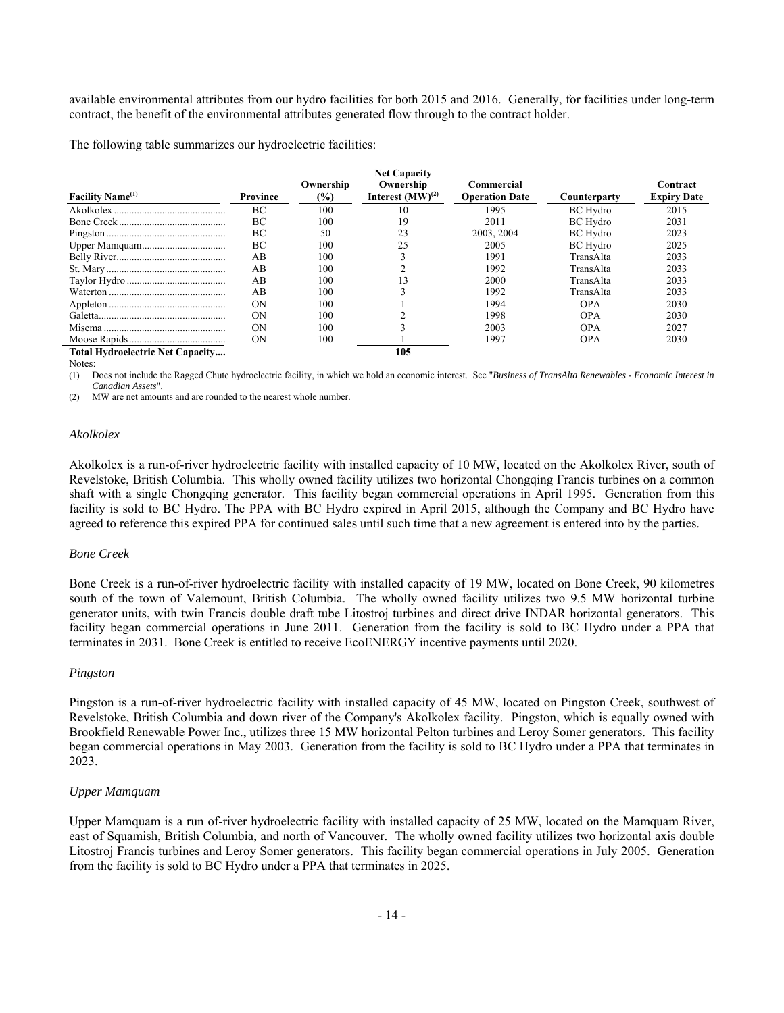available environmental attributes from our hydro facilities for both 2015 and 2016. Generally, for facilities under long-term contract, the benefit of the environmental attributes generated flow through to the contract holder.

The following table summarizes our hydroelectric facilities:

|                                         |          |                            | <b>Net Capacity</b>                |                                     |                 |                                |
|-----------------------------------------|----------|----------------------------|------------------------------------|-------------------------------------|-----------------|--------------------------------|
| Facility Name <sup>(1)</sup>            | Province | Ownership<br>$\frac{6}{2}$ | Ownership<br>Interest $(MW)^{(2)}$ | Commercial<br><b>Operation Date</b> | Counterparty    | Contract<br><b>Expiry Date</b> |
|                                         | ВC       | 100                        |                                    | 1995                                | <b>BC</b> Hydro | 2015                           |
|                                         | ВC       | 100                        | 19                                 | 2011                                | <b>BC</b> Hydro | 2031                           |
|                                         | BC       | 50                         | 23                                 | 2003, 2004                          | <b>BC</b> Hydro | 2023                           |
|                                         | ВC       | 100                        | 25                                 | 2005                                | <b>BC</b> Hydro | 2025                           |
|                                         | AB       | 100                        |                                    | 1991                                | TransAlta       | 2033                           |
|                                         | AB       | 100                        |                                    | 1992                                | TransAlta       | 2033                           |
|                                         | AB       | 100                        |                                    | 2000                                | TransAlta       | 2033                           |
|                                         | AВ       | 100                        |                                    | 1992                                | TransAlta       | 2033                           |
|                                         | ON       | 100                        |                                    | 1994                                | <b>OPA</b>      | 2030                           |
|                                         | OΝ       | 100                        |                                    | 1998                                | OPA             | 2030                           |
|                                         | OΝ       | 100                        |                                    | 2003                                | OPA             | 2027                           |
|                                         | ON       | 100                        |                                    | 1997                                | <b>OPA</b>      | 2030                           |
| <b>Total Hydroelectric Net Capacity</b> |          |                            | 105                                |                                     |                 |                                |

Notes:

(1) Does not include the Ragged Chute hydroelectric facility, in which we hold an economic interest. See "*Business of TransAlta Renewables* - *Economic Interest in Canadian Assets*".

(2) MW are net amounts and are rounded to the nearest whole number.

#### *Akolkolex*

Akolkolex is a run-of-river hydroelectric facility with installed capacity of 10 MW, located on the Akolkolex River, south of Revelstoke, British Columbia. This wholly owned facility utilizes two horizontal Chongqing Francis turbines on a common shaft with a single Chongqing generator. This facility began commercial operations in April 1995. Generation from this facility is sold to BC Hydro. The PPA with BC Hydro expired in April 2015, although the Company and BC Hydro have agreed to reference this expired PPA for continued sales until such time that a new agreement is entered into by the parties.

#### *Bone Creek*

Bone Creek is a run-of-river hydroelectric facility with installed capacity of 19 MW, located on Bone Creek, 90 kilometres south of the town of Valemount, British Columbia. The wholly owned facility utilizes two 9.5 MW horizontal turbine generator units, with twin Francis double draft tube Litostroj turbines and direct drive INDAR horizontal generators. This facility began commercial operations in June 2011. Generation from the facility is sold to BC Hydro under a PPA that terminates in 2031. Bone Creek is entitled to receive EcoENERGY incentive payments until 2020.

## *Pingston*

Pingston is a run-of-river hydroelectric facility with installed capacity of 45 MW, located on Pingston Creek, southwest of Revelstoke, British Columbia and down river of the Company's Akolkolex facility. Pingston, which is equally owned with Brookfield Renewable Power Inc., utilizes three 15 MW horizontal Pelton turbines and Leroy Somer generators. This facility began commercial operations in May 2003. Generation from the facility is sold to BC Hydro under a PPA that terminates in 2023.

# *Upper Mamquam*

Upper Mamquam is a run of-river hydroelectric facility with installed capacity of 25 MW, located on the Mamquam River, east of Squamish, British Columbia, and north of Vancouver. The wholly owned facility utilizes two horizontal axis double Litostroj Francis turbines and Leroy Somer generators. This facility began commercial operations in July 2005. Generation from the facility is sold to BC Hydro under a PPA that terminates in 2025.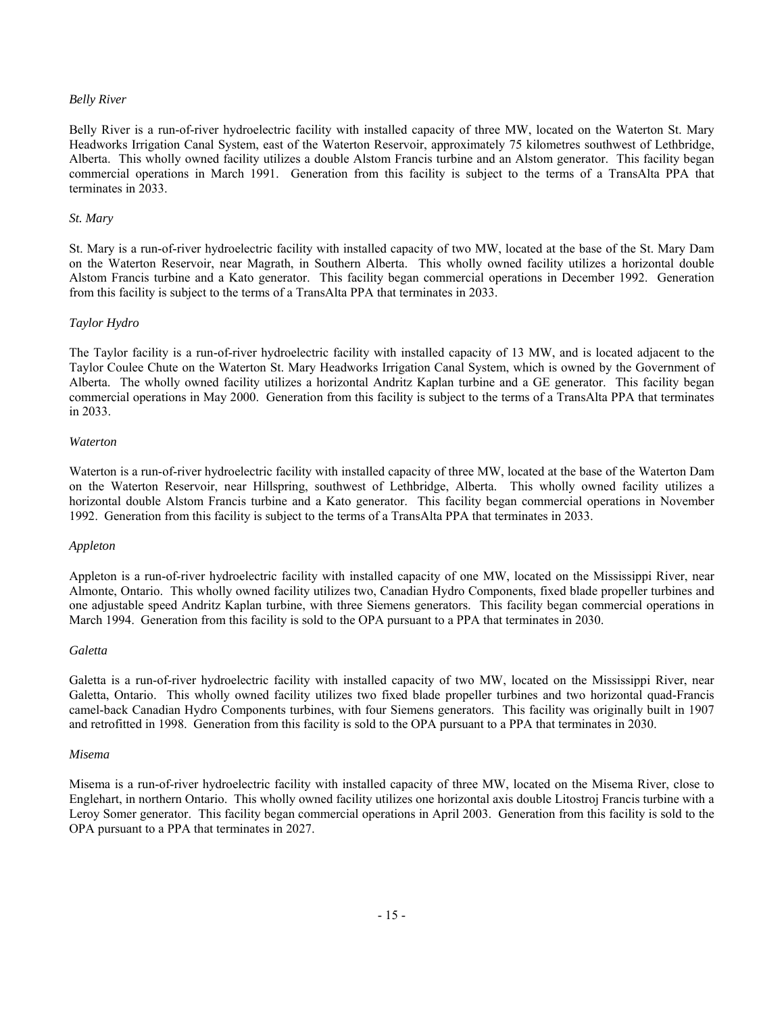#### *Belly River*

Belly River is a run-of-river hydroelectric facility with installed capacity of three MW, located on the Waterton St. Mary Headworks Irrigation Canal System, east of the Waterton Reservoir, approximately 75 kilometres southwest of Lethbridge, Alberta. This wholly owned facility utilizes a double Alstom Francis turbine and an Alstom generator. This facility began commercial operations in March 1991. Generation from this facility is subject to the terms of a TransAlta PPA that terminates in 2033.

#### *St. Mary*

St. Mary is a run-of-river hydroelectric facility with installed capacity of two MW, located at the base of the St. Mary Dam on the Waterton Reservoir, near Magrath, in Southern Alberta. This wholly owned facility utilizes a horizontal double Alstom Francis turbine and a Kato generator. This facility began commercial operations in December 1992. Generation from this facility is subject to the terms of a TransAlta PPA that terminates in 2033.

## *Taylor Hydro*

The Taylor facility is a run-of-river hydroelectric facility with installed capacity of 13 MW, and is located adjacent to the Taylor Coulee Chute on the Waterton St. Mary Headworks Irrigation Canal System, which is owned by the Government of Alberta. The wholly owned facility utilizes a horizontal Andritz Kaplan turbine and a GE generator. This facility began commercial operations in May 2000. Generation from this facility is subject to the terms of a TransAlta PPA that terminates in 2033.

#### *Waterton*

Waterton is a run-of-river hydroelectric facility with installed capacity of three MW, located at the base of the Waterton Dam on the Waterton Reservoir, near Hillspring, southwest of Lethbridge, Alberta. This wholly owned facility utilizes a horizontal double Alstom Francis turbine and a Kato generator. This facility began commercial operations in November 1992. Generation from this facility is subject to the terms of a TransAlta PPA that terminates in 2033.

#### *Appleton*

Appleton is a run-of-river hydroelectric facility with installed capacity of one MW, located on the Mississippi River, near Almonte, Ontario. This wholly owned facility utilizes two, Canadian Hydro Components, fixed blade propeller turbines and one adjustable speed Andritz Kaplan turbine, with three Siemens generators. This facility began commercial operations in March 1994. Generation from this facility is sold to the OPA pursuant to a PPA that terminates in 2030.

#### *Galetta*

Galetta is a run-of-river hydroelectric facility with installed capacity of two MW, located on the Mississippi River, near Galetta, Ontario. This wholly owned facility utilizes two fixed blade propeller turbines and two horizontal quad-Francis camel-back Canadian Hydro Components turbines, with four Siemens generators. This facility was originally built in 1907 and retrofitted in 1998. Generation from this facility is sold to the OPA pursuant to a PPA that terminates in 2030.

#### *Misema*

Misema is a run-of-river hydroelectric facility with installed capacity of three MW, located on the Misema River, close to Englehart, in northern Ontario. This wholly owned facility utilizes one horizontal axis double Litostroj Francis turbine with a Leroy Somer generator. This facility began commercial operations in April 2003. Generation from this facility is sold to the OPA pursuant to a PPA that terminates in 2027.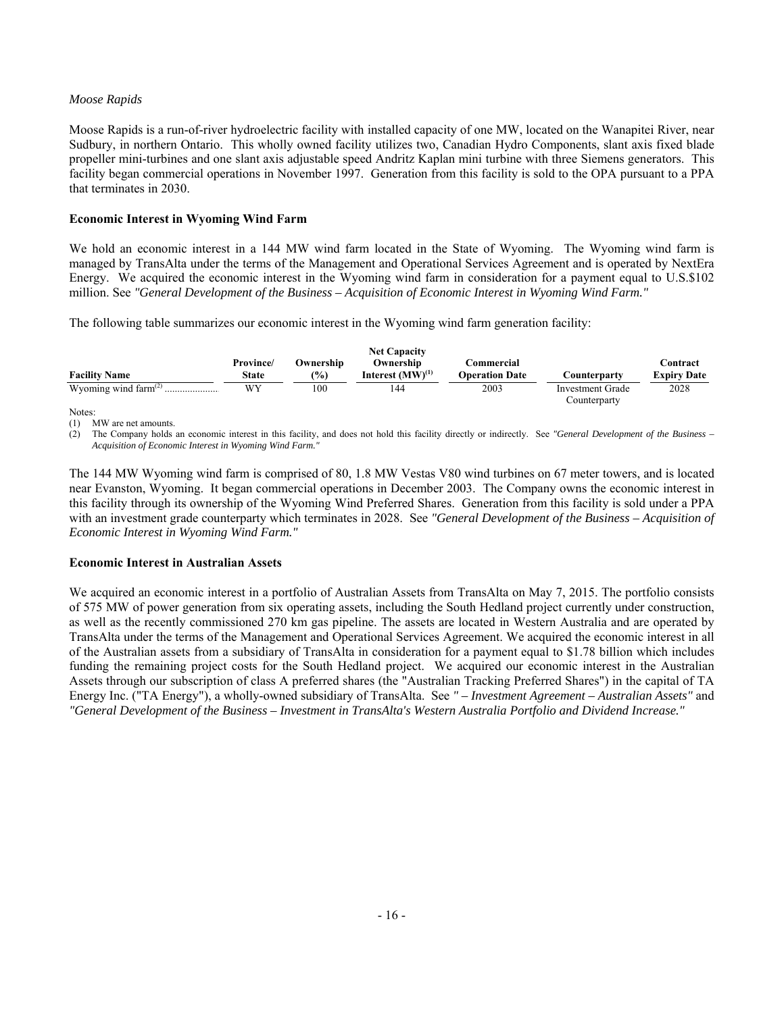# *Moose Rapids*

Moose Rapids is a run-of-river hydroelectric facility with installed capacity of one MW, located on the Wanapitei River, near Sudbury, in northern Ontario. This wholly owned facility utilizes two, Canadian Hydro Components, slant axis fixed blade propeller mini-turbines and one slant axis adjustable speed Andritz Kaplan mini turbine with three Siemens generators. This facility began commercial operations in November 1997. Generation from this facility is sold to the OPA pursuant to a PPA that terminates in 2030.

# **Economic Interest in Wyoming Wind Farm**

We hold an economic interest in a 144 MW wind farm located in the State of Wyoming. The Wyoming wind farm is managed by TransAlta under the terms of the Management and Operational Services Agreement and is operated by NextEra Energy. We acquired the economic interest in the Wyoming wind farm in consideration for a payment equal to U.S.\$102 million. See *"General Development of the Business – Acquisition of Economic Interest in Wyoming Wind Farm."*

The following table summarizes our economic interest in the Wyoming wind farm generation facility:

|                                  |           |               | <b>Net Capacity</b>   |                       |                      |                    |
|----------------------------------|-----------|---------------|-----------------------|-----------------------|----------------------|--------------------|
|                                  | Province/ | Ownership     | Ownership             | <b>Commercial</b>     |                      | Contract           |
| <b>Facility Name</b>             | State     | $\frac{1}{2}$ | Interest $(MW)^{(1)}$ | <b>Operation Date</b> | C <b>ounterpartv</b> | <b>Expiry Date</b> |
| Wyoming wind farm $^{(2)}$ .<br> | WY        | 100           | 144                   | 2003                  | Investment Grade     | 2028               |
|                                  |           |               |                       |                       | Counterparty         |                    |

Notes:

(1) MW are net amounts.

(2) The Company holds an economic interest in this facility, and does not hold this facility directly or indirectly. See *"General Development of the Business – Acquisition of Economic Interest in Wyoming Wind Farm."*

The 144 MW Wyoming wind farm is comprised of 80, 1.8 MW Vestas V80 wind turbines on 67 meter towers, and is located near Evanston, Wyoming. It began commercial operations in December 2003. The Company owns the economic interest in this facility through its ownership of the Wyoming Wind Preferred Shares. Generation from this facility is sold under a PPA with an investment grade counterparty which terminates in 2028. See *"General Development of the Business – Acquisition of Economic Interest in Wyoming Wind Farm."*

## **Economic Interest in Australian Assets**

We acquired an economic interest in a portfolio of Australian Assets from TransAlta on May 7, 2015. The portfolio consists of 575 MW of power generation from six operating assets, including the South Hedland project currently under construction, as well as the recently commissioned 270 km gas pipeline. The assets are located in Western Australia and are operated by TransAlta under the terms of the Management and Operational Services Agreement. We acquired the economic interest in all of the Australian assets from a subsidiary of TransAlta in consideration for a payment equal to \$1.78 billion which includes funding the remaining project costs for the South Hedland project. We acquired our economic interest in the Australian Assets through our subscription of class A preferred shares (the "Australian Tracking Preferred Shares") in the capital of TA Energy Inc. ("TA Energy"), a wholly-owned subsidiary of TransAlta. See *" – Investment Agreement – Australian Assets"* and *"General Development of the Business – Investment in TransAlta's Western Australia Portfolio and Dividend Increase."*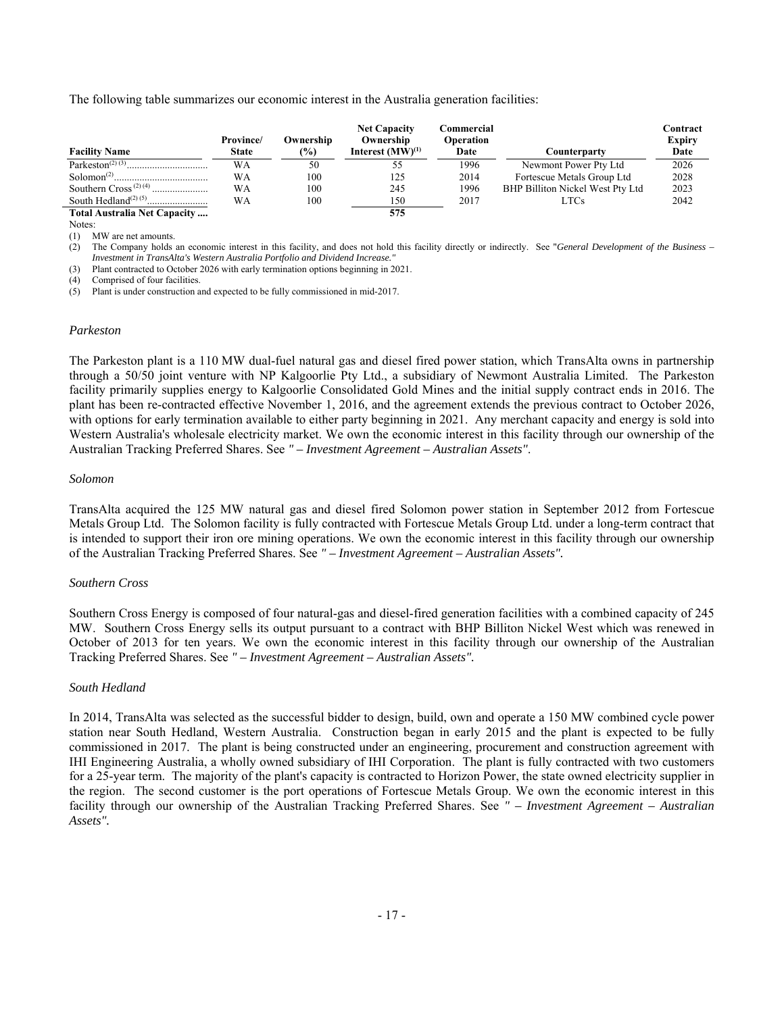The following table summarizes our economic interest in the Australia generation facilities:

| <b>Facility Name</b>                          | Province/<br><b>State</b> | Ownership<br>(%) | <b>Net Capacity</b><br>Ownership<br>Interest $(MW)^{(1)}$ | Commercial<br><b>Operation</b><br>Date | Counterpartv                     | Contract<br><b>Expiry</b><br>Date |
|-----------------------------------------------|---------------------------|------------------|-----------------------------------------------------------|----------------------------------------|----------------------------------|-----------------------------------|
| Parkeston <sup><math>(2)</math></sup> $(3)$ . | WΑ                        | 50               | 55                                                        | 1996                                   | Newmont Power Pty Ltd            | 2026                              |
| Solomon <sup><math>(2)</math></sup>           | WA                        | 100              | 125                                                       | 2014                                   | Fortescue Metals Group Ltd       | 2028                              |
|                                               | WA                        | 100              | 245                                                       | 1996                                   | BHP Billiton Nickel West Pty Ltd | 2023                              |
|                                               | WA                        | 100              | 150                                                       | 2017                                   | LTCs                             | 2042                              |
| Total Australia Net Capacity                  |                           |                  | 575                                                       |                                        |                                  |                                   |

Notes:

(1) MW are net amounts.

(2) The Company holds an economic interest in this facility, and does not hold this facility directly or indirectly. See "*General Development of the Business – Investment in TransAlta's Western Australia Portfolio and Dividend Increase."*

(3) Plant contracted to October 2026 with early termination options beginning in 2021.

(4) Comprised of four facilities.

(5) Plant is under construction and expected to be fully commissioned in mid-2017.

## *Parkeston*

The Parkeston plant is a 110 MW dual-fuel natural gas and diesel fired power station, which TransAlta owns in partnership through a 50/50 joint venture with NP Kalgoorlie Pty Ltd., a subsidiary of Newmont Australia Limited. The Parkeston facility primarily supplies energy to Kalgoorlie Consolidated Gold Mines and the initial supply contract ends in 2016. The plant has been re-contracted effective November 1, 2016, and the agreement extends the previous contract to October 2026, with options for early termination available to either party beginning in 2021. Any merchant capacity and energy is sold into Western Australia's wholesale electricity market. We own the economic interest in this facility through our ownership of the Australian Tracking Preferred Shares. See *" – Investment Agreement – Australian Assets"*.

#### *Solomon*

TransAlta acquired the 125 MW natural gas and diesel fired Solomon power station in September 2012 from Fortescue Metals Group Ltd. The Solomon facility is fully contracted with Fortescue Metals Group Ltd. under a long-term contract that is intended to support their iron ore mining operations. We own the economic interest in this facility through our ownership of the Australian Tracking Preferred Shares. See *" – Investment Agreement – Australian Assets".*

## *Southern Cross*

Southern Cross Energy is composed of four natural-gas and diesel-fired generation facilities with a combined capacity of 245 MW. Southern Cross Energy sells its output pursuant to a contract with BHP Billiton Nickel West which was renewed in October of 2013 for ten years. We own the economic interest in this facility through our ownership of the Australian Tracking Preferred Shares. See *" – Investment Agreement – Australian Assets".*

## *South Hedland*

In 2014, TransAlta was selected as the successful bidder to design, build, own and operate a 150 MW combined cycle power station near South Hedland, Western Australia. Construction began in early 2015 and the plant is expected to be fully commissioned in 2017. The plant is being constructed under an engineering, procurement and construction agreement with IHI Engineering Australia, a wholly owned subsidiary of IHI Corporation. The plant is fully contracted with two customers for a 25-year term. The majority of the plant's capacity is contracted to Horizon Power, the state owned electricity supplier in the region. The second customer is the port operations of Fortescue Metals Group. We own the economic interest in this facility through our ownership of the Australian Tracking Preferred Shares. See *" – Investment Agreement – Australian Assets".*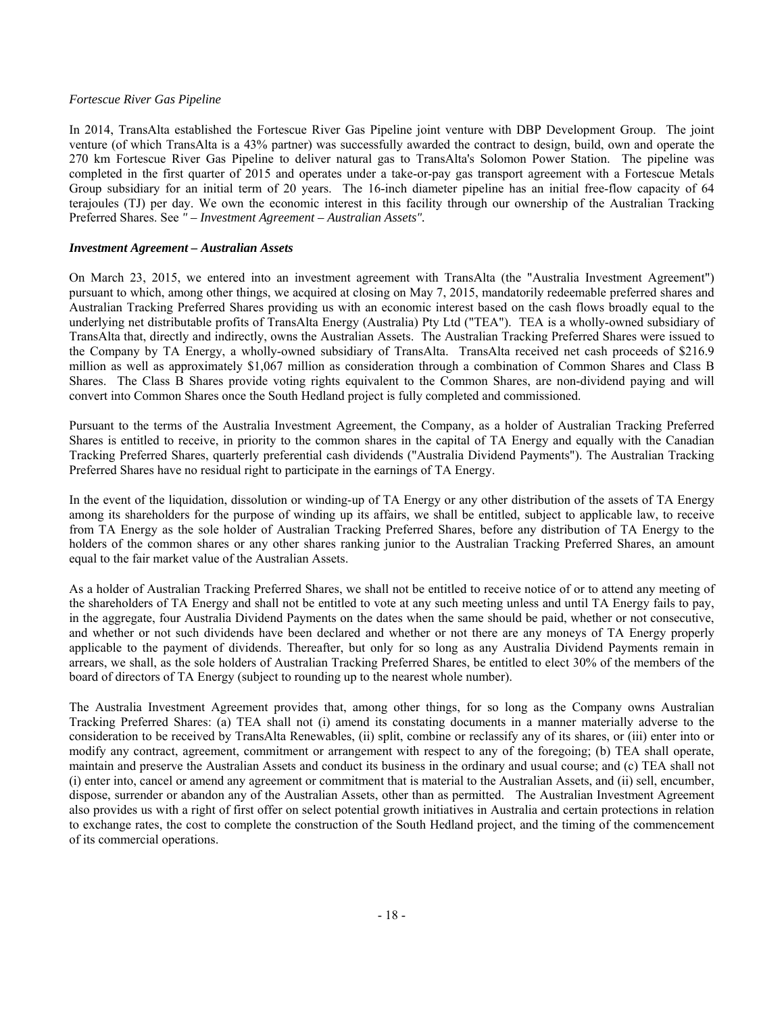## *Fortescue River Gas Pipeline*

In 2014, TransAlta established the Fortescue River Gas Pipeline joint venture with DBP Development Group. The joint venture (of which TransAlta is a 43% partner) was successfully awarded the contract to design, build, own and operate the 270 km Fortescue River Gas Pipeline to deliver natural gas to TransAlta's Solomon Power Station. The pipeline was completed in the first quarter of 2015 and operates under a take-or-pay gas transport agreement with a Fortescue Metals Group subsidiary for an initial term of 20 years. The 16-inch diameter pipeline has an initial free-flow capacity of 64 terajoules (TJ) per day. We own the economic interest in this facility through our ownership of the Australian Tracking Preferred Shares. See *" – Investment Agreement – Australian Assets".* 

# *Investment Agreement – Australian Assets*

On March 23, 2015, we entered into an investment agreement with TransAlta (the "Australia Investment Agreement") pursuant to which, among other things, we acquired at closing on May 7, 2015, mandatorily redeemable preferred shares and Australian Tracking Preferred Shares providing us with an economic interest based on the cash flows broadly equal to the underlying net distributable profits of TransAlta Energy (Australia) Pty Ltd ("TEA"). TEA is a wholly-owned subsidiary of TransAlta that, directly and indirectly, owns the Australian Assets. The Australian Tracking Preferred Shares were issued to the Company by TA Energy, a wholly-owned subsidiary of TransAlta. TransAlta received net cash proceeds of \$216.9 million as well as approximately \$1,067 million as consideration through a combination of Common Shares and Class B Shares. The Class B Shares provide voting rights equivalent to the Common Shares, are non-dividend paying and will convert into Common Shares once the South Hedland project is fully completed and commissioned.

Pursuant to the terms of the Australia Investment Agreement, the Company, as a holder of Australian Tracking Preferred Shares is entitled to receive, in priority to the common shares in the capital of TA Energy and equally with the Canadian Tracking Preferred Shares, quarterly preferential cash dividends ("Australia Dividend Payments"). The Australian Tracking Preferred Shares have no residual right to participate in the earnings of TA Energy.

In the event of the liquidation, dissolution or winding-up of TA Energy or any other distribution of the assets of TA Energy among its shareholders for the purpose of winding up its affairs, we shall be entitled, subject to applicable law, to receive from TA Energy as the sole holder of Australian Tracking Preferred Shares, before any distribution of TA Energy to the holders of the common shares or any other shares ranking junior to the Australian Tracking Preferred Shares, an amount equal to the fair market value of the Australian Assets.

As a holder of Australian Tracking Preferred Shares, we shall not be entitled to receive notice of or to attend any meeting of the shareholders of TA Energy and shall not be entitled to vote at any such meeting unless and until TA Energy fails to pay, in the aggregate, four Australia Dividend Payments on the dates when the same should be paid, whether or not consecutive, and whether or not such dividends have been declared and whether or not there are any moneys of TA Energy properly applicable to the payment of dividends. Thereafter, but only for so long as any Australia Dividend Payments remain in arrears, we shall, as the sole holders of Australian Tracking Preferred Shares, be entitled to elect 30% of the members of the board of directors of TA Energy (subject to rounding up to the nearest whole number).

The Australia Investment Agreement provides that, among other things, for so long as the Company owns Australian Tracking Preferred Shares: (a) TEA shall not (i) amend its constating documents in a manner materially adverse to the consideration to be received by TransAlta Renewables, (ii) split, combine or reclassify any of its shares, or (iii) enter into or modify any contract, agreement, commitment or arrangement with respect to any of the foregoing; (b) TEA shall operate, maintain and preserve the Australian Assets and conduct its business in the ordinary and usual course; and (c) TEA shall not (i) enter into, cancel or amend any agreement or commitment that is material to the Australian Assets, and (ii) sell, encumber, dispose, surrender or abandon any of the Australian Assets, other than as permitted. The Australian Investment Agreement also provides us with a right of first offer on select potential growth initiatives in Australia and certain protections in relation to exchange rates, the cost to complete the construction of the South Hedland project, and the timing of the commencement of its commercial operations.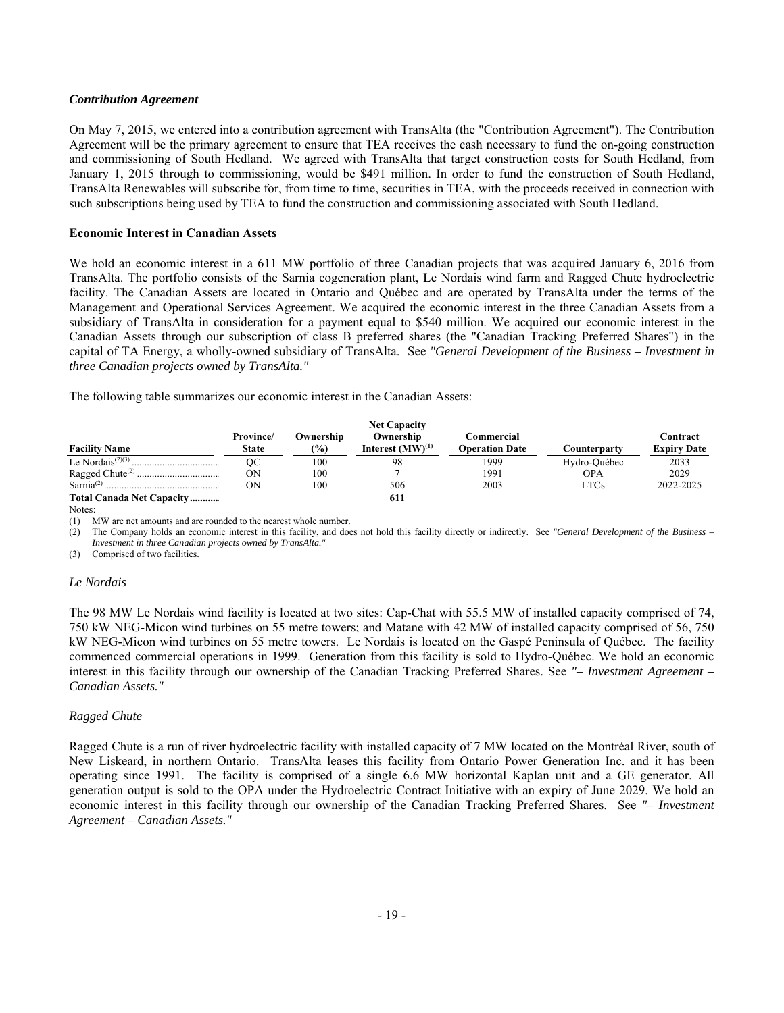#### *Contribution Agreement*

On May 7, 2015, we entered into a contribution agreement with TransAlta (the "Contribution Agreement"). The Contribution Agreement will be the primary agreement to ensure that TEA receives the cash necessary to fund the on-going construction and commissioning of South Hedland. We agreed with TransAlta that target construction costs for South Hedland, from January 1, 2015 through to commissioning, would be \$491 million. In order to fund the construction of South Hedland, TransAlta Renewables will subscribe for, from time to time, securities in TEA, with the proceeds received in connection with such subscriptions being used by TEA to fund the construction and commissioning associated with South Hedland.

#### **Economic Interest in Canadian Assets**

We hold an economic interest in a 611 MW portfolio of three Canadian projects that was acquired January 6, 2016 from TransAlta. The portfolio consists of the Sarnia cogeneration plant, Le Nordais wind farm and Ragged Chute hydroelectric facility. The Canadian Assets are located in Ontario and Québec and are operated by TransAlta under the terms of the Management and Operational Services Agreement. We acquired the economic interest in the three Canadian Assets from a subsidiary of TransAlta in consideration for a payment equal to \$540 million. We acquired our economic interest in the Canadian Assets through our subscription of class B preferred shares (the "Canadian Tracking Preferred Shares") in the capital of TA Energy, a wholly-owned subsidiary of TransAlta. See *"General Development of the Business – Investment in three Canadian projects owned by TransAlta."*

The following table summarizes our economic interest in the Canadian Assets:

|                                           |              |           | <b>Net Capacity</b>   |                       |              |                    |
|-------------------------------------------|--------------|-----------|-----------------------|-----------------------|--------------|--------------------|
|                                           | Province/    | Ownership | Ownership             | Commercial            |              | Contract           |
| <b>Facility Name</b>                      | <b>State</b> | (%)       | Interest $(MW)^{(1)}$ | <b>Operation Date</b> | Counterparty | <b>Expiry Date</b> |
| Le Nordais <sup><math>(2)(3)</math></sup> | ОC           | 100       | 98                    | 1999                  | Hydro-Ouébec | 2033               |
|                                           | ОN           | 100       |                       | 1991                  | <b>OPA</b>   | 2029               |
| Sarnia <sup>(2)</sup>                     | ΟN           | 100       | 506                   | 2003                  | LTCs         | 2022-2025          |
| Total Canada Net Capacity                 |              |           | 611                   |                       |              |                    |

Notes:

(1) MW are net amounts and are rounded to the nearest whole number.

(2) The Company holds an economic interest in this facility, and does not hold this facility directly or indirectly. See *"General Development of the Business – Investment in three Canadian projects owned by TransAlta."*

(3) Comprised of two facilities.

## *Le Nordais*

The 98 MW Le Nordais wind facility is located at two sites: Cap-Chat with 55.5 MW of installed capacity comprised of 74, 750 kW NEG-Micon wind turbines on 55 metre towers; and Matane with 42 MW of installed capacity comprised of 56, 750 kW NEG-Micon wind turbines on 55 metre towers. Le Nordais is located on the Gaspé Peninsula of Québec. The facility commenced commercial operations in 1999. Generation from this facility is sold to Hydro-Québec. We hold an economic interest in this facility through our ownership of the Canadian Tracking Preferred Shares. See *"– Investment Agreement – Canadian Assets."*

## *Ragged Chute*

Ragged Chute is a run of river hydroelectric facility with installed capacity of 7 MW located on the Montréal River, south of New Liskeard, in northern Ontario. TransAlta leases this facility from Ontario Power Generation Inc. and it has been operating since 1991. The facility is comprised of a single 6.6 MW horizontal Kaplan unit and a GE generator. All generation output is sold to the OPA under the Hydroelectric Contract Initiative with an expiry of June 2029. We hold an economic interest in this facility through our ownership of the Canadian Tracking Preferred Shares. See *"– Investment Agreement – Canadian Assets."*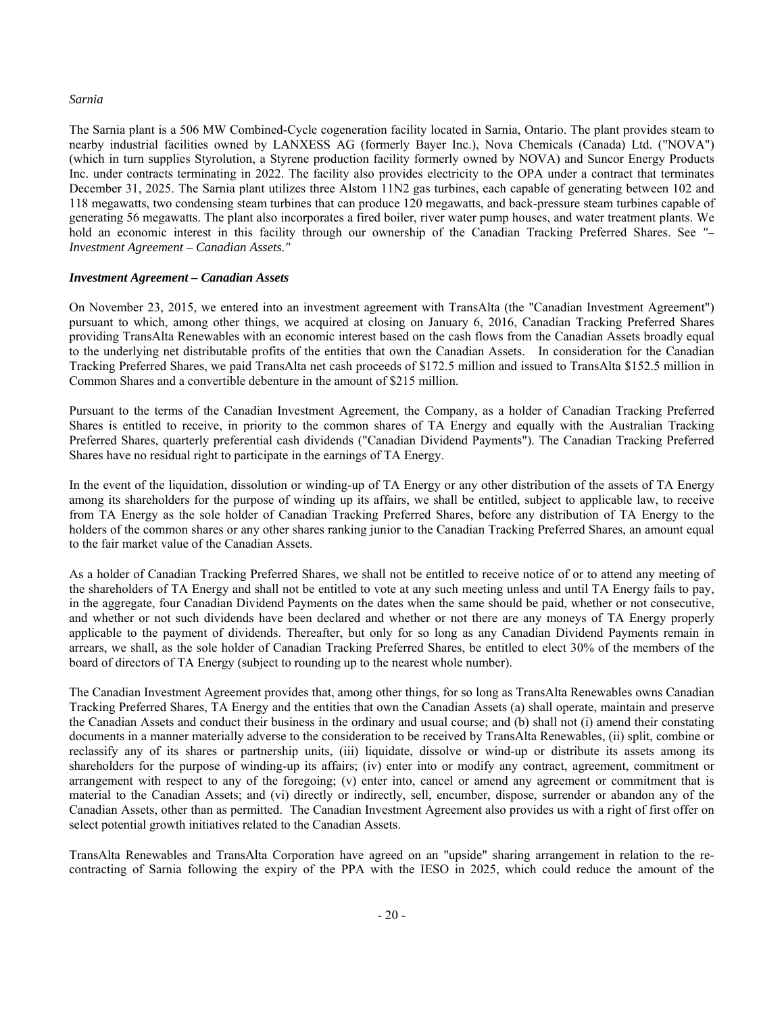#### *Sarnia*

The Sarnia plant is a 506 MW Combined-Cycle cogeneration facility located in Sarnia, Ontario. The plant provides steam to nearby industrial facilities owned by LANXESS AG (formerly Bayer Inc.), Nova Chemicals (Canada) Ltd. ("NOVA") (which in turn supplies Styrolution, a Styrene production facility formerly owned by NOVA) and Suncor Energy Products Inc. under contracts terminating in 2022. The facility also provides electricity to the OPA under a contract that terminates December 31, 2025. The Sarnia plant utilizes three Alstom 11N2 gas turbines, each capable of generating between 102 and 118 megawatts, two condensing steam turbines that can produce 120 megawatts, and back-pressure steam turbines capable of generating 56 megawatts. The plant also incorporates a fired boiler, river water pump houses, and water treatment plants. We hold an economic interest in this facility through our ownership of the Canadian Tracking Preferred Shares. See "-*Investment Agreement – Canadian Assets."* 

## *Investment Agreement – Canadian Assets*

On November 23, 2015, we entered into an investment agreement with TransAlta (the "Canadian Investment Agreement") pursuant to which, among other things, we acquired at closing on January 6, 2016, Canadian Tracking Preferred Shares providing TransAlta Renewables with an economic interest based on the cash flows from the Canadian Assets broadly equal to the underlying net distributable profits of the entities that own the Canadian Assets. In consideration for the Canadian Tracking Preferred Shares, we paid TransAlta net cash proceeds of \$172.5 million and issued to TransAlta \$152.5 million in Common Shares and a convertible debenture in the amount of \$215 million.

Pursuant to the terms of the Canadian Investment Agreement, the Company, as a holder of Canadian Tracking Preferred Shares is entitled to receive, in priority to the common shares of TA Energy and equally with the Australian Tracking Preferred Shares, quarterly preferential cash dividends ("Canadian Dividend Payments"). The Canadian Tracking Preferred Shares have no residual right to participate in the earnings of TA Energy.

In the event of the liquidation, dissolution or winding-up of TA Energy or any other distribution of the assets of TA Energy among its shareholders for the purpose of winding up its affairs, we shall be entitled, subject to applicable law, to receive from TA Energy as the sole holder of Canadian Tracking Preferred Shares, before any distribution of TA Energy to the holders of the common shares or any other shares ranking junior to the Canadian Tracking Preferred Shares, an amount equal to the fair market value of the Canadian Assets.

As a holder of Canadian Tracking Preferred Shares, we shall not be entitled to receive notice of or to attend any meeting of the shareholders of TA Energy and shall not be entitled to vote at any such meeting unless and until TA Energy fails to pay, in the aggregate, four Canadian Dividend Payments on the dates when the same should be paid, whether or not consecutive, and whether or not such dividends have been declared and whether or not there are any moneys of TA Energy properly applicable to the payment of dividends. Thereafter, but only for so long as any Canadian Dividend Payments remain in arrears, we shall, as the sole holder of Canadian Tracking Preferred Shares, be entitled to elect 30% of the members of the board of directors of TA Energy (subject to rounding up to the nearest whole number).

The Canadian Investment Agreement provides that, among other things, for so long as TransAlta Renewables owns Canadian Tracking Preferred Shares, TA Energy and the entities that own the Canadian Assets (a) shall operate, maintain and preserve the Canadian Assets and conduct their business in the ordinary and usual course; and (b) shall not (i) amend their constating documents in a manner materially adverse to the consideration to be received by TransAlta Renewables, (ii) split, combine or reclassify any of its shares or partnership units, (iii) liquidate, dissolve or wind-up or distribute its assets among its shareholders for the purpose of winding-up its affairs; (iv) enter into or modify any contract, agreement, commitment or arrangement with respect to any of the foregoing; (v) enter into, cancel or amend any agreement or commitment that is material to the Canadian Assets; and (vi) directly or indirectly, sell, encumber, dispose, surrender or abandon any of the Canadian Assets, other than as permitted. The Canadian Investment Agreement also provides us with a right of first offer on select potential growth initiatives related to the Canadian Assets.

TransAlta Renewables and TransAlta Corporation have agreed on an "upside" sharing arrangement in relation to the recontracting of Sarnia following the expiry of the PPA with the IESO in 2025, which could reduce the amount of the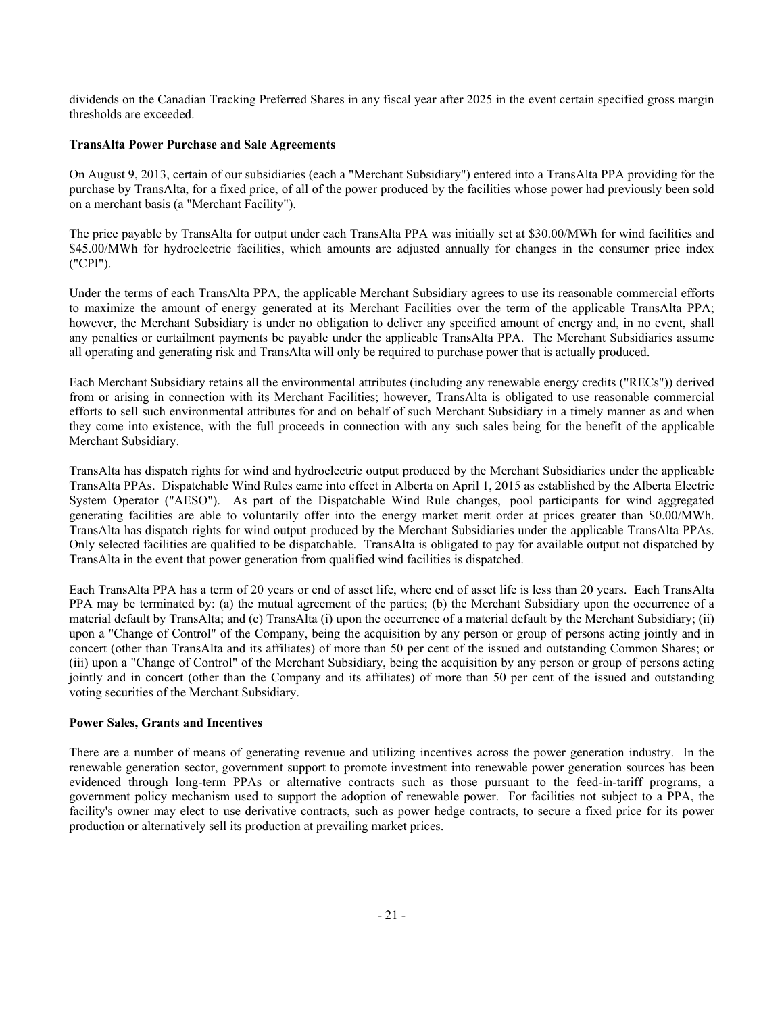dividends on the Canadian Tracking Preferred Shares in any fiscal year after 2025 in the event certain specified gross margin thresholds are exceeded.

# **TransAlta Power Purchase and Sale Agreements**

On August 9, 2013, certain of our subsidiaries (each a "Merchant Subsidiary") entered into a TransAlta PPA providing for the purchase by TransAlta, for a fixed price, of all of the power produced by the facilities whose power had previously been sold on a merchant basis (a "Merchant Facility").

The price payable by TransAlta for output under each TransAlta PPA was initially set at \$30.00/MWh for wind facilities and \$45.00/MWh for hydroelectric facilities, which amounts are adjusted annually for changes in the consumer price index ("CPI").

Under the terms of each TransAlta PPA, the applicable Merchant Subsidiary agrees to use its reasonable commercial efforts to maximize the amount of energy generated at its Merchant Facilities over the term of the applicable TransAlta PPA; however, the Merchant Subsidiary is under no obligation to deliver any specified amount of energy and, in no event, shall any penalties or curtailment payments be payable under the applicable TransAlta PPA. The Merchant Subsidiaries assume all operating and generating risk and TransAlta will only be required to purchase power that is actually produced.

Each Merchant Subsidiary retains all the environmental attributes (including any renewable energy credits ("RECs")) derived from or arising in connection with its Merchant Facilities; however, TransAlta is obligated to use reasonable commercial efforts to sell such environmental attributes for and on behalf of such Merchant Subsidiary in a timely manner as and when they come into existence, with the full proceeds in connection with any such sales being for the benefit of the applicable Merchant Subsidiary.

TransAlta has dispatch rights for wind and hydroelectric output produced by the Merchant Subsidiaries under the applicable TransAlta PPAs. Dispatchable Wind Rules came into effect in Alberta on April 1, 2015 as established by the Alberta Electric System Operator ("AESO"). As part of the Dispatchable Wind Rule changes, pool participants for wind aggregated generating facilities are able to voluntarily offer into the energy market merit order at prices greater than \$0.00/MWh. TransAlta has dispatch rights for wind output produced by the Merchant Subsidiaries under the applicable TransAlta PPAs. Only selected facilities are qualified to be dispatchable. TransAlta is obligated to pay for available output not dispatched by TransAlta in the event that power generation from qualified wind facilities is dispatched.

Each TransAlta PPA has a term of 20 years or end of asset life, where end of asset life is less than 20 years. Each TransAlta PPA may be terminated by: (a) the mutual agreement of the parties; (b) the Merchant Subsidiary upon the occurrence of a material default by TransAlta; and (c) TransAlta (i) upon the occurrence of a material default by the Merchant Subsidiary; (ii) upon a "Change of Control" of the Company, being the acquisition by any person or group of persons acting jointly and in concert (other than TransAlta and its affiliates) of more than 50 per cent of the issued and outstanding Common Shares; or (iii) upon a "Change of Control" of the Merchant Subsidiary, being the acquisition by any person or group of persons acting jointly and in concert (other than the Company and its affiliates) of more than 50 per cent of the issued and outstanding voting securities of the Merchant Subsidiary.

# **Power Sales, Grants and Incentives**

There are a number of means of generating revenue and utilizing incentives across the power generation industry. In the renewable generation sector, government support to promote investment into renewable power generation sources has been evidenced through long-term PPAs or alternative contracts such as those pursuant to the feed-in-tariff programs, a government policy mechanism used to support the adoption of renewable power. For facilities not subject to a PPA, the facility's owner may elect to use derivative contracts, such as power hedge contracts, to secure a fixed price for its power production or alternatively sell its production at prevailing market prices.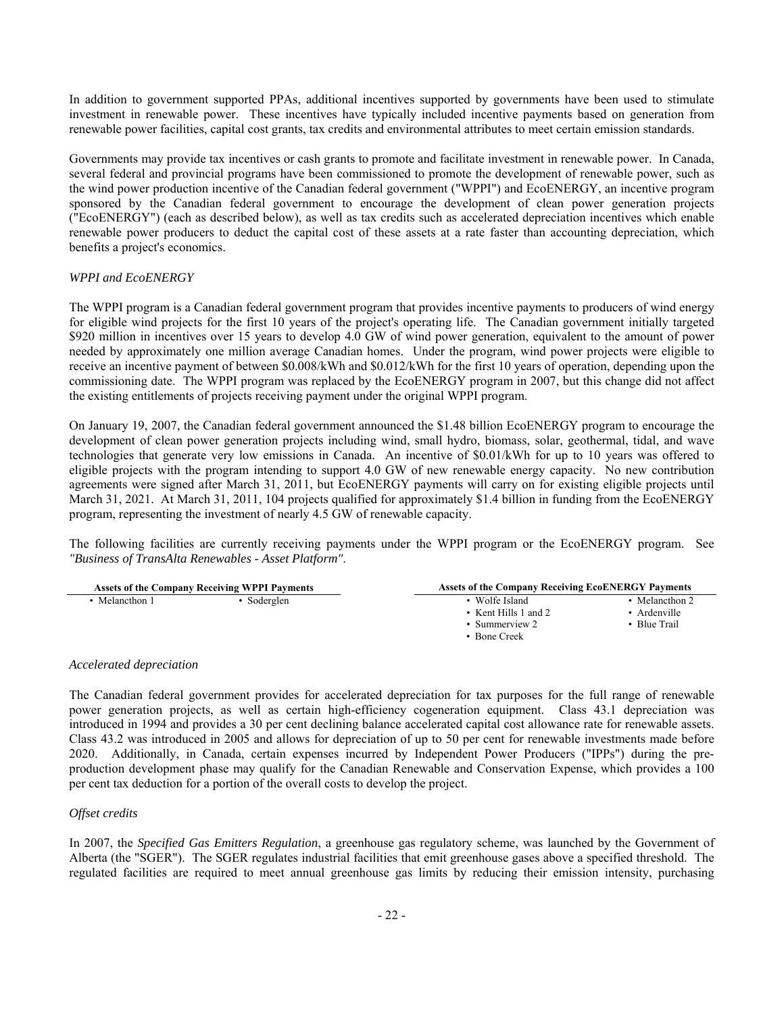In addition to government supported PPAs, additional incentives supported by governments have been used to stimulate investment in renewable power. These incentives have typically included incentive payments based on generation from renewable power facilities, capital cost grants, tax credits and environmental attributes to meet certain emission standards.

Governments may provide tax incentives or cash grants to promote and facilitate investment in renewable power. In Canada, several federal and provincial programs have been commissioned to promote the development of renewable power, such as the wind power production incentive of the Canadian federal government ("WPPI") and EcoENERGY, an incentive program sponsored by the Canadian federal government to encourage the development of clean power generation projects ("EcoENERGY") (each as described below), as well as tax credits such as accelerated depreciation incentives which enable renewable power producers to deduct the capital cost of these assets at a rate faster than accounting depreciation, which benefits a project's economics.

# *WPPI and EcoENERGY*

The WPPI program is a Canadian federal government program that provides incentive payments to producers of wind energy for eligible wind projects for the first 10 years of the project's operating life. The Canadian government initially targeted \$920 million in incentives over 15 years to develop 4.0 GW of wind power generation, equivalent to the amount of power needed by approximately one million average Canadian homes. Under the program, wind power projects were eligible to receive an incentive payment of between \$0.008/kWh and \$0.012/kWh for the first 10 years of operation, depending upon the commissioning date. The WPPI program was replaced by the EcoENERGY program in 2007, but this change did not affect the existing entitlements of projects receiving payment under the original WPPI program.

On January 19, 2007, the Canadian federal government announced the \$1.48 billion EcoENERGY program to encourage the development of clean power generation projects including wind, small hydro, biomass, solar, geothermal, tidal, and wave technologies that generate very low emissions in Canada. An incentive of \$0.01/kWh for up to 10 years was offered to eligible projects with the program intending to support 4.0 GW of new renewable energy capacity. No new contribution agreements were signed after March 31, 2011, but EcoENERGY payments will carry on for existing eligible projects until March 31, 2021. At March 31, 2011, 104 projects qualified for approximately \$1.4 billion in funding from the EcoENERGY program, representing the investment of nearly 4.5 GW of renewable capacity.

The following facilities are currently receiving payments under the WPPI program or the EcoENERGY program. See *"Business of TransAlta Renewables - Asset Platform"*.

| <b>Assets of the Company Receiving WPPI Payments</b> |             | <b>Assets of the Company Receiving EcoENERGY Payments</b>          |                                                   |
|------------------------------------------------------|-------------|--------------------------------------------------------------------|---------------------------------------------------|
| Melancthon 1                                         | • Soderglen | Wolfe Island<br>• Kent Hills 1 and 2<br>Summerview 2<br>Bone Creek | • Melancthon 2<br>Ardenville<br><b>Blue Trail</b> |

## *Accelerated depreciation*

The Canadian federal government provides for accelerated depreciation for tax purposes for the full range of renewable power generation projects, as well as certain high-efficiency cogeneration equipment. Class 43.1 depreciation was introduced in 1994 and provides a 30 per cent declining balance accelerated capital cost allowance rate for renewable assets. Class 43.2 was introduced in 2005 and allows for depreciation of up to 50 per cent for renewable investments made before 2020. Additionally, in Canada, certain expenses incurred by Independent Power Producers ("IPPs") during the preproduction development phase may qualify for the Canadian Renewable and Conservation Expense, which provides a 100 per cent tax deduction for a portion of the overall costs to develop the project.

## *Offset credits*

In 2007, the *Specified Gas Emitters Regulation*, a greenhouse gas regulatory scheme, was launched by the Government of Alberta (the "SGER"). The SGER regulates industrial facilities that emit greenhouse gases above a specified threshold. The regulated facilities are required to meet annual greenhouse gas limits by reducing their emission intensity, purchasing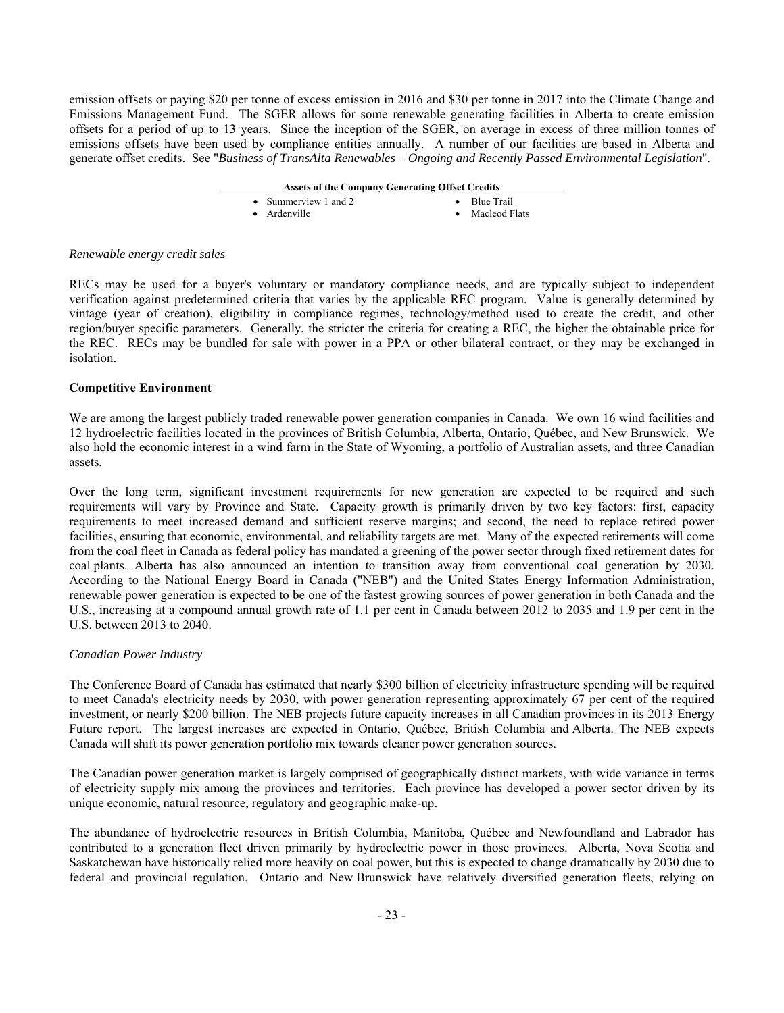emission offsets or paying \$20 per tonne of excess emission in 2016 and \$30 per tonne in 2017 into the Climate Change and Emissions Management Fund. The SGER allows for some renewable generating facilities in Alberta to create emission offsets for a period of up to 13 years. Since the inception of the SGER, on average in excess of three million tonnes of emissions offsets have been used by compliance entities annually. A number of our facilities are based in Alberta and generate offset credits. See "*Business of TransAlta Renewables – Ongoing and Recently Passed Environmental Legislation*".

| <b>Assets of the Company Generating Offset Credits</b> |                      |
|--------------------------------------------------------|----------------------|
| • Summerview 1 and 2                                   | $\bullet$ Blue Trail |
| • Ardenville                                           | • Macleod Flats      |

## *Renewable energy credit sales*

RECs may be used for a buyer's voluntary or mandatory compliance needs, and are typically subject to independent verification against predetermined criteria that varies by the applicable REC program. Value is generally determined by vintage (year of creation), eligibility in compliance regimes, technology/method used to create the credit, and other region/buyer specific parameters. Generally, the stricter the criteria for creating a REC, the higher the obtainable price for the REC. RECs may be bundled for sale with power in a PPA or other bilateral contract, or they may be exchanged in isolation.

## **Competitive Environment**

We are among the largest publicly traded renewable power generation companies in Canada. We own 16 wind facilities and 12 hydroelectric facilities located in the provinces of British Columbia, Alberta, Ontario, Québec, and New Brunswick. We also hold the economic interest in a wind farm in the State of Wyoming, a portfolio of Australian assets, and three Canadian assets.

Over the long term, significant investment requirements for new generation are expected to be required and such requirements will vary by Province and State. Capacity growth is primarily driven by two key factors: first, capacity requirements to meet increased demand and sufficient reserve margins; and second, the need to replace retired power facilities, ensuring that economic, environmental, and reliability targets are met. Many of the expected retirements will come from the coal fleet in Canada as federal policy has mandated a greening of the power sector through fixed retirement dates for coal plants. Alberta has also announced an intention to transition away from conventional coal generation by 2030. According to the National Energy Board in Canada ("NEB") and the United States Energy Information Administration, renewable power generation is expected to be one of the fastest growing sources of power generation in both Canada and the U.S., increasing at a compound annual growth rate of 1.1 per cent in Canada between 2012 to 2035 and 1.9 per cent in the U.S. between 2013 to 2040.

## *Canadian Power Industry*

The Conference Board of Canada has estimated that nearly \$300 billion of electricity infrastructure spending will be required to meet Canada's electricity needs by 2030, with power generation representing approximately 67 per cent of the required investment, or nearly \$200 billion. The NEB projects future capacity increases in all Canadian provinces in its 2013 Energy Future report. The largest increases are expected in Ontario, Québec, British Columbia and Alberta. The NEB expects Canada will shift its power generation portfolio mix towards cleaner power generation sources.

The Canadian power generation market is largely comprised of geographically distinct markets, with wide variance in terms of electricity supply mix among the provinces and territories. Each province has developed a power sector driven by its unique economic, natural resource, regulatory and geographic make-up.

The abundance of hydroelectric resources in British Columbia, Manitoba, Québec and Newfoundland and Labrador has contributed to a generation fleet driven primarily by hydroelectric power in those provinces. Alberta, Nova Scotia and Saskatchewan have historically relied more heavily on coal power, but this is expected to change dramatically by 2030 due to federal and provincial regulation. Ontario and New Brunswick have relatively diversified generation fleets, relying on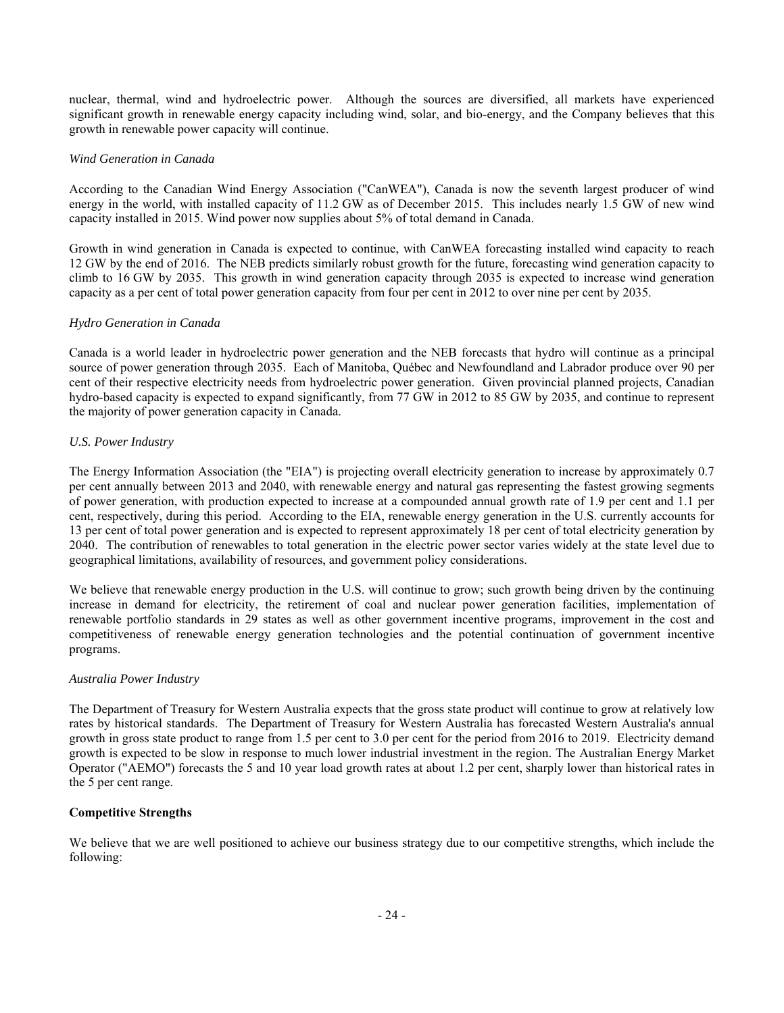nuclear, thermal, wind and hydroelectric power. Although the sources are diversified, all markets have experienced significant growth in renewable energy capacity including wind, solar, and bio-energy, and the Company believes that this growth in renewable power capacity will continue.

# *Wind Generation in Canada*

According to the Canadian Wind Energy Association ("CanWEA"), Canada is now the seventh largest producer of wind energy in the world, with installed capacity of 11.2 GW as of December 2015. This includes nearly 1.5 GW of new wind capacity installed in 2015. Wind power now supplies about 5% of total demand in Canada.

Growth in wind generation in Canada is expected to continue, with CanWEA forecasting installed wind capacity to reach 12 GW by the end of 2016. The NEB predicts similarly robust growth for the future, forecasting wind generation capacity to climb to 16 GW by 2035. This growth in wind generation capacity through 2035 is expected to increase wind generation capacity as a per cent of total power generation capacity from four per cent in 2012 to over nine per cent by 2035.

# *Hydro Generation in Canada*

Canada is a world leader in hydroelectric power generation and the NEB forecasts that hydro will continue as a principal source of power generation through 2035. Each of Manitoba, Québec and Newfoundland and Labrador produce over 90 per cent of their respective electricity needs from hydroelectric power generation. Given provincial planned projects, Canadian hydro-based capacity is expected to expand significantly, from 77 GW in 2012 to 85 GW by 2035, and continue to represent the majority of power generation capacity in Canada.

# *U.S. Power Industry*

The Energy Information Association (the "EIA") is projecting overall electricity generation to increase by approximately 0.7 per cent annually between 2013 and 2040, with renewable energy and natural gas representing the fastest growing segments of power generation, with production expected to increase at a compounded annual growth rate of 1.9 per cent and 1.1 per cent, respectively, during this period. According to the EIA, renewable energy generation in the U.S. currently accounts for 13 per cent of total power generation and is expected to represent approximately 18 per cent of total electricity generation by 2040. The contribution of renewables to total generation in the electric power sector varies widely at the state level due to geographical limitations, availability of resources, and government policy considerations.

We believe that renewable energy production in the U.S. will continue to grow; such growth being driven by the continuing increase in demand for electricity, the retirement of coal and nuclear power generation facilities, implementation of renewable portfolio standards in 29 states as well as other government incentive programs, improvement in the cost and competitiveness of renewable energy generation technologies and the potential continuation of government incentive programs.

## *Australia Power Industry*

The Department of Treasury for Western Australia expects that the gross state product will continue to grow at relatively low rates by historical standards. The Department of Treasury for Western Australia has forecasted Western Australia's annual growth in gross state product to range from 1.5 per cent to 3.0 per cent for the period from 2016 to 2019. Electricity demand growth is expected to be slow in response to much lower industrial investment in the region. The Australian Energy Market Operator ("AEMO") forecasts the 5 and 10 year load growth rates at about 1.2 per cent, sharply lower than historical rates in the 5 per cent range.

# **Competitive Strengths**

We believe that we are well positioned to achieve our business strategy due to our competitive strengths, which include the following: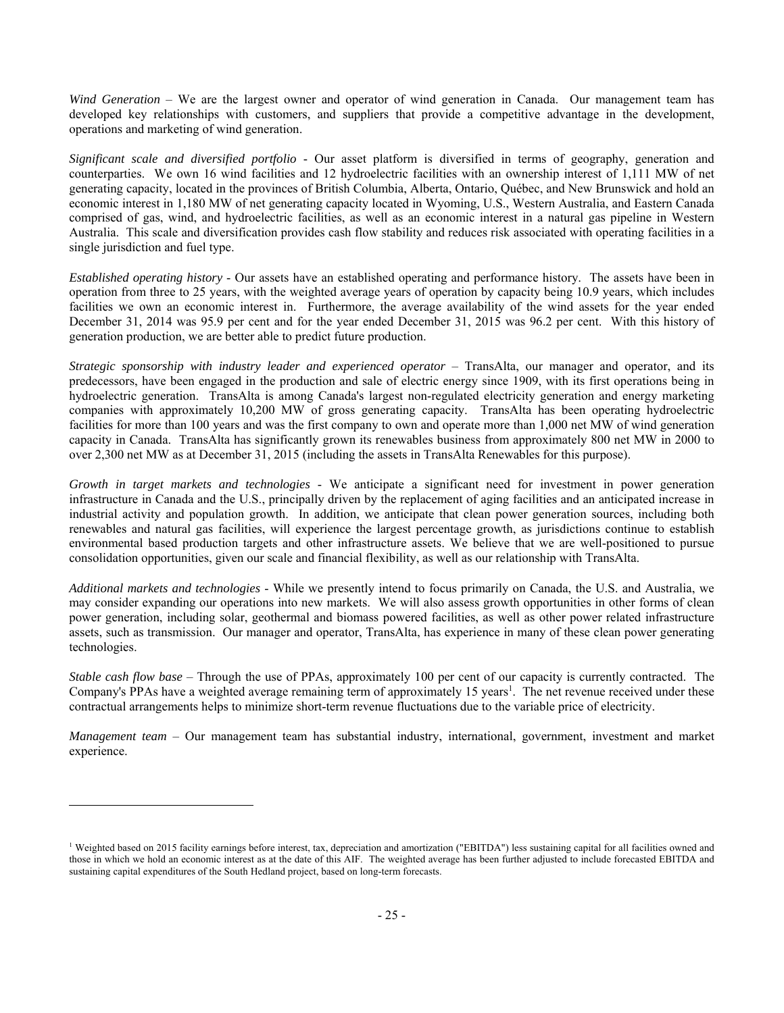*Wind Generation* – We are the largest owner and operator of wind generation in Canada. Our management team has developed key relationships with customers, and suppliers that provide a competitive advantage in the development, operations and marketing of wind generation.

*Significant scale and diversified portfolio* - Our asset platform is diversified in terms of geography, generation and counterparties. We own 16 wind facilities and 12 hydroelectric facilities with an ownership interest of 1,111 MW of net generating capacity, located in the provinces of British Columbia, Alberta, Ontario, Québec, and New Brunswick and hold an economic interest in 1,180 MW of net generating capacity located in Wyoming, U.S., Western Australia, and Eastern Canada comprised of gas, wind, and hydroelectric facilities, as well as an economic interest in a natural gas pipeline in Western Australia. This scale and diversification provides cash flow stability and reduces risk associated with operating facilities in a single jurisdiction and fuel type.

*Established operating history* - Our assets have an established operating and performance history. The assets have been in operation from three to 25 years, with the weighted average years of operation by capacity being 10.9 years, which includes facilities we own an economic interest in. Furthermore, the average availability of the wind assets for the year ended December 31, 2014 was 95.9 per cent and for the year ended December 31, 2015 was 96.2 per cent. With this history of generation production, we are better able to predict future production.

*Strategic sponsorship with industry leader and experienced operator* – TransAlta, our manager and operator, and its predecessors, have been engaged in the production and sale of electric energy since 1909, with its first operations being in hydroelectric generation. TransAlta is among Canada's largest non-regulated electricity generation and energy marketing companies with approximately 10,200 MW of gross generating capacity. TransAlta has been operating hydroelectric facilities for more than 100 years and was the first company to own and operate more than 1,000 net MW of wind generation capacity in Canada. TransAlta has significantly grown its renewables business from approximately 800 net MW in 2000 to over 2,300 net MW as at December 31, 2015 (including the assets in TransAlta Renewables for this purpose).

*Growth in target markets and technologies* - We anticipate a significant need for investment in power generation infrastructure in Canada and the U.S., principally driven by the replacement of aging facilities and an anticipated increase in industrial activity and population growth. In addition, we anticipate that clean power generation sources, including both renewables and natural gas facilities, will experience the largest percentage growth, as jurisdictions continue to establish environmental based production targets and other infrastructure assets. We believe that we are well-positioned to pursue consolidation opportunities, given our scale and financial flexibility, as well as our relationship with TransAlta.

*Additional markets and technologies* - While we presently intend to focus primarily on Canada, the U.S. and Australia, we may consider expanding our operations into new markets. We will also assess growth opportunities in other forms of clean power generation, including solar, geothermal and biomass powered facilities, as well as other power related infrastructure assets, such as transmission. Our manager and operator, TransAlta, has experience in many of these clean power generating technologies.

*Stable cash flow base* – Through the use of PPAs, approximately 100 per cent of our capacity is currently contracted. The Company's PPAs have a weighted average remaining term of approximately 15 years<sup>1</sup>. The net revenue received under these contractual arrangements helps to minimize short-term revenue fluctuations due to the variable price of electricity.

*Management team* – Our management team has substantial industry, international, government, investment and market experience.

 $\overline{a}$ 

<sup>&</sup>lt;sup>1</sup> Weighted based on 2015 facility earnings before interest, tax, depreciation and amortization ("EBITDA") less sustaining capital for all facilities owned and those in which we hold an economic interest as at the date of this AIF. The weighted average has been further adjusted to include forecasted EBITDA and sustaining capital expenditures of the South Hedland project, based on long-term forecasts.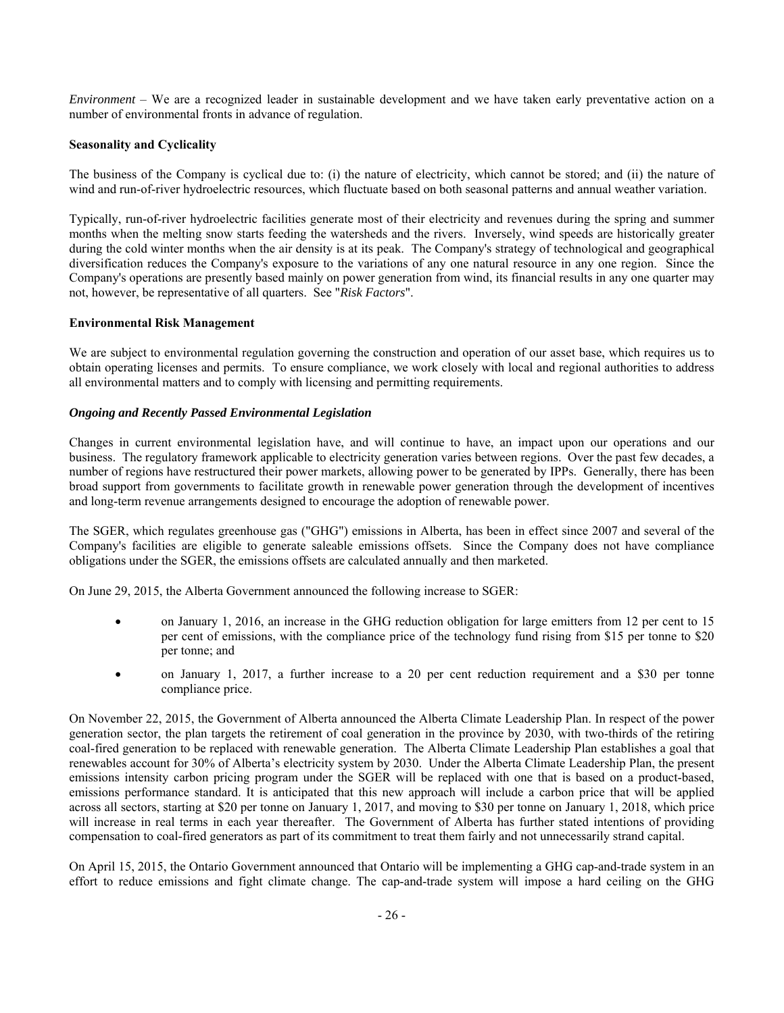*Environment* – We are a recognized leader in sustainable development and we have taken early preventative action on a number of environmental fronts in advance of regulation.

# **Seasonality and Cyclicality**

The business of the Company is cyclical due to: (i) the nature of electricity, which cannot be stored; and (ii) the nature of wind and run-of-river hydroelectric resources, which fluctuate based on both seasonal patterns and annual weather variation.

Typically, run-of-river hydroelectric facilities generate most of their electricity and revenues during the spring and summer months when the melting snow starts feeding the watersheds and the rivers. Inversely, wind speeds are historically greater during the cold winter months when the air density is at its peak. The Company's strategy of technological and geographical diversification reduces the Company's exposure to the variations of any one natural resource in any one region. Since the Company's operations are presently based mainly on power generation from wind, its financial results in any one quarter may not, however, be representative of all quarters. See "*Risk Factors*".

# **Environmental Risk Management**

We are subject to environmental regulation governing the construction and operation of our asset base, which requires us to obtain operating licenses and permits. To ensure compliance, we work closely with local and regional authorities to address all environmental matters and to comply with licensing and permitting requirements.

# *Ongoing and Recently Passed Environmental Legislation*

Changes in current environmental legislation have, and will continue to have, an impact upon our operations and our business. The regulatory framework applicable to electricity generation varies between regions. Over the past few decades, a number of regions have restructured their power markets, allowing power to be generated by IPPs. Generally, there has been broad support from governments to facilitate growth in renewable power generation through the development of incentives and long-term revenue arrangements designed to encourage the adoption of renewable power.

The SGER, which regulates greenhouse gas ("GHG") emissions in Alberta, has been in effect since 2007 and several of the Company's facilities are eligible to generate saleable emissions offsets. Since the Company does not have compliance obligations under the SGER, the emissions offsets are calculated annually and then marketed.

On June 29, 2015, the Alberta Government announced the following increase to SGER:

- on January 1, 2016, an increase in the GHG reduction obligation for large emitters from 12 per cent to 15 per cent of emissions, with the compliance price of the technology fund rising from \$15 per tonne to \$20 per tonne; and
- on January 1, 2017, a further increase to a 20 per cent reduction requirement and a \$30 per tonne compliance price.

On November 22, 2015, the Government of Alberta announced the Alberta Climate Leadership Plan. In respect of the power generation sector, the plan targets the retirement of coal generation in the province by 2030, with two-thirds of the retiring coal-fired generation to be replaced with renewable generation. The Alberta Climate Leadership Plan establishes a goal that renewables account for 30% of Alberta's electricity system by 2030.Under the Alberta Climate Leadership Plan, the present emissions intensity carbon pricing program under the SGER will be replaced with one that is based on a product-based, emissions performance standard. It is anticipated that this new approach will include a carbon price that will be applied across all sectors, starting at \$20 per tonne on January 1, 2017, and moving to \$30 per tonne on January 1, 2018, which price will increase in real terms in each year thereafter. The Government of Alberta has further stated intentions of providing compensation to coal-fired generators as part of its commitment to treat them fairly and not unnecessarily strand capital.

On April 15, 2015, the Ontario Government announced that Ontario will be implementing a GHG cap-and-trade system in an effort to reduce emissions and fight climate change. The cap-and-trade system will impose a hard ceiling on the GHG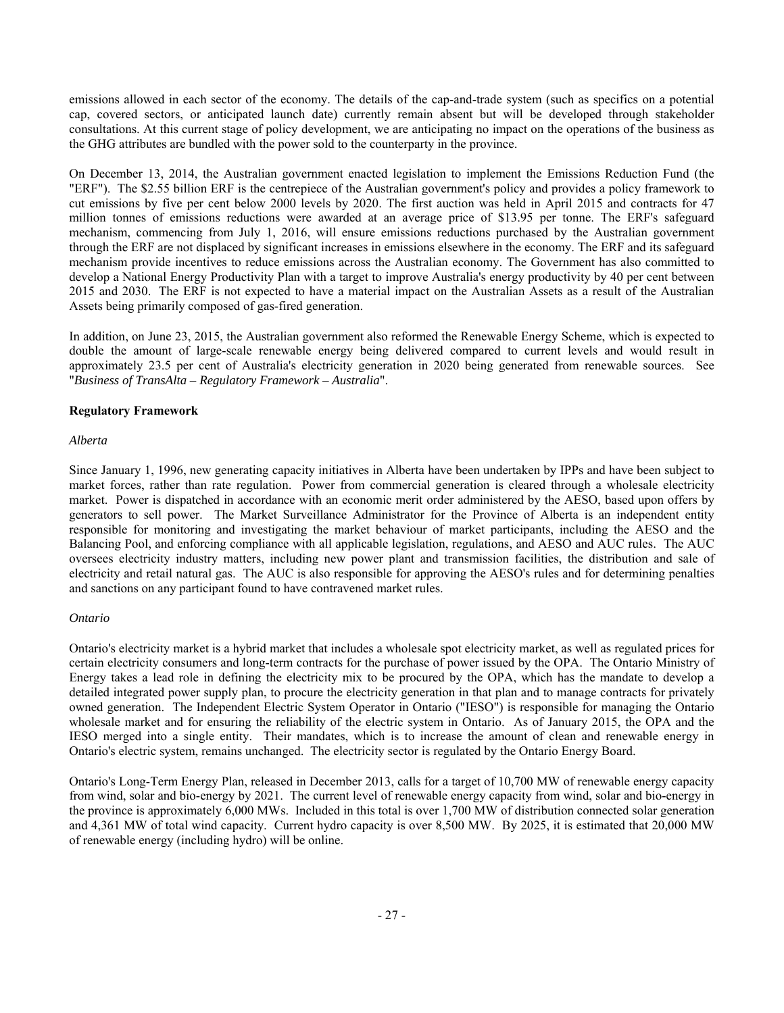emissions allowed in each sector of the economy. The details of the cap-and-trade system (such as specifics on a potential cap, covered sectors, or anticipated launch date) currently remain absent but will be developed through stakeholder consultations. At this current stage of policy development, we are anticipating no impact on the operations of the business as the GHG attributes are bundled with the power sold to the counterparty in the province.

On December 13, 2014, the Australian government enacted legislation to implement the Emissions Reduction Fund (the "ERF"). The \$2.55 billion ERF is the centrepiece of the Australian government's policy and provides a policy framework to cut emissions by five per cent below 2000 levels by 2020. The first auction was held in April 2015 and contracts for 47 million tonnes of emissions reductions were awarded at an average price of \$13.95 per tonne. The ERF's safeguard mechanism, commencing from July 1, 2016, will ensure emissions reductions purchased by the Australian government through the ERF are not displaced by significant increases in emissions elsewhere in the economy. The ERF and its safeguard mechanism provide incentives to reduce emissions across the Australian economy. The Government has also committed to develop a National Energy Productivity Plan with a target to improve Australia's energy productivity by 40 per cent between 2015 and 2030. The ERF is not expected to have a material impact on the Australian Assets as a result of the Australian Assets being primarily composed of gas-fired generation.

In addition, on June 23, 2015, the Australian government also reformed the Renewable Energy Scheme, which is expected to double the amount of large-scale renewable energy being delivered compared to current levels and would result in approximately 23.5 per cent of Australia's electricity generation in 2020 being generated from renewable sources. See "*Business of TransAlta – Regulatory Framework – Australia*".

# **Regulatory Framework**

# *Alberta*

Since January 1, 1996, new generating capacity initiatives in Alberta have been undertaken by IPPs and have been subject to market forces, rather than rate regulation. Power from commercial generation is cleared through a wholesale electricity market. Power is dispatched in accordance with an economic merit order administered by the AESO, based upon offers by generators to sell power. The Market Surveillance Administrator for the Province of Alberta is an independent entity responsible for monitoring and investigating the market behaviour of market participants, including the AESO and the Balancing Pool, and enforcing compliance with all applicable legislation, regulations, and AESO and AUC rules. The AUC oversees electricity industry matters, including new power plant and transmission facilities, the distribution and sale of electricity and retail natural gas. The AUC is also responsible for approving the AESO's rules and for determining penalties and sanctions on any participant found to have contravened market rules.

## *Ontario*

Ontario's electricity market is a hybrid market that includes a wholesale spot electricity market, as well as regulated prices for certain electricity consumers and long-term contracts for the purchase of power issued by the OPA. The Ontario Ministry of Energy takes a lead role in defining the electricity mix to be procured by the OPA, which has the mandate to develop a detailed integrated power supply plan, to procure the electricity generation in that plan and to manage contracts for privately owned generation. The Independent Electric System Operator in Ontario ("IESO") is responsible for managing the Ontario wholesale market and for ensuring the reliability of the electric system in Ontario. As of January 2015, the OPA and the IESO merged into a single entity. Their mandates, which is to increase the amount of clean and renewable energy in Ontario's electric system, remains unchanged. The electricity sector is regulated by the Ontario Energy Board.

Ontario's Long-Term Energy Plan, released in December 2013, calls for a target of 10,700 MW of renewable energy capacity from wind, solar and bio-energy by 2021. The current level of renewable energy capacity from wind, solar and bio-energy in the province is approximately 6,000 MWs. Included in this total is over 1,700 MW of distribution connected solar generation and 4,361 MW of total wind capacity. Current hydro capacity is over 8,500 MW. By 2025, it is estimated that 20,000 MW of renewable energy (including hydro) will be online.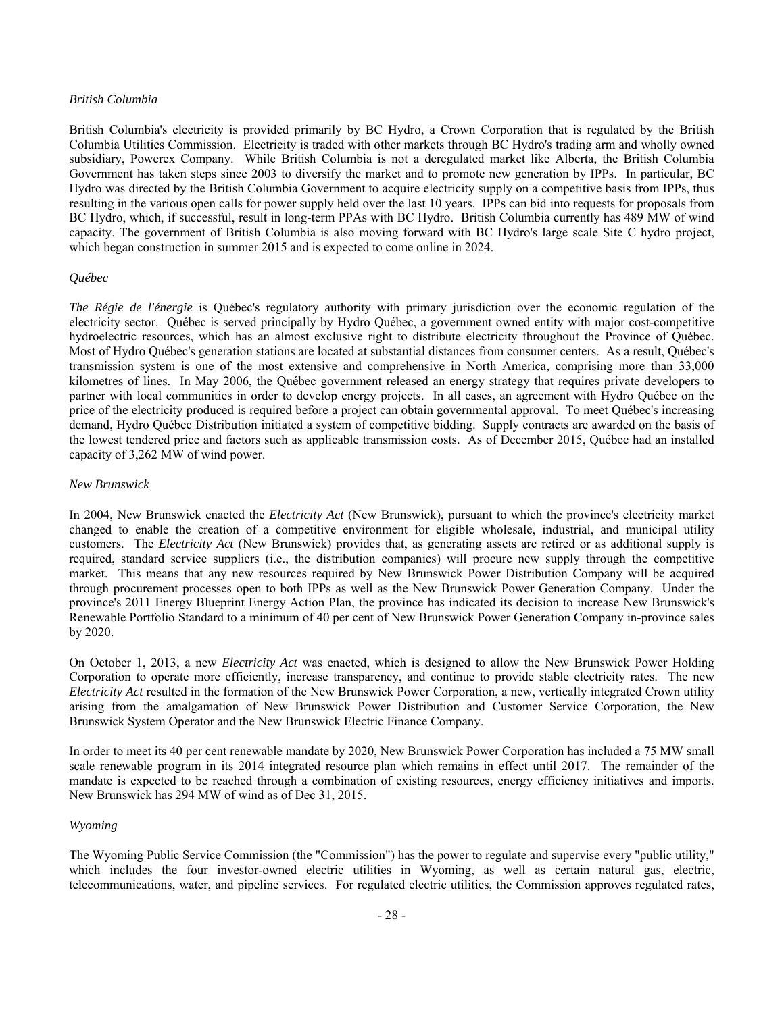## *British Columbia*

British Columbia's electricity is provided primarily by BC Hydro, a Crown Corporation that is regulated by the British Columbia Utilities Commission. Electricity is traded with other markets through BC Hydro's trading arm and wholly owned subsidiary, Powerex Company. While British Columbia is not a deregulated market like Alberta, the British Columbia Government has taken steps since 2003 to diversify the market and to promote new generation by IPPs. In particular, BC Hydro was directed by the British Columbia Government to acquire electricity supply on a competitive basis from IPPs, thus resulting in the various open calls for power supply held over the last 10 years. IPPs can bid into requests for proposals from BC Hydro, which, if successful, result in long-term PPAs with BC Hydro. British Columbia currently has 489 MW of wind capacity. The government of British Columbia is also moving forward with BC Hydro's large scale Site C hydro project, which began construction in summer 2015 and is expected to come online in 2024.

## *Québec*

*The Régie de l'énergie* is Québec's regulatory authority with primary jurisdiction over the economic regulation of the electricity sector. Québec is served principally by Hydro Québec, a government owned entity with major cost-competitive hydroelectric resources, which has an almost exclusive right to distribute electricity throughout the Province of Québec. Most of Hydro Québec's generation stations are located at substantial distances from consumer centers. As a result, Québec's transmission system is one of the most extensive and comprehensive in North America, comprising more than 33,000 kilometres of lines. In May 2006, the Québec government released an energy strategy that requires private developers to partner with local communities in order to develop energy projects. In all cases, an agreement with Hydro Québec on the price of the electricity produced is required before a project can obtain governmental approval. To meet Québec's increasing demand, Hydro Québec Distribution initiated a system of competitive bidding. Supply contracts are awarded on the basis of the lowest tendered price and factors such as applicable transmission costs. As of December 2015, Québec had an installed capacity of 3,262 MW of wind power.

## *New Brunswick*

In 2004, New Brunswick enacted the *Electricity Act* (New Brunswick), pursuant to which the province's electricity market changed to enable the creation of a competitive environment for eligible wholesale, industrial, and municipal utility customers. The *Electricity Act* (New Brunswick) provides that, as generating assets are retired or as additional supply is required, standard service suppliers (i.e., the distribution companies) will procure new supply through the competitive market. This means that any new resources required by New Brunswick Power Distribution Company will be acquired through procurement processes open to both IPPs as well as the New Brunswick Power Generation Company. Under the province's 2011 Energy Blueprint Energy Action Plan, the province has indicated its decision to increase New Brunswick's Renewable Portfolio Standard to a minimum of 40 per cent of New Brunswick Power Generation Company in-province sales by 2020.

On October 1, 2013, a new *Electricity Act* was enacted, which is designed to allow the New Brunswick Power Holding Corporation to operate more efficiently, increase transparency, and continue to provide stable electricity rates. The new *Electricity Act* resulted in the formation of the New Brunswick Power Corporation, a new, vertically integrated Crown utility arising from the amalgamation of New Brunswick Power Distribution and Customer Service Corporation, the New Brunswick System Operator and the New Brunswick Electric Finance Company.

In order to meet its 40 per cent renewable mandate by 2020, New Brunswick Power Corporation has included a 75 MW small scale renewable program in its 2014 integrated resource plan which remains in effect until 2017. The remainder of the mandate is expected to be reached through a combination of existing resources, energy efficiency initiatives and imports. New Brunswick has 294 MW of wind as of Dec 31, 2015.

## *Wyoming*

The Wyoming Public Service Commission (the "Commission") has the power to regulate and supervise every "public utility," which includes the four investor-owned electric utilities in Wyoming, as well as certain natural gas, electric, telecommunications, water, and pipeline services. For regulated electric utilities, the Commission approves regulated rates,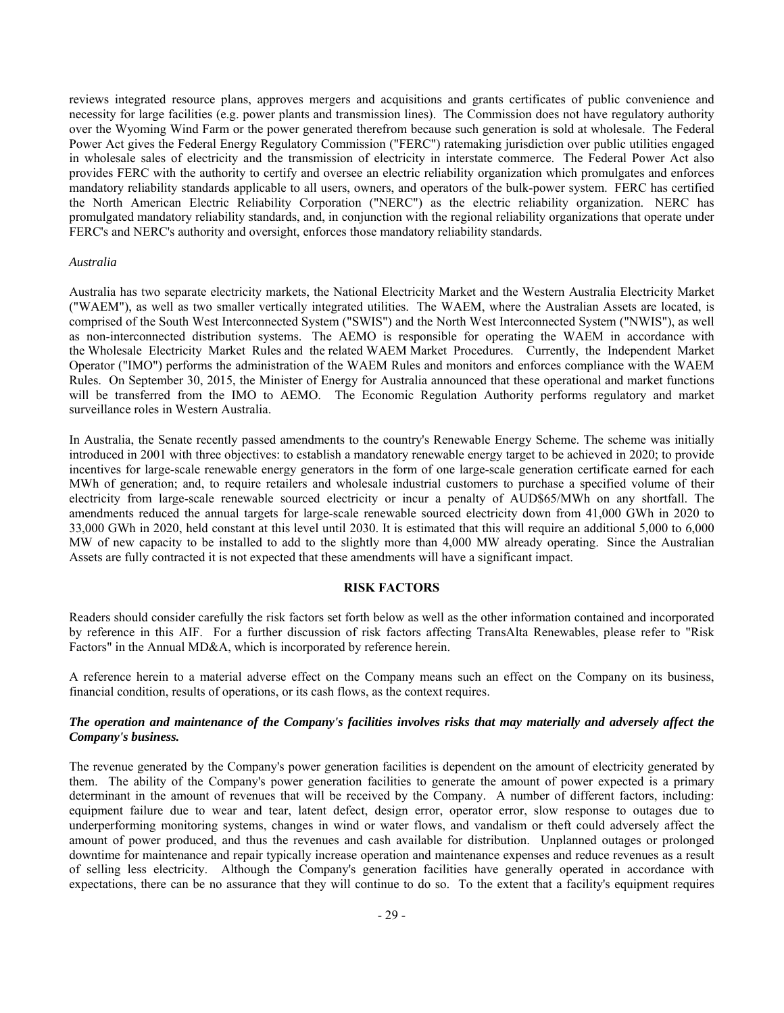reviews integrated resource plans, approves mergers and acquisitions and grants certificates of public convenience and necessity for large facilities (e.g. power plants and transmission lines). The Commission does not have regulatory authority over the Wyoming Wind Farm or the power generated therefrom because such generation is sold at wholesale. The Federal Power Act gives the Federal Energy Regulatory Commission ("FERC") ratemaking jurisdiction over public utilities engaged in wholesale sales of electricity and the transmission of electricity in interstate commerce. The Federal Power Act also provides FERC with the authority to certify and oversee an electric reliability organization which promulgates and enforces mandatory reliability standards applicable to all users, owners, and operators of the bulk-power system. FERC has certified the North American Electric Reliability Corporation ("NERC") as the electric reliability organization. NERC has promulgated mandatory reliability standards, and, in conjunction with the regional reliability organizations that operate under FERC's and NERC's authority and oversight, enforces those mandatory reliability standards.

#### *Australia*

Australia has two separate electricity markets, the National Electricity Market and the Western Australia Electricity Market ("WAEM"), as well as two smaller vertically integrated utilities. The WAEM, where the Australian Assets are located, is comprised of the South West Interconnected System ("SWIS") and the North West Interconnected System ("NWIS"), as well as non-interconnected distribution systems. The AEMO is responsible for operating the WAEM in accordance with the Wholesale Electricity Market Rules and the related WAEM Market Procedures. Currently, the Independent Market Operator ("IMO") performs the administration of the WAEM Rules and monitors and enforces compliance with the WAEM Rules. On September 30, 2015, the Minister of Energy for Australia announced that these operational and market functions will be transferred from the IMO to AEMO. The Economic Regulation Authority performs regulatory and market surveillance roles in Western Australia.

In Australia, the Senate recently passed amendments to the country's Renewable Energy Scheme. The scheme was initially introduced in 2001 with three objectives: to establish a mandatory renewable energy target to be achieved in 2020; to provide incentives for large-scale renewable energy generators in the form of one large-scale generation certificate earned for each MWh of generation; and, to require retailers and wholesale industrial customers to purchase a specified volume of their electricity from large-scale renewable sourced electricity or incur a penalty of AUD\$65/MWh on any shortfall. The amendments reduced the annual targets for large-scale renewable sourced electricity down from 41,000 GWh in 2020 to 33,000 GWh in 2020, held constant at this level until 2030. It is estimated that this will require an additional 5,000 to 6,000 MW of new capacity to be installed to add to the slightly more than 4,000 MW already operating. Since the Australian Assets are fully contracted it is not expected that these amendments will have a significant impact.

## **RISK FACTORS**

Readers should consider carefully the risk factors set forth below as well as the other information contained and incorporated by reference in this AIF. For a further discussion of risk factors affecting TransAlta Renewables, please refer to "Risk Factors" in the Annual MD&A, which is incorporated by reference herein.

A reference herein to a material adverse effect on the Company means such an effect on the Company on its business, financial condition, results of operations, or its cash flows, as the context requires.

# *The operation and maintenance of the Company's facilities involves risks that may materially and adversely affect the Company's business.*

The revenue generated by the Company's power generation facilities is dependent on the amount of electricity generated by them. The ability of the Company's power generation facilities to generate the amount of power expected is a primary determinant in the amount of revenues that will be received by the Company. A number of different factors, including: equipment failure due to wear and tear, latent defect, design error, operator error, slow response to outages due to underperforming monitoring systems, changes in wind or water flows, and vandalism or theft could adversely affect the amount of power produced, and thus the revenues and cash available for distribution. Unplanned outages or prolonged downtime for maintenance and repair typically increase operation and maintenance expenses and reduce revenues as a result of selling less electricity. Although the Company's generation facilities have generally operated in accordance with expectations, there can be no assurance that they will continue to do so. To the extent that a facility's equipment requires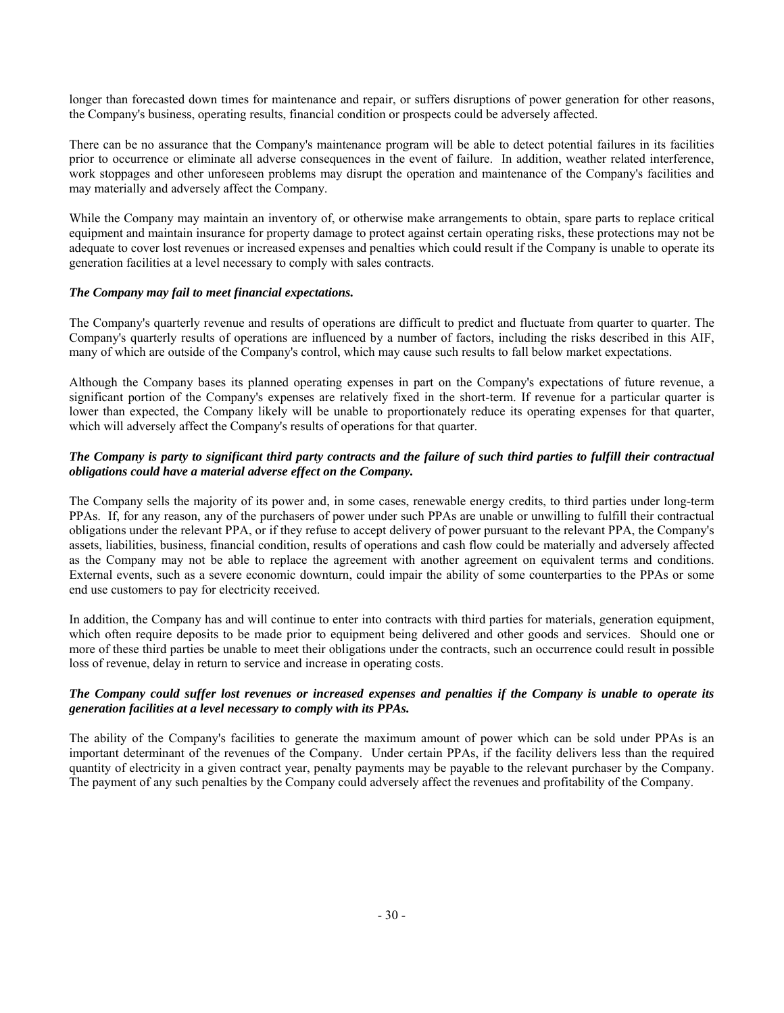longer than forecasted down times for maintenance and repair, or suffers disruptions of power generation for other reasons, the Company's business, operating results, financial condition or prospects could be adversely affected.

There can be no assurance that the Company's maintenance program will be able to detect potential failures in its facilities prior to occurrence or eliminate all adverse consequences in the event of failure. In addition, weather related interference, work stoppages and other unforeseen problems may disrupt the operation and maintenance of the Company's facilities and may materially and adversely affect the Company.

While the Company may maintain an inventory of, or otherwise make arrangements to obtain, spare parts to replace critical equipment and maintain insurance for property damage to protect against certain operating risks, these protections may not be adequate to cover lost revenues or increased expenses and penalties which could result if the Company is unable to operate its generation facilities at a level necessary to comply with sales contracts.

# *The Company may fail to meet financial expectations.*

The Company's quarterly revenue and results of operations are difficult to predict and fluctuate from quarter to quarter. The Company's quarterly results of operations are influenced by a number of factors, including the risks described in this AIF, many of which are outside of the Company's control, which may cause such results to fall below market expectations.

Although the Company bases its planned operating expenses in part on the Company's expectations of future revenue, a significant portion of the Company's expenses are relatively fixed in the short-term. If revenue for a particular quarter is lower than expected, the Company likely will be unable to proportionately reduce its operating expenses for that quarter, which will adversely affect the Company's results of operations for that quarter.

# *The Company is party to significant third party contracts and the failure of such third parties to fulfill their contractual obligations could have a material adverse effect on the Company.*

The Company sells the majority of its power and, in some cases, renewable energy credits, to third parties under long-term PPAs. If, for any reason, any of the purchasers of power under such PPAs are unable or unwilling to fulfill their contractual obligations under the relevant PPA, or if they refuse to accept delivery of power pursuant to the relevant PPA, the Company's assets, liabilities, business, financial condition, results of operations and cash flow could be materially and adversely affected as the Company may not be able to replace the agreement with another agreement on equivalent terms and conditions. External events, such as a severe economic downturn, could impair the ability of some counterparties to the PPAs or some end use customers to pay for electricity received.

In addition, the Company has and will continue to enter into contracts with third parties for materials, generation equipment, which often require deposits to be made prior to equipment being delivered and other goods and services. Should one or more of these third parties be unable to meet their obligations under the contracts, such an occurrence could result in possible loss of revenue, delay in return to service and increase in operating costs.

# *The Company could suffer lost revenues or increased expenses and penalties if the Company is unable to operate its generation facilities at a level necessary to comply with its PPAs.*

The ability of the Company's facilities to generate the maximum amount of power which can be sold under PPAs is an important determinant of the revenues of the Company. Under certain PPAs, if the facility delivers less than the required quantity of electricity in a given contract year, penalty payments may be payable to the relevant purchaser by the Company. The payment of any such penalties by the Company could adversely affect the revenues and profitability of the Company.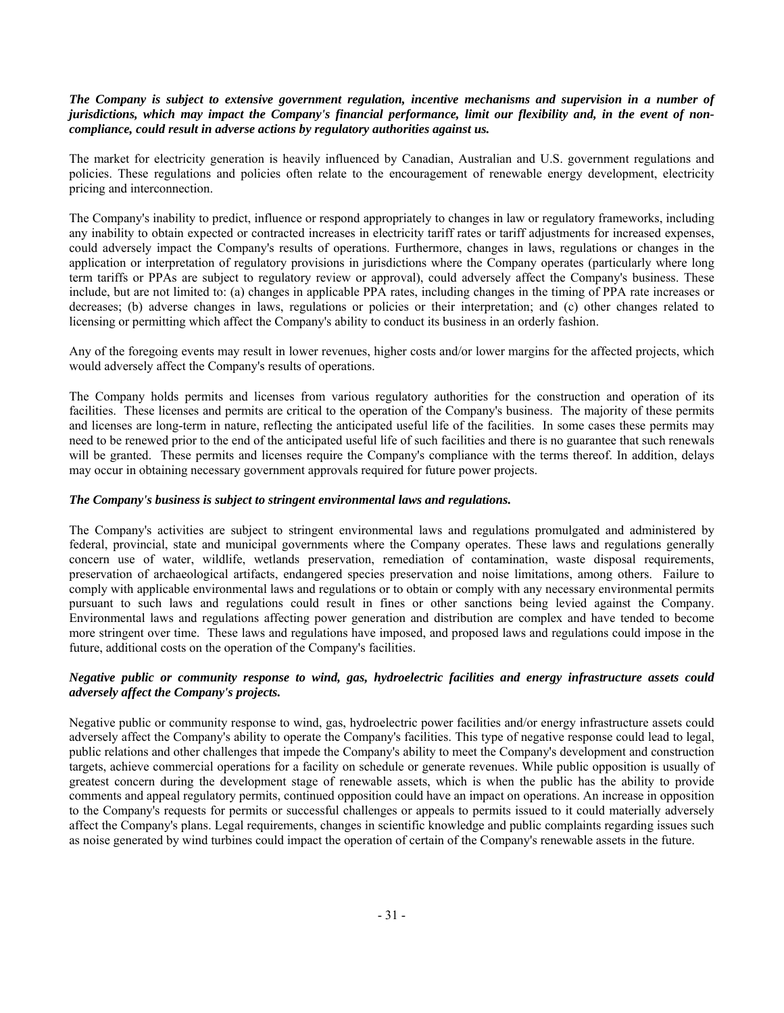# *The Company is subject to extensive government regulation, incentive mechanisms and supervision in a number of jurisdictions, which may impact the Company's financial performance, limit our flexibility and, in the event of noncompliance, could result in adverse actions by regulatory authorities against us.*

The market for electricity generation is heavily influenced by Canadian, Australian and U.S. government regulations and policies. These regulations and policies often relate to the encouragement of renewable energy development, electricity pricing and interconnection.

The Company's inability to predict, influence or respond appropriately to changes in law or regulatory frameworks, including any inability to obtain expected or contracted increases in electricity tariff rates or tariff adjustments for increased expenses, could adversely impact the Company's results of operations. Furthermore, changes in laws, regulations or changes in the application or interpretation of regulatory provisions in jurisdictions where the Company operates (particularly where long term tariffs or PPAs are subject to regulatory review or approval), could adversely affect the Company's business. These include, but are not limited to: (a) changes in applicable PPA rates, including changes in the timing of PPA rate increases or decreases; (b) adverse changes in laws, regulations or policies or their interpretation; and (c) other changes related to licensing or permitting which affect the Company's ability to conduct its business in an orderly fashion.

Any of the foregoing events may result in lower revenues, higher costs and/or lower margins for the affected projects, which would adversely affect the Company's results of operations.

The Company holds permits and licenses from various regulatory authorities for the construction and operation of its facilities. These licenses and permits are critical to the operation of the Company's business. The majority of these permits and licenses are long-term in nature, reflecting the anticipated useful life of the facilities. In some cases these permits may need to be renewed prior to the end of the anticipated useful life of such facilities and there is no guarantee that such renewals will be granted. These permits and licenses require the Company's compliance with the terms thereof. In addition, delays may occur in obtaining necessary government approvals required for future power projects.

# *The Company's business is subject to stringent environmental laws and regulations.*

The Company's activities are subject to stringent environmental laws and regulations promulgated and administered by federal, provincial, state and municipal governments where the Company operates. These laws and regulations generally concern use of water, wildlife, wetlands preservation, remediation of contamination, waste disposal requirements, preservation of archaeological artifacts, endangered species preservation and noise limitations, among others. Failure to comply with applicable environmental laws and regulations or to obtain or comply with any necessary environmental permits pursuant to such laws and regulations could result in fines or other sanctions being levied against the Company. Environmental laws and regulations affecting power generation and distribution are complex and have tended to become more stringent over time. These laws and regulations have imposed, and proposed laws and regulations could impose in the future, additional costs on the operation of the Company's facilities.

# *Negative public or community response to wind, gas, hydroelectric facilities and energy infrastructure assets could adversely affect the Company's projects.*

Negative public or community response to wind, gas, hydroelectric power facilities and/or energy infrastructure assets could adversely affect the Company's ability to operate the Company's facilities. This type of negative response could lead to legal, public relations and other challenges that impede the Company's ability to meet the Company's development and construction targets, achieve commercial operations for a facility on schedule or generate revenues. While public opposition is usually of greatest concern during the development stage of renewable assets, which is when the public has the ability to provide comments and appeal regulatory permits, continued opposition could have an impact on operations. An increase in opposition to the Company's requests for permits or successful challenges or appeals to permits issued to it could materially adversely affect the Company's plans. Legal requirements, changes in scientific knowledge and public complaints regarding issues such as noise generated by wind turbines could impact the operation of certain of the Company's renewable assets in the future.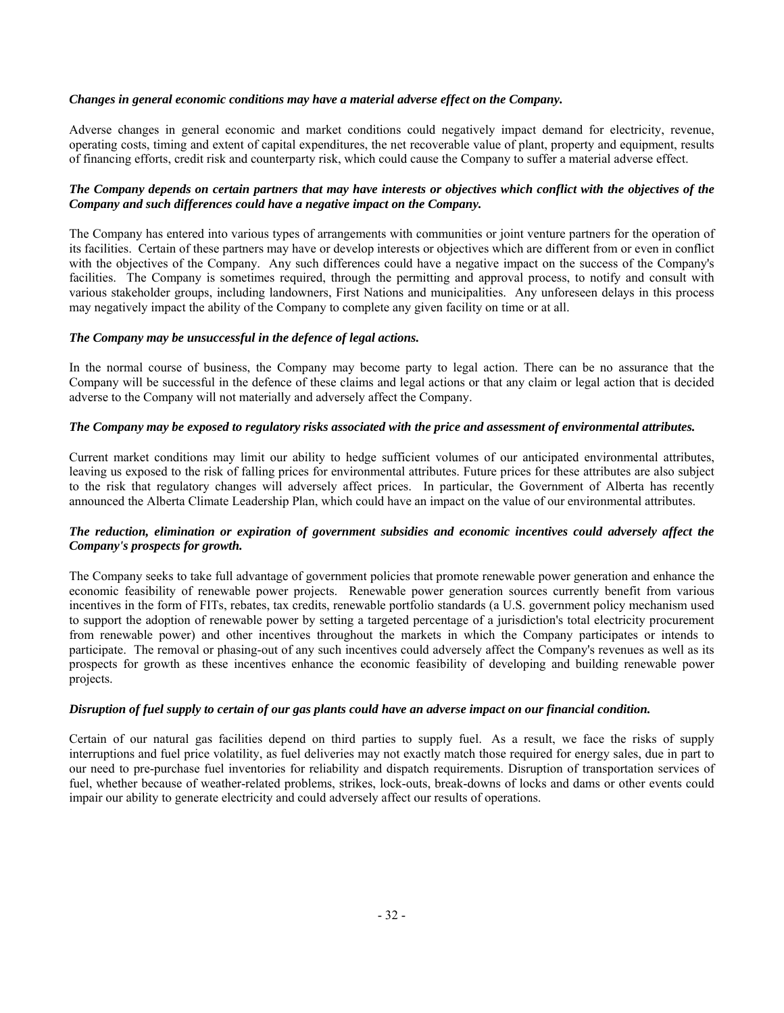# *Changes in general economic conditions may have a material adverse effect on the Company.*

Adverse changes in general economic and market conditions could negatively impact demand for electricity, revenue, operating costs, timing and extent of capital expenditures, the net recoverable value of plant, property and equipment, results of financing efforts, credit risk and counterparty risk, which could cause the Company to suffer a material adverse effect.

# *The Company depends on certain partners that may have interests or objectives which conflict with the objectives of the Company and such differences could have a negative impact on the Company.*

The Company has entered into various types of arrangements with communities or joint venture partners for the operation of its facilities. Certain of these partners may have or develop interests or objectives which are different from or even in conflict with the objectives of the Company. Any such differences could have a negative impact on the success of the Company's facilities. The Company is sometimes required, through the permitting and approval process, to notify and consult with various stakeholder groups, including landowners, First Nations and municipalities. Any unforeseen delays in this process may negatively impact the ability of the Company to complete any given facility on time or at all.

# *The Company may be unsuccessful in the defence of legal actions.*

In the normal course of business, the Company may become party to legal action. There can be no assurance that the Company will be successful in the defence of these claims and legal actions or that any claim or legal action that is decided adverse to the Company will not materially and adversely affect the Company.

# *The Company may be exposed to regulatory risks associated with the price and assessment of environmental attributes.*

Current market conditions may limit our ability to hedge sufficient volumes of our anticipated environmental attributes, leaving us exposed to the risk of falling prices for environmental attributes. Future prices for these attributes are also subject to the risk that regulatory changes will adversely affect prices. In particular, the Government of Alberta has recently announced the Alberta Climate Leadership Plan, which could have an impact on the value of our environmental attributes.

# *The reduction, elimination or expiration of government subsidies and economic incentives could adversely affect the Company's prospects for growth.*

The Company seeks to take full advantage of government policies that promote renewable power generation and enhance the economic feasibility of renewable power projects. Renewable power generation sources currently benefit from various incentives in the form of FITs, rebates, tax credits, renewable portfolio standards (a U.S. government policy mechanism used to support the adoption of renewable power by setting a targeted percentage of a jurisdiction's total electricity procurement from renewable power) and other incentives throughout the markets in which the Company participates or intends to participate. The removal or phasing-out of any such incentives could adversely affect the Company's revenues as well as its prospects for growth as these incentives enhance the economic feasibility of developing and building renewable power projects.

## *Disruption of fuel supply to certain of our gas plants could have an adverse impact on our financial condition.*

Certain of our natural gas facilities depend on third parties to supply fuel. As a result, we face the risks of supply interruptions and fuel price volatility, as fuel deliveries may not exactly match those required for energy sales, due in part to our need to pre-purchase fuel inventories for reliability and dispatch requirements. Disruption of transportation services of fuel, whether because of weather-related problems, strikes, lock-outs, break-downs of locks and dams or other events could impair our ability to generate electricity and could adversely affect our results of operations.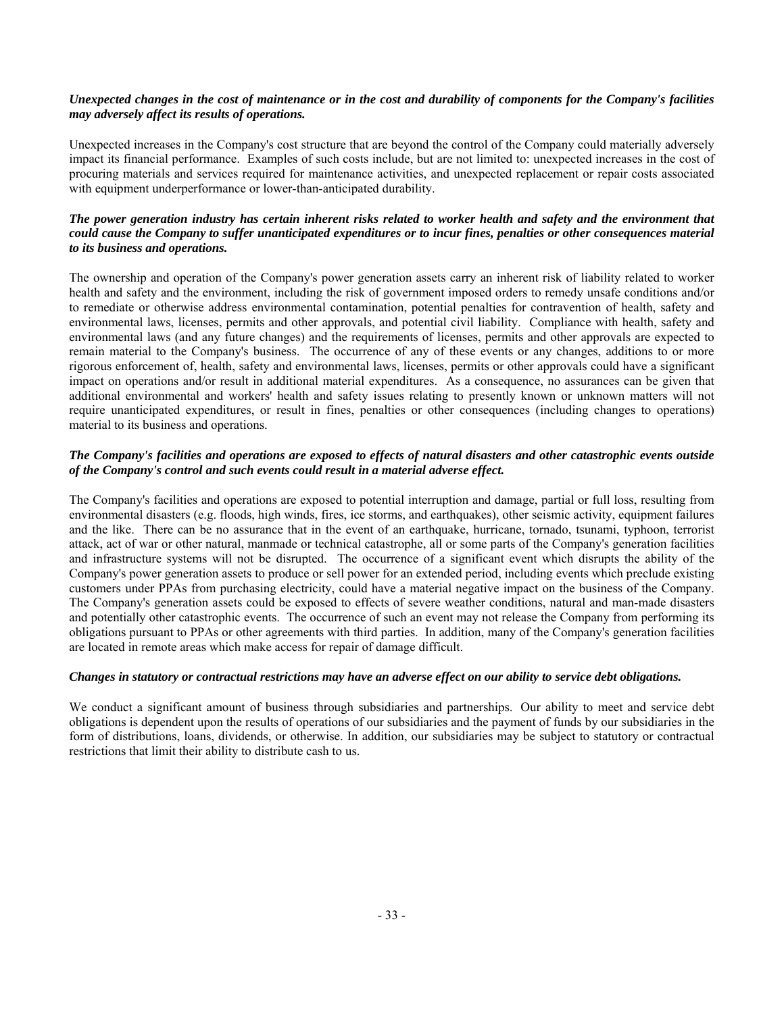# *Unexpected changes in the cost of maintenance or in the cost and durability of components for the Company's facilities may adversely affect its results of operations.*

Unexpected increases in the Company's cost structure that are beyond the control of the Company could materially adversely impact its financial performance. Examples of such costs include, but are not limited to: unexpected increases in the cost of procuring materials and services required for maintenance activities, and unexpected replacement or repair costs associated with equipment underperformance or lower-than-anticipated durability.

# *The power generation industry has certain inherent risks related to worker health and safety and the environment that could cause the Company to suffer unanticipated expenditures or to incur fines, penalties or other consequences material to its business and operations.*

The ownership and operation of the Company's power generation assets carry an inherent risk of liability related to worker health and safety and the environment, including the risk of government imposed orders to remedy unsafe conditions and/or to remediate or otherwise address environmental contamination, potential penalties for contravention of health, safety and environmental laws, licenses, permits and other approvals, and potential civil liability. Compliance with health, safety and environmental laws (and any future changes) and the requirements of licenses, permits and other approvals are expected to remain material to the Company's business. The occurrence of any of these events or any changes, additions to or more rigorous enforcement of, health, safety and environmental laws, licenses, permits or other approvals could have a significant impact on operations and/or result in additional material expenditures. As a consequence, no assurances can be given that additional environmental and workers' health and safety issues relating to presently known or unknown matters will not require unanticipated expenditures, or result in fines, penalties or other consequences (including changes to operations) material to its business and operations.

# *The Company's facilities and operations are exposed to effects of natural disasters and other catastrophic events outside of the Company's control and such events could result in a material adverse effect.*

The Company's facilities and operations are exposed to potential interruption and damage, partial or full loss, resulting from environmental disasters (e.g. floods, high winds, fires, ice storms, and earthquakes), other seismic activity, equipment failures and the like. There can be no assurance that in the event of an earthquake, hurricane, tornado, tsunami, typhoon, terrorist attack, act of war or other natural, manmade or technical catastrophe, all or some parts of the Company's generation facilities and infrastructure systems will not be disrupted. The occurrence of a significant event which disrupts the ability of the Company's power generation assets to produce or sell power for an extended period, including events which preclude existing customers under PPAs from purchasing electricity, could have a material negative impact on the business of the Company. The Company's generation assets could be exposed to effects of severe weather conditions, natural and man-made disasters and potentially other catastrophic events. The occurrence of such an event may not release the Company from performing its obligations pursuant to PPAs or other agreements with third parties. In addition, many of the Company's generation facilities are located in remote areas which make access for repair of damage difficult.

# *Changes in statutory or contractual restrictions may have an adverse effect on our ability to service debt obligations.*

We conduct a significant amount of business through subsidiaries and partnerships. Our ability to meet and service debt obligations is dependent upon the results of operations of our subsidiaries and the payment of funds by our subsidiaries in the form of distributions, loans, dividends, or otherwise. In addition, our subsidiaries may be subject to statutory or contractual restrictions that limit their ability to distribute cash to us.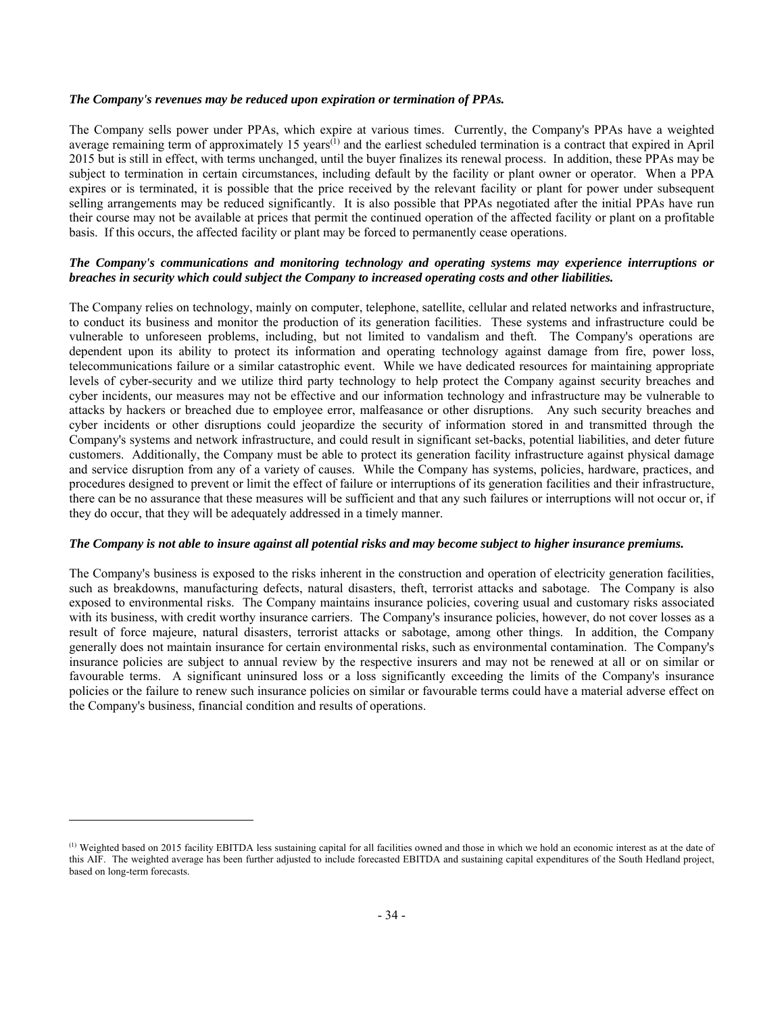## *The Company's revenues may be reduced upon expiration or termination of PPAs.*

The Company sells power under PPAs, which expire at various times. Currently, the Company's PPAs have a weighted average remaining term of approximately 15 years<sup> $(1)$ </sup> and the earliest scheduled termination is a contract that expired in April 2015 but is still in effect, with terms unchanged, until the buyer finalizes its renewal process. In addition, these PPAs may be subject to termination in certain circumstances, including default by the facility or plant owner or operator. When a PPA expires or is terminated, it is possible that the price received by the relevant facility or plant for power under subsequent selling arrangements may be reduced significantly. It is also possible that PPAs negotiated after the initial PPAs have run their course may not be available at prices that permit the continued operation of the affected facility or plant on a profitable basis. If this occurs, the affected facility or plant may be forced to permanently cease operations.

# *The Company's communications and monitoring technology and operating systems may experience interruptions or breaches in security which could subject the Company to increased operating costs and other liabilities.*

The Company relies on technology, mainly on computer, telephone, satellite, cellular and related networks and infrastructure, to conduct its business and monitor the production of its generation facilities. These systems and infrastructure could be vulnerable to unforeseen problems, including, but not limited to vandalism and theft. The Company's operations are dependent upon its ability to protect its information and operating technology against damage from fire, power loss, telecommunications failure or a similar catastrophic event. While we have dedicated resources for maintaining appropriate levels of cyber-security and we utilize third party technology to help protect the Company against security breaches and cyber incidents, our measures may not be effective and our information technology and infrastructure may be vulnerable to attacks by hackers or breached due to employee error, malfeasance or other disruptions. Any such security breaches and cyber incidents or other disruptions could jeopardize the security of information stored in and transmitted through the Company's systems and network infrastructure, and could result in significant set-backs, potential liabilities, and deter future customers. Additionally, the Company must be able to protect its generation facility infrastructure against physical damage and service disruption from any of a variety of causes. While the Company has systems, policies, hardware, practices, and procedures designed to prevent or limit the effect of failure or interruptions of its generation facilities and their infrastructure, there can be no assurance that these measures will be sufficient and that any such failures or interruptions will not occur or, if they do occur, that they will be adequately addressed in a timely manner.

## *The Company is not able to insure against all potential risks and may become subject to higher insurance premiums.*

The Company's business is exposed to the risks inherent in the construction and operation of electricity generation facilities, such as breakdowns, manufacturing defects, natural disasters, theft, terrorist attacks and sabotage. The Company is also exposed to environmental risks. The Company maintains insurance policies, covering usual and customary risks associated with its business, with credit worthy insurance carriers. The Company's insurance policies, however, do not cover losses as a result of force majeure, natural disasters, terrorist attacks or sabotage, among other things. In addition, the Company generally does not maintain insurance for certain environmental risks, such as environmental contamination. The Company's insurance policies are subject to annual review by the respective insurers and may not be renewed at all or on similar or favourable terms. A significant uninsured loss or a loss significantly exceeding the limits of the Company's insurance policies or the failure to renew such insurance policies on similar or favourable terms could have a material adverse effect on the Company's business, financial condition and results of operations.

-

<sup>(1)</sup> Weighted based on 2015 facility EBITDA less sustaining capital for all facilities owned and those in which we hold an economic interest as at the date of this AIF. The weighted average has been further adjusted to include forecasted EBITDA and sustaining capital expenditures of the South Hedland project, based on long-term forecasts.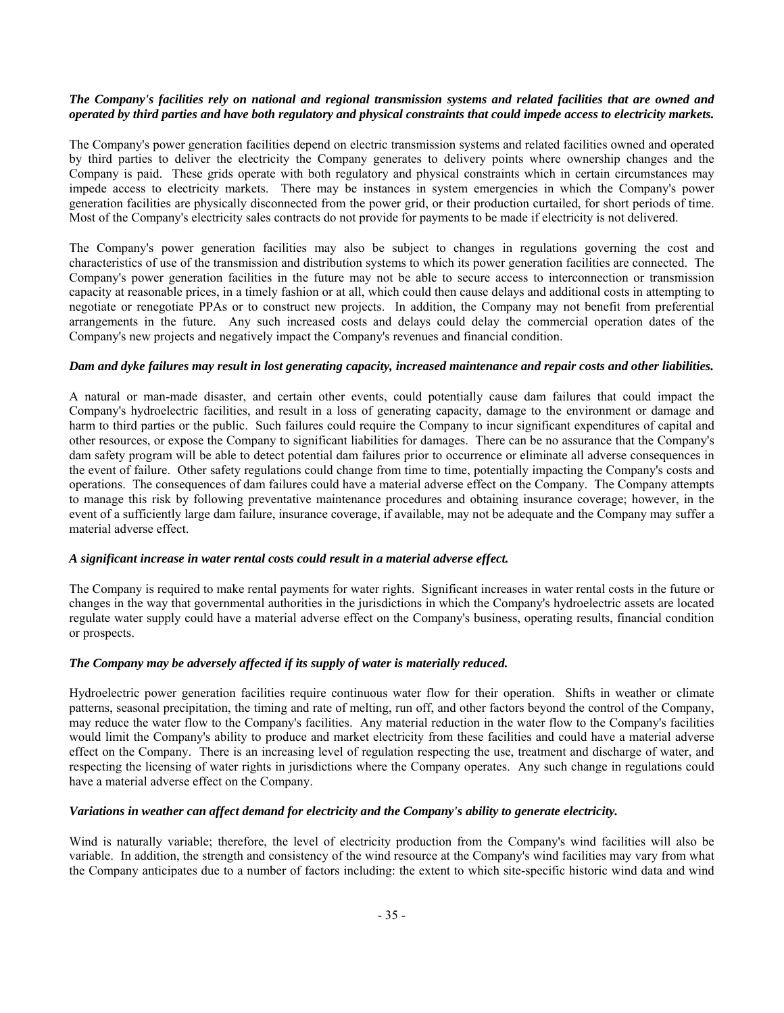# *The Company's facilities rely on national and regional transmission systems and related facilities that are owned and operated by third parties and have both regulatory and physical constraints that could impede access to electricity markets.*

The Company's power generation facilities depend on electric transmission systems and related facilities owned and operated by third parties to deliver the electricity the Company generates to delivery points where ownership changes and the Company is paid. These grids operate with both regulatory and physical constraints which in certain circumstances may impede access to electricity markets. There may be instances in system emergencies in which the Company's power generation facilities are physically disconnected from the power grid, or their production curtailed, for short periods of time. Most of the Company's electricity sales contracts do not provide for payments to be made if electricity is not delivered.

The Company's power generation facilities may also be subject to changes in regulations governing the cost and characteristics of use of the transmission and distribution systems to which its power generation facilities are connected. The Company's power generation facilities in the future may not be able to secure access to interconnection or transmission capacity at reasonable prices, in a timely fashion or at all, which could then cause delays and additional costs in attempting to negotiate or renegotiate PPAs or to construct new projects. In addition, the Company may not benefit from preferential arrangements in the future. Any such increased costs and delays could delay the commercial operation dates of the Company's new projects and negatively impact the Company's revenues and financial condition.

# *Dam and dyke failures may result in lost generating capacity, increased maintenance and repair costs and other liabilities.*

A natural or man-made disaster, and certain other events, could potentially cause dam failures that could impact the Company's hydroelectric facilities, and result in a loss of generating capacity, damage to the environment or damage and harm to third parties or the public. Such failures could require the Company to incur significant expenditures of capital and other resources, or expose the Company to significant liabilities for damages. There can be no assurance that the Company's dam safety program will be able to detect potential dam failures prior to occurrence or eliminate all adverse consequences in the event of failure. Other safety regulations could change from time to time, potentially impacting the Company's costs and operations. The consequences of dam failures could have a material adverse effect on the Company. The Company attempts to manage this risk by following preventative maintenance procedures and obtaining insurance coverage; however, in the event of a sufficiently large dam failure, insurance coverage, if available, may not be adequate and the Company may suffer a material adverse effect.

# *A significant increase in water rental costs could result in a material adverse effect.*

The Company is required to make rental payments for water rights. Significant increases in water rental costs in the future or changes in the way that governmental authorities in the jurisdictions in which the Company's hydroelectric assets are located regulate water supply could have a material adverse effect on the Company's business, operating results, financial condition or prospects.

# *The Company may be adversely affected if its supply of water is materially reduced.*

Hydroelectric power generation facilities require continuous water flow for their operation. Shifts in weather or climate patterns, seasonal precipitation, the timing and rate of melting, run off, and other factors beyond the control of the Company, may reduce the water flow to the Company's facilities. Any material reduction in the water flow to the Company's facilities would limit the Company's ability to produce and market electricity from these facilities and could have a material adverse effect on the Company. There is an increasing level of regulation respecting the use, treatment and discharge of water, and respecting the licensing of water rights in jurisdictions where the Company operates. Any such change in regulations could have a material adverse effect on the Company.

# *Variations in weather can affect demand for electricity and the Company's ability to generate electricity.*

Wind is naturally variable; therefore, the level of electricity production from the Company's wind facilities will also be variable. In addition, the strength and consistency of the wind resource at the Company's wind facilities may vary from what the Company anticipates due to a number of factors including: the extent to which site-specific historic wind data and wind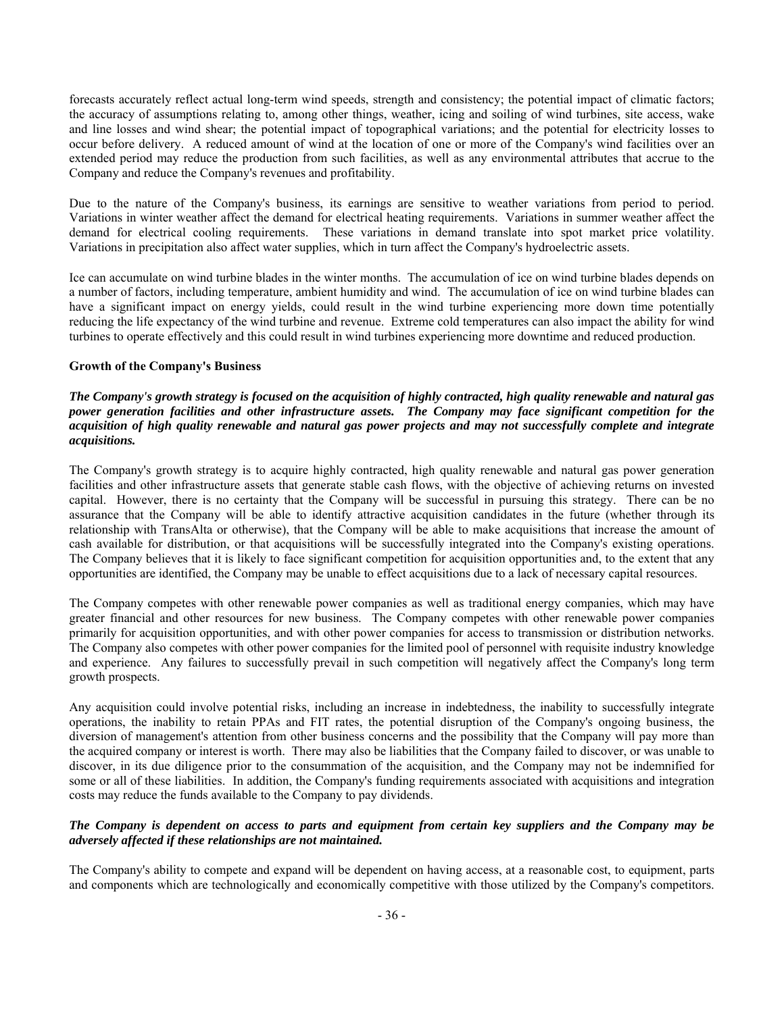forecasts accurately reflect actual long-term wind speeds, strength and consistency; the potential impact of climatic factors; the accuracy of assumptions relating to, among other things, weather, icing and soiling of wind turbines, site access, wake and line losses and wind shear; the potential impact of topographical variations; and the potential for electricity losses to occur before delivery. A reduced amount of wind at the location of one or more of the Company's wind facilities over an extended period may reduce the production from such facilities, as well as any environmental attributes that accrue to the Company and reduce the Company's revenues and profitability.

Due to the nature of the Company's business, its earnings are sensitive to weather variations from period to period. Variations in winter weather affect the demand for electrical heating requirements. Variations in summer weather affect the demand for electrical cooling requirements. These variations in demand translate into spot market price volatility. Variations in precipitation also affect water supplies, which in turn affect the Company's hydroelectric assets.

Ice can accumulate on wind turbine blades in the winter months. The accumulation of ice on wind turbine blades depends on a number of factors, including temperature, ambient humidity and wind. The accumulation of ice on wind turbine blades can have a significant impact on energy yields, could result in the wind turbine experiencing more down time potentially reducing the life expectancy of the wind turbine and revenue. Extreme cold temperatures can also impact the ability for wind turbines to operate effectively and this could result in wind turbines experiencing more downtime and reduced production.

# **Growth of the Company's Business**

# *The Company's growth strategy is focused on the acquisition of highly contracted, high quality renewable and natural gas power generation facilities and other infrastructure assets. The Company may face significant competition for the acquisition of high quality renewable and natural gas power projects and may not successfully complete and integrate acquisitions.*

The Company's growth strategy is to acquire highly contracted, high quality renewable and natural gas power generation facilities and other infrastructure assets that generate stable cash flows, with the objective of achieving returns on invested capital. However, there is no certainty that the Company will be successful in pursuing this strategy. There can be no assurance that the Company will be able to identify attractive acquisition candidates in the future (whether through its relationship with TransAlta or otherwise), that the Company will be able to make acquisitions that increase the amount of cash available for distribution, or that acquisitions will be successfully integrated into the Company's existing operations. The Company believes that it is likely to face significant competition for acquisition opportunities and, to the extent that any opportunities are identified, the Company may be unable to effect acquisitions due to a lack of necessary capital resources.

The Company competes with other renewable power companies as well as traditional energy companies, which may have greater financial and other resources for new business. The Company competes with other renewable power companies primarily for acquisition opportunities, and with other power companies for access to transmission or distribution networks. The Company also competes with other power companies for the limited pool of personnel with requisite industry knowledge and experience. Any failures to successfully prevail in such competition will negatively affect the Company's long term growth prospects.

Any acquisition could involve potential risks, including an increase in indebtedness, the inability to successfully integrate operations, the inability to retain PPAs and FIT rates, the potential disruption of the Company's ongoing business, the diversion of management's attention from other business concerns and the possibility that the Company will pay more than the acquired company or interest is worth. There may also be liabilities that the Company failed to discover, or was unable to discover, in its due diligence prior to the consummation of the acquisition, and the Company may not be indemnified for some or all of these liabilities. In addition, the Company's funding requirements associated with acquisitions and integration costs may reduce the funds available to the Company to pay dividends.

# *The Company is dependent on access to parts and equipment from certain key suppliers and the Company may be adversely affected if these relationships are not maintained.*

The Company's ability to compete and expand will be dependent on having access, at a reasonable cost, to equipment, parts and components which are technologically and economically competitive with those utilized by the Company's competitors.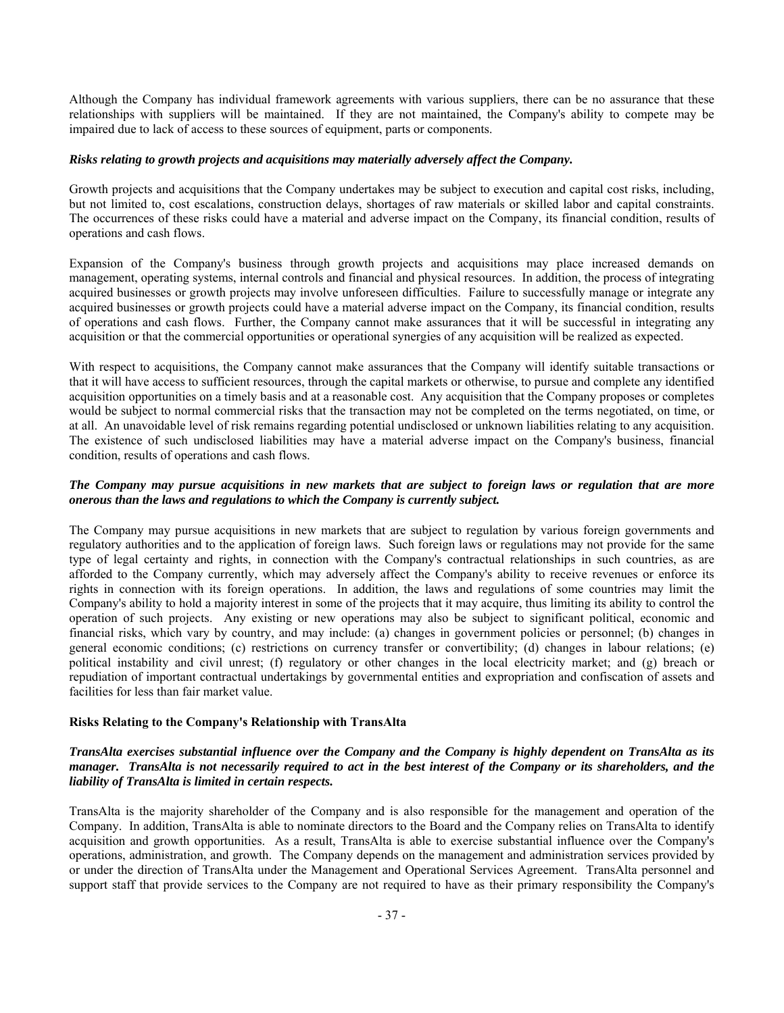Although the Company has individual framework agreements with various suppliers, there can be no assurance that these relationships with suppliers will be maintained. If they are not maintained, the Company's ability to compete may be impaired due to lack of access to these sources of equipment, parts or components.

## *Risks relating to growth projects and acquisitions may materially adversely affect the Company.*

Growth projects and acquisitions that the Company undertakes may be subject to execution and capital cost risks, including, but not limited to, cost escalations, construction delays, shortages of raw materials or skilled labor and capital constraints. The occurrences of these risks could have a material and adverse impact on the Company, its financial condition, results of operations and cash flows.

Expansion of the Company's business through growth projects and acquisitions may place increased demands on management, operating systems, internal controls and financial and physical resources. In addition, the process of integrating acquired businesses or growth projects may involve unforeseen difficulties. Failure to successfully manage or integrate any acquired businesses or growth projects could have a material adverse impact on the Company, its financial condition, results of operations and cash flows. Further, the Company cannot make assurances that it will be successful in integrating any acquisition or that the commercial opportunities or operational synergies of any acquisition will be realized as expected.

With respect to acquisitions, the Company cannot make assurances that the Company will identify suitable transactions or that it will have access to sufficient resources, through the capital markets or otherwise, to pursue and complete any identified acquisition opportunities on a timely basis and at a reasonable cost. Any acquisition that the Company proposes or completes would be subject to normal commercial risks that the transaction may not be completed on the terms negotiated, on time, or at all. An unavoidable level of risk remains regarding potential undisclosed or unknown liabilities relating to any acquisition. The existence of such undisclosed liabilities may have a material adverse impact on the Company's business, financial condition, results of operations and cash flows.

# *The Company may pursue acquisitions in new markets that are subject to foreign laws or regulation that are more onerous than the laws and regulations to which the Company is currently subject.*

The Company may pursue acquisitions in new markets that are subject to regulation by various foreign governments and regulatory authorities and to the application of foreign laws. Such foreign laws or regulations may not provide for the same type of legal certainty and rights, in connection with the Company's contractual relationships in such countries, as are afforded to the Company currently, which may adversely affect the Company's ability to receive revenues or enforce its rights in connection with its foreign operations. In addition, the laws and regulations of some countries may limit the Company's ability to hold a majority interest in some of the projects that it may acquire, thus limiting its ability to control the operation of such projects. Any existing or new operations may also be subject to significant political, economic and financial risks, which vary by country, and may include: (a) changes in government policies or personnel; (b) changes in general economic conditions; (c) restrictions on currency transfer or convertibility; (d) changes in labour relations; (e) political instability and civil unrest; (f) regulatory or other changes in the local electricity market; and (g) breach or repudiation of important contractual undertakings by governmental entities and expropriation and confiscation of assets and facilities for less than fair market value.

## **Risks Relating to the Company's Relationship with TransAlta**

# *TransAlta exercises substantial influence over the Company and the Company is highly dependent on TransAlta as its manager. TransAlta is not necessarily required to act in the best interest of the Company or its shareholders, and the liability of TransAlta is limited in certain respects.*

TransAlta is the majority shareholder of the Company and is also responsible for the management and operation of the Company. In addition, TransAlta is able to nominate directors to the Board and the Company relies on TransAlta to identify acquisition and growth opportunities. As a result, TransAlta is able to exercise substantial influence over the Company's operations, administration, and growth. The Company depends on the management and administration services provided by or under the direction of TransAlta under the Management and Operational Services Agreement. TransAlta personnel and support staff that provide services to the Company are not required to have as their primary responsibility the Company's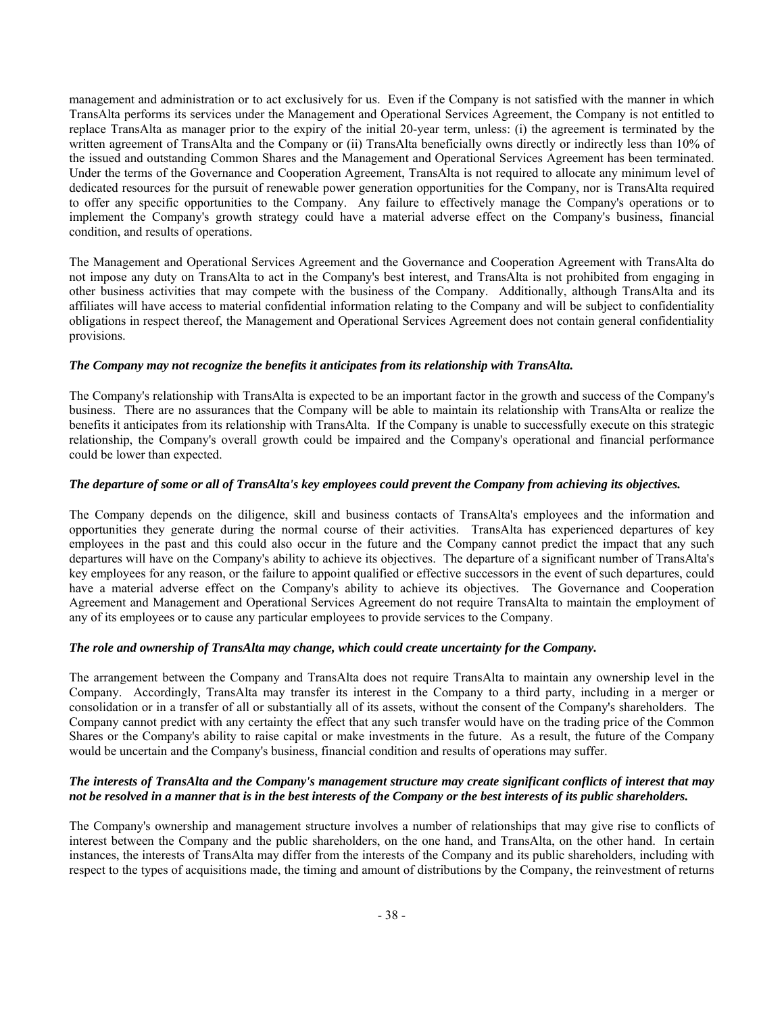management and administration or to act exclusively for us. Even if the Company is not satisfied with the manner in which TransAlta performs its services under the Management and Operational Services Agreement, the Company is not entitled to replace TransAlta as manager prior to the expiry of the initial 20-year term, unless: (i) the agreement is terminated by the written agreement of TransAlta and the Company or (ii) TransAlta beneficially owns directly or indirectly less than 10% of the issued and outstanding Common Shares and the Management and Operational Services Agreement has been terminated. Under the terms of the Governance and Cooperation Agreement, TransAlta is not required to allocate any minimum level of dedicated resources for the pursuit of renewable power generation opportunities for the Company, nor is TransAlta required to offer any specific opportunities to the Company. Any failure to effectively manage the Company's operations or to implement the Company's growth strategy could have a material adverse effect on the Company's business, financial condition, and results of operations.

The Management and Operational Services Agreement and the Governance and Cooperation Agreement with TransAlta do not impose any duty on TransAlta to act in the Company's best interest, and TransAlta is not prohibited from engaging in other business activities that may compete with the business of the Company. Additionally, although TransAlta and its affiliates will have access to material confidential information relating to the Company and will be subject to confidentiality obligations in respect thereof, the Management and Operational Services Agreement does not contain general confidentiality provisions.

# *The Company may not recognize the benefits it anticipates from its relationship with TransAlta.*

The Company's relationship with TransAlta is expected to be an important factor in the growth and success of the Company's business. There are no assurances that the Company will be able to maintain its relationship with TransAlta or realize the benefits it anticipates from its relationship with TransAlta. If the Company is unable to successfully execute on this strategic relationship, the Company's overall growth could be impaired and the Company's operational and financial performance could be lower than expected.

# *The departure of some or all of TransAlta's key employees could prevent the Company from achieving its objectives.*

The Company depends on the diligence, skill and business contacts of TransAlta's employees and the information and opportunities they generate during the normal course of their activities. TransAlta has experienced departures of key employees in the past and this could also occur in the future and the Company cannot predict the impact that any such departures will have on the Company's ability to achieve its objectives. The departure of a significant number of TransAlta's key employees for any reason, or the failure to appoint qualified or effective successors in the event of such departures, could have a material adverse effect on the Company's ability to achieve its objectives. The Governance and Cooperation Agreement and Management and Operational Services Agreement do not require TransAlta to maintain the employment of any of its employees or to cause any particular employees to provide services to the Company.

# *The role and ownership of TransAlta may change, which could create uncertainty for the Company.*

The arrangement between the Company and TransAlta does not require TransAlta to maintain any ownership level in the Company. Accordingly, TransAlta may transfer its interest in the Company to a third party, including in a merger or consolidation or in a transfer of all or substantially all of its assets, without the consent of the Company's shareholders. The Company cannot predict with any certainty the effect that any such transfer would have on the trading price of the Common Shares or the Company's ability to raise capital or make investments in the future. As a result, the future of the Company would be uncertain and the Company's business, financial condition and results of operations may suffer.

# *The interests of TransAlta and the Company's management structure may create significant conflicts of interest that may not be resolved in a manner that is in the best interests of the Company or the best interests of its public shareholders.*

The Company's ownership and management structure involves a number of relationships that may give rise to conflicts of interest between the Company and the public shareholders, on the one hand, and TransAlta, on the other hand. In certain instances, the interests of TransAlta may differ from the interests of the Company and its public shareholders, including with respect to the types of acquisitions made, the timing and amount of distributions by the Company, the reinvestment of returns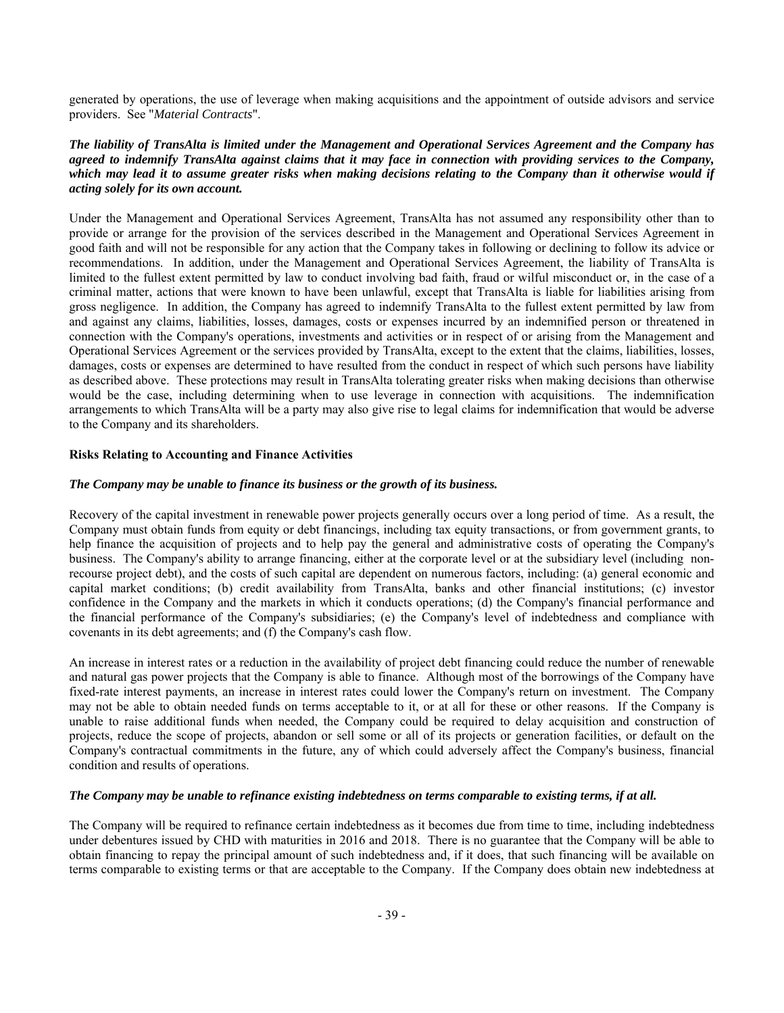generated by operations, the use of leverage when making acquisitions and the appointment of outside advisors and service providers. See "*Material Contracts*".

# *The liability of TransAlta is limited under the Management and Operational Services Agreement and the Company has agreed to indemnify TransAlta against claims that it may face in connection with providing services to the Company, which may lead it to assume greater risks when making decisions relating to the Company than it otherwise would if acting solely for its own account.*

Under the Management and Operational Services Agreement, TransAlta has not assumed any responsibility other than to provide or arrange for the provision of the services described in the Management and Operational Services Agreement in good faith and will not be responsible for any action that the Company takes in following or declining to follow its advice or recommendations. In addition, under the Management and Operational Services Agreement, the liability of TransAlta is limited to the fullest extent permitted by law to conduct involving bad faith, fraud or wilful misconduct or, in the case of a criminal matter, actions that were known to have been unlawful, except that TransAlta is liable for liabilities arising from gross negligence. In addition, the Company has agreed to indemnify TransAlta to the fullest extent permitted by law from and against any claims, liabilities, losses, damages, costs or expenses incurred by an indemnified person or threatened in connection with the Company's operations, investments and activities or in respect of or arising from the Management and Operational Services Agreement or the services provided by TransAlta, except to the extent that the claims, liabilities, losses, damages, costs or expenses are determined to have resulted from the conduct in respect of which such persons have liability as described above. These protections may result in TransAlta tolerating greater risks when making decisions than otherwise would be the case, including determining when to use leverage in connection with acquisitions. The indemnification arrangements to which TransAlta will be a party may also give rise to legal claims for indemnification that would be adverse to the Company and its shareholders.

# **Risks Relating to Accounting and Finance Activities**

# *The Company may be unable to finance its business or the growth of its business.*

Recovery of the capital investment in renewable power projects generally occurs over a long period of time. As a result, the Company must obtain funds from equity or debt financings, including tax equity transactions, or from government grants, to help finance the acquisition of projects and to help pay the general and administrative costs of operating the Company's business. The Company's ability to arrange financing, either at the corporate level or at the subsidiary level (including nonrecourse project debt), and the costs of such capital are dependent on numerous factors, including: (a) general economic and capital market conditions; (b) credit availability from TransAlta, banks and other financial institutions; (c) investor confidence in the Company and the markets in which it conducts operations; (d) the Company's financial performance and the financial performance of the Company's subsidiaries; (e) the Company's level of indebtedness and compliance with covenants in its debt agreements; and (f) the Company's cash flow.

An increase in interest rates or a reduction in the availability of project debt financing could reduce the number of renewable and natural gas power projects that the Company is able to finance. Although most of the borrowings of the Company have fixed-rate interest payments, an increase in interest rates could lower the Company's return on investment. The Company may not be able to obtain needed funds on terms acceptable to it, or at all for these or other reasons. If the Company is unable to raise additional funds when needed, the Company could be required to delay acquisition and construction of projects, reduce the scope of projects, abandon or sell some or all of its projects or generation facilities, or default on the Company's contractual commitments in the future, any of which could adversely affect the Company's business, financial condition and results of operations.

## *The Company may be unable to refinance existing indebtedness on terms comparable to existing terms, if at all.*

The Company will be required to refinance certain indebtedness as it becomes due from time to time, including indebtedness under debentures issued by CHD with maturities in 2016 and 2018. There is no guarantee that the Company will be able to obtain financing to repay the principal amount of such indebtedness and, if it does, that such financing will be available on terms comparable to existing terms or that are acceptable to the Company. If the Company does obtain new indebtedness at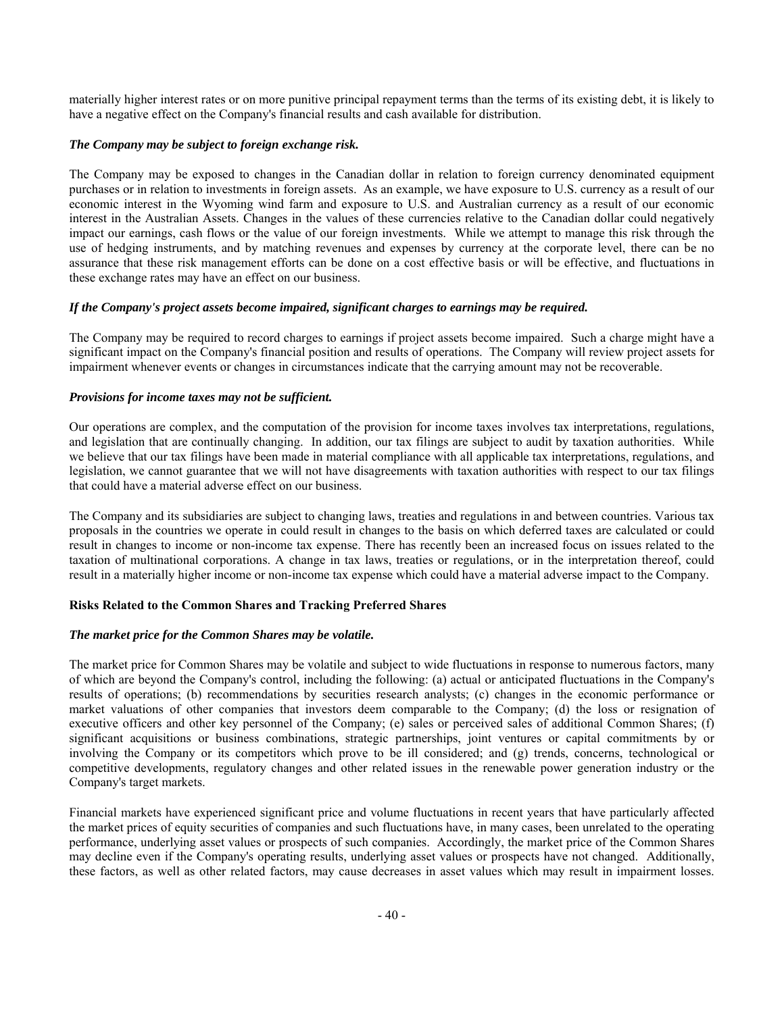materially higher interest rates or on more punitive principal repayment terms than the terms of its existing debt, it is likely to have a negative effect on the Company's financial results and cash available for distribution.

# *The Company may be subject to foreign exchange risk.*

The Company may be exposed to changes in the Canadian dollar in relation to foreign currency denominated equipment purchases or in relation to investments in foreign assets. As an example, we have exposure to U.S. currency as a result of our economic interest in the Wyoming wind farm and exposure to U.S. and Australian currency as a result of our economic interest in the Australian Assets. Changes in the values of these currencies relative to the Canadian dollar could negatively impact our earnings, cash flows or the value of our foreign investments. While we attempt to manage this risk through the use of hedging instruments, and by matching revenues and expenses by currency at the corporate level, there can be no assurance that these risk management efforts can be done on a cost effective basis or will be effective, and fluctuations in these exchange rates may have an effect on our business.

# *If the Company's project assets become impaired, significant charges to earnings may be required.*

The Company may be required to record charges to earnings if project assets become impaired. Such a charge might have a significant impact on the Company's financial position and results of operations. The Company will review project assets for impairment whenever events or changes in circumstances indicate that the carrying amount may not be recoverable.

# *Provisions for income taxes may not be sufficient.*

Our operations are complex, and the computation of the provision for income taxes involves tax interpretations, regulations, and legislation that are continually changing. In addition, our tax filings are subject to audit by taxation authorities. While we believe that our tax filings have been made in material compliance with all applicable tax interpretations, regulations, and legislation, we cannot guarantee that we will not have disagreements with taxation authorities with respect to our tax filings that could have a material adverse effect on our business.

The Company and its subsidiaries are subject to changing laws, treaties and regulations in and between countries. Various tax proposals in the countries we operate in could result in changes to the basis on which deferred taxes are calculated or could result in changes to income or non-income tax expense. There has recently been an increased focus on issues related to the taxation of multinational corporations. A change in tax laws, treaties or regulations, or in the interpretation thereof, could result in a materially higher income or non-income tax expense which could have a material adverse impact to the Company.

# **Risks Related to the Common Shares and Tracking Preferred Shares**

# *The market price for the Common Shares may be volatile.*

The market price for Common Shares may be volatile and subject to wide fluctuations in response to numerous factors, many of which are beyond the Company's control, including the following: (a) actual or anticipated fluctuations in the Company's results of operations; (b) recommendations by securities research analysts; (c) changes in the economic performance or market valuations of other companies that investors deem comparable to the Company; (d) the loss or resignation of executive officers and other key personnel of the Company; (e) sales or perceived sales of additional Common Shares; (f) significant acquisitions or business combinations, strategic partnerships, joint ventures or capital commitments by or involving the Company or its competitors which prove to be ill considered; and (g) trends, concerns, technological or competitive developments, regulatory changes and other related issues in the renewable power generation industry or the Company's target markets.

Financial markets have experienced significant price and volume fluctuations in recent years that have particularly affected the market prices of equity securities of companies and such fluctuations have, in many cases, been unrelated to the operating performance, underlying asset values or prospects of such companies. Accordingly, the market price of the Common Shares may decline even if the Company's operating results, underlying asset values or prospects have not changed. Additionally, these factors, as well as other related factors, may cause decreases in asset values which may result in impairment losses.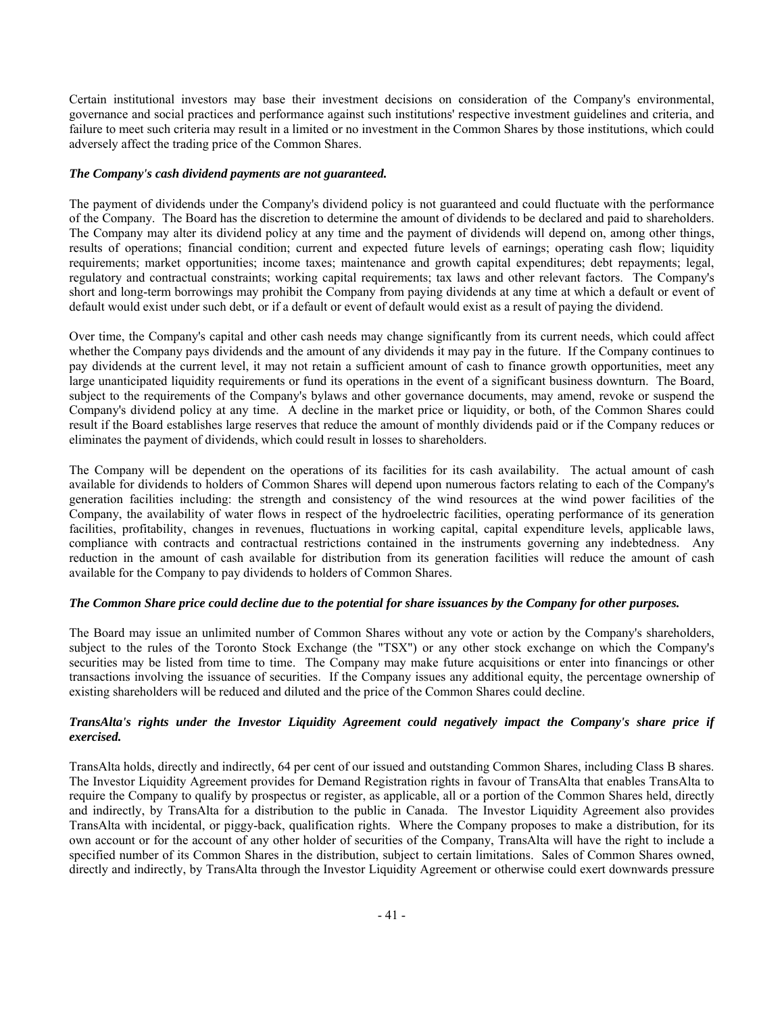Certain institutional investors may base their investment decisions on consideration of the Company's environmental, governance and social practices and performance against such institutions' respective investment guidelines and criteria, and failure to meet such criteria may result in a limited or no investment in the Common Shares by those institutions, which could adversely affect the trading price of the Common Shares.

# *The Company's cash dividend payments are not guaranteed.*

The payment of dividends under the Company's dividend policy is not guaranteed and could fluctuate with the performance of the Company. The Board has the discretion to determine the amount of dividends to be declared and paid to shareholders. The Company may alter its dividend policy at any time and the payment of dividends will depend on, among other things, results of operations; financial condition; current and expected future levels of earnings; operating cash flow; liquidity requirements; market opportunities; income taxes; maintenance and growth capital expenditures; debt repayments; legal, regulatory and contractual constraints; working capital requirements; tax laws and other relevant factors. The Company's short and long-term borrowings may prohibit the Company from paying dividends at any time at which a default or event of default would exist under such debt, or if a default or event of default would exist as a result of paying the dividend.

Over time, the Company's capital and other cash needs may change significantly from its current needs, which could affect whether the Company pays dividends and the amount of any dividends it may pay in the future. If the Company continues to pay dividends at the current level, it may not retain a sufficient amount of cash to finance growth opportunities, meet any large unanticipated liquidity requirements or fund its operations in the event of a significant business downturn. The Board, subject to the requirements of the Company's bylaws and other governance documents, may amend, revoke or suspend the Company's dividend policy at any time. A decline in the market price or liquidity, or both, of the Common Shares could result if the Board establishes large reserves that reduce the amount of monthly dividends paid or if the Company reduces or eliminates the payment of dividends, which could result in losses to shareholders.

The Company will be dependent on the operations of its facilities for its cash availability. The actual amount of cash available for dividends to holders of Common Shares will depend upon numerous factors relating to each of the Company's generation facilities including: the strength and consistency of the wind resources at the wind power facilities of the Company, the availability of water flows in respect of the hydroelectric facilities, operating performance of its generation facilities, profitability, changes in revenues, fluctuations in working capital, capital expenditure levels, applicable laws, compliance with contracts and contractual restrictions contained in the instruments governing any indebtedness. Any reduction in the amount of cash available for distribution from its generation facilities will reduce the amount of cash available for the Company to pay dividends to holders of Common Shares.

# *The Common Share price could decline due to the potential for share issuances by the Company for other purposes.*

The Board may issue an unlimited number of Common Shares without any vote or action by the Company's shareholders, subject to the rules of the Toronto Stock Exchange (the "TSX") or any other stock exchange on which the Company's securities may be listed from time to time. The Company may make future acquisitions or enter into financings or other transactions involving the issuance of securities. If the Company issues any additional equity, the percentage ownership of existing shareholders will be reduced and diluted and the price of the Common Shares could decline.

# *TransAlta's rights under the Investor Liquidity Agreement could negatively impact the Company's share price if exercised.*

TransAlta holds, directly and indirectly, 64 per cent of our issued and outstanding Common Shares, including Class B shares. The Investor Liquidity Agreement provides for Demand Registration rights in favour of TransAlta that enables TransAlta to require the Company to qualify by prospectus or register, as applicable, all or a portion of the Common Shares held, directly and indirectly, by TransAlta for a distribution to the public in Canada. The Investor Liquidity Agreement also provides TransAlta with incidental, or piggy-back, qualification rights. Where the Company proposes to make a distribution, for its own account or for the account of any other holder of securities of the Company, TransAlta will have the right to include a specified number of its Common Shares in the distribution, subject to certain limitations. Sales of Common Shares owned, directly and indirectly, by TransAlta through the Investor Liquidity Agreement or otherwise could exert downwards pressure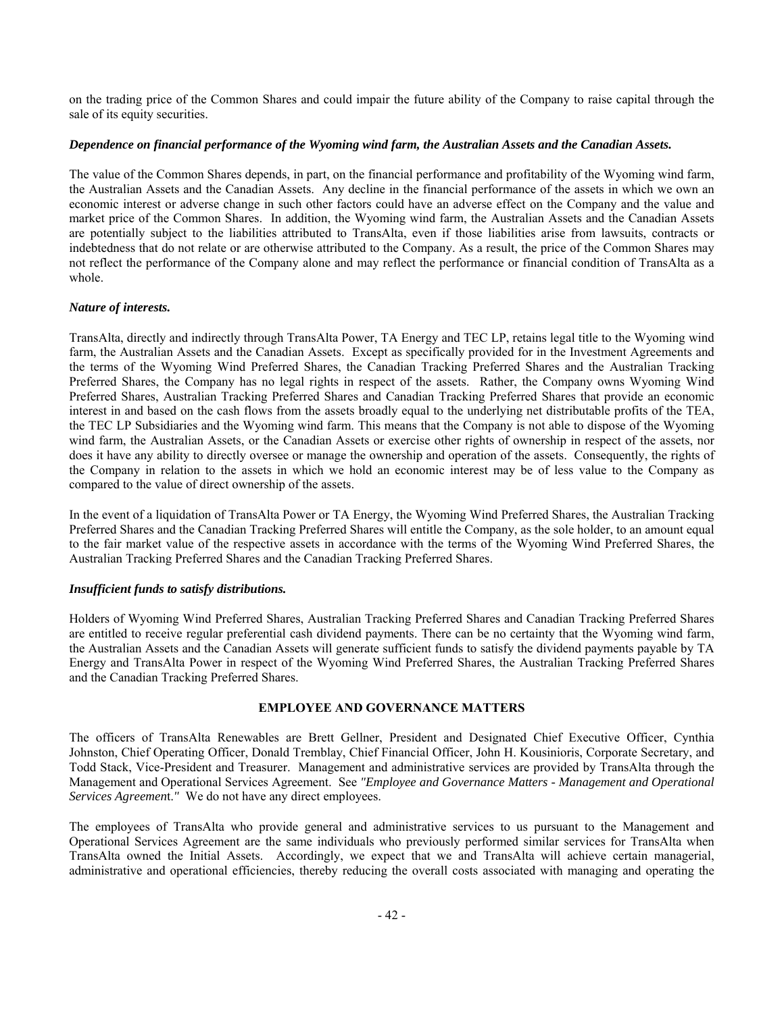on the trading price of the Common Shares and could impair the future ability of the Company to raise capital through the sale of its equity securities.

# *Dependence on financial performance of the Wyoming wind farm, the Australian Assets and the Canadian Assets.*

The value of the Common Shares depends, in part, on the financial performance and profitability of the Wyoming wind farm, the Australian Assets and the Canadian Assets. Any decline in the financial performance of the assets in which we own an economic interest or adverse change in such other factors could have an adverse effect on the Company and the value and market price of the Common Shares. In addition, the Wyoming wind farm, the Australian Assets and the Canadian Assets are potentially subject to the liabilities attributed to TransAlta, even if those liabilities arise from lawsuits, contracts or indebtedness that do not relate or are otherwise attributed to the Company. As a result, the price of the Common Shares may not reflect the performance of the Company alone and may reflect the performance or financial condition of TransAlta as a whole.

# *Nature of interests.*

TransAlta, directly and indirectly through TransAlta Power, TA Energy and TEC LP, retains legal title to the Wyoming wind farm, the Australian Assets and the Canadian Assets. Except as specifically provided for in the Investment Agreements and the terms of the Wyoming Wind Preferred Shares, the Canadian Tracking Preferred Shares and the Australian Tracking Preferred Shares, the Company has no legal rights in respect of the assets. Rather, the Company owns Wyoming Wind Preferred Shares, Australian Tracking Preferred Shares and Canadian Tracking Preferred Shares that provide an economic interest in and based on the cash flows from the assets broadly equal to the underlying net distributable profits of the TEA, the TEC LP Subsidiaries and the Wyoming wind farm. This means that the Company is not able to dispose of the Wyoming wind farm, the Australian Assets, or the Canadian Assets or exercise other rights of ownership in respect of the assets, nor does it have any ability to directly oversee or manage the ownership and operation of the assets. Consequently, the rights of the Company in relation to the assets in which we hold an economic interest may be of less value to the Company as compared to the value of direct ownership of the assets.

In the event of a liquidation of TransAlta Power or TA Energy, the Wyoming Wind Preferred Shares, the Australian Tracking Preferred Shares and the Canadian Tracking Preferred Shares will entitle the Company, as the sole holder, to an amount equal to the fair market value of the respective assets in accordance with the terms of the Wyoming Wind Preferred Shares, the Australian Tracking Preferred Shares and the Canadian Tracking Preferred Shares.

# *Insufficient funds to satisfy distributions.*

Holders of Wyoming Wind Preferred Shares, Australian Tracking Preferred Shares and Canadian Tracking Preferred Shares are entitled to receive regular preferential cash dividend payments. There can be no certainty that the Wyoming wind farm, the Australian Assets and the Canadian Assets will generate sufficient funds to satisfy the dividend payments payable by TA Energy and TransAlta Power in respect of the Wyoming Wind Preferred Shares, the Australian Tracking Preferred Shares and the Canadian Tracking Preferred Shares.

# **EMPLOYEE AND GOVERNANCE MATTERS**

The officers of TransAlta Renewables are Brett Gellner, President and Designated Chief Executive Officer, Cynthia Johnston, Chief Operating Officer, Donald Tremblay, Chief Financial Officer, John H. Kousinioris, Corporate Secretary, and Todd Stack, Vice-President and Treasurer. Management and administrative services are provided by TransAlta through the Management and Operational Services Agreement. See *"Employee and Governance Matters - Management and Operational Services Agreemen*t.*"* We do not have any direct employees.

The employees of TransAlta who provide general and administrative services to us pursuant to the Management and Operational Services Agreement are the same individuals who previously performed similar services for TransAlta when TransAlta owned the Initial Assets. Accordingly, we expect that we and TransAlta will achieve certain managerial, administrative and operational efficiencies, thereby reducing the overall costs associated with managing and operating the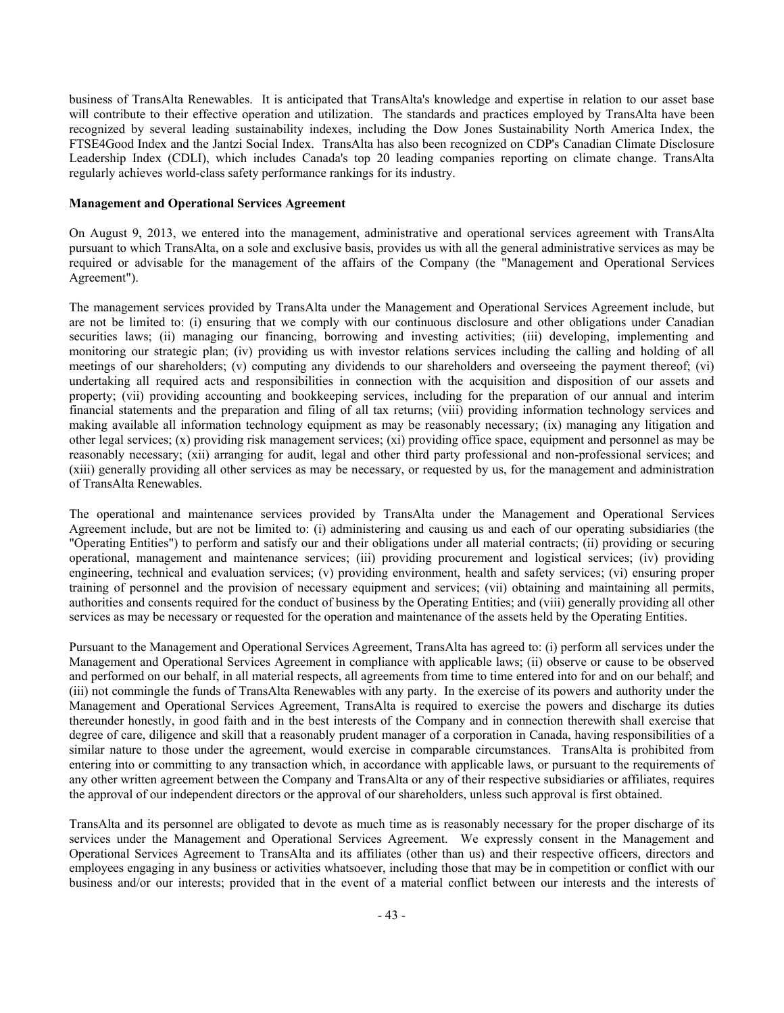business of TransAlta Renewables. It is anticipated that TransAlta's knowledge and expertise in relation to our asset base will contribute to their effective operation and utilization. The standards and practices employed by TransAlta have been recognized by several leading sustainability indexes, including the Dow Jones Sustainability North America Index, the FTSE4Good Index and the Jantzi Social Index. TransAlta has also been recognized on CDP's Canadian Climate Disclosure Leadership Index (CDLI), which includes Canada's top 20 leading companies reporting on climate change. TransAlta regularly achieves world-class safety performance rankings for its industry.

#### **Management and Operational Services Agreement**

On August 9, 2013, we entered into the management, administrative and operational services agreement with TransAlta pursuant to which TransAlta, on a sole and exclusive basis, provides us with all the general administrative services as may be required or advisable for the management of the affairs of the Company (the "Management and Operational Services Agreement").

The management services provided by TransAlta under the Management and Operational Services Agreement include, but are not be limited to: (i) ensuring that we comply with our continuous disclosure and other obligations under Canadian securities laws; (ii) managing our financing, borrowing and investing activities; (iii) developing, implementing and monitoring our strategic plan; (iv) providing us with investor relations services including the calling and holding of all meetings of our shareholders; (v) computing any dividends to our shareholders and overseeing the payment thereof; (vi) undertaking all required acts and responsibilities in connection with the acquisition and disposition of our assets and property; (vii) providing accounting and bookkeeping services, including for the preparation of our annual and interim financial statements and the preparation and filing of all tax returns; (viii) providing information technology services and making available all information technology equipment as may be reasonably necessary; (ix) managing any litigation and other legal services; (x) providing risk management services; (xi) providing office space, equipment and personnel as may be reasonably necessary; (xii) arranging for audit, legal and other third party professional and non-professional services; and (xiii) generally providing all other services as may be necessary, or requested by us, for the management and administration of TransAlta Renewables.

The operational and maintenance services provided by TransAlta under the Management and Operational Services Agreement include, but are not be limited to: (i) administering and causing us and each of our operating subsidiaries (the "Operating Entities") to perform and satisfy our and their obligations under all material contracts; (ii) providing or securing operational, management and maintenance services; (iii) providing procurement and logistical services; (iv) providing engineering, technical and evaluation services; (v) providing environment, health and safety services; (vi) ensuring proper training of personnel and the provision of necessary equipment and services; (vii) obtaining and maintaining all permits, authorities and consents required for the conduct of business by the Operating Entities; and (viii) generally providing all other services as may be necessary or requested for the operation and maintenance of the assets held by the Operating Entities.

Pursuant to the Management and Operational Services Agreement, TransAlta has agreed to: (i) perform all services under the Management and Operational Services Agreement in compliance with applicable laws; (ii) observe or cause to be observed and performed on our behalf, in all material respects, all agreements from time to time entered into for and on our behalf; and (iii) not commingle the funds of TransAlta Renewables with any party. In the exercise of its powers and authority under the Management and Operational Services Agreement, TransAlta is required to exercise the powers and discharge its duties thereunder honestly, in good faith and in the best interests of the Company and in connection therewith shall exercise that degree of care, diligence and skill that a reasonably prudent manager of a corporation in Canada, having responsibilities of a similar nature to those under the agreement, would exercise in comparable circumstances. TransAlta is prohibited from entering into or committing to any transaction which, in accordance with applicable laws, or pursuant to the requirements of any other written agreement between the Company and TransAlta or any of their respective subsidiaries or affiliates, requires the approval of our independent directors or the approval of our shareholders, unless such approval is first obtained.

TransAlta and its personnel are obligated to devote as much time as is reasonably necessary for the proper discharge of its services under the Management and Operational Services Agreement. We expressly consent in the Management and Operational Services Agreement to TransAlta and its affiliates (other than us) and their respective officers, directors and employees engaging in any business or activities whatsoever, including those that may be in competition or conflict with our business and/or our interests; provided that in the event of a material conflict between our interests and the interests of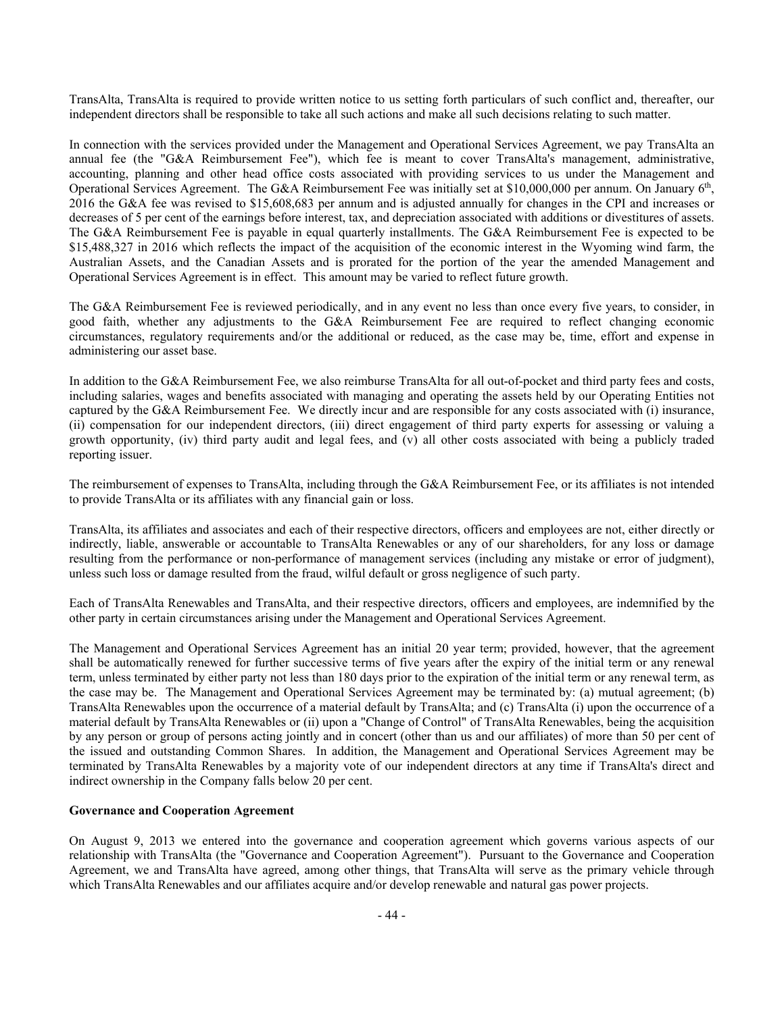TransAlta, TransAlta is required to provide written notice to us setting forth particulars of such conflict and, thereafter, our independent directors shall be responsible to take all such actions and make all such decisions relating to such matter.

In connection with the services provided under the Management and Operational Services Agreement, we pay TransAlta an annual fee (the "G&A Reimbursement Fee"), which fee is meant to cover TransAlta's management, administrative, accounting, planning and other head office costs associated with providing services to us under the Management and Operational Services Agreement. The G&A Reimbursement Fee was initially set at \$10,000,000 per annum. On January  $6<sup>th</sup>$ , 2016 the G&A fee was revised to \$15,608,683 per annum and is adjusted annually for changes in the CPI and increases or decreases of 5 per cent of the earnings before interest, tax, and depreciation associated with additions or divestitures of assets. The G&A Reimbursement Fee is payable in equal quarterly installments. The G&A Reimbursement Fee is expected to be \$15,488,327 in 2016 which reflects the impact of the acquisition of the economic interest in the Wyoming wind farm, the Australian Assets, and the Canadian Assets and is prorated for the portion of the year the amended Management and Operational Services Agreement is in effect. This amount may be varied to reflect future growth.

The G&A Reimbursement Fee is reviewed periodically, and in any event no less than once every five years, to consider, in good faith, whether any adjustments to the G&A Reimbursement Fee are required to reflect changing economic circumstances, regulatory requirements and/or the additional or reduced, as the case may be, time, effort and expense in administering our asset base.

In addition to the G&A Reimbursement Fee, we also reimburse TransAlta for all out-of-pocket and third party fees and costs, including salaries, wages and benefits associated with managing and operating the assets held by our Operating Entities not captured by the G&A Reimbursement Fee. We directly incur and are responsible for any costs associated with (i) insurance, (ii) compensation for our independent directors, (iii) direct engagement of third party experts for assessing or valuing a growth opportunity, (iv) third party audit and legal fees, and (v) all other costs associated with being a publicly traded reporting issuer.

The reimbursement of expenses to TransAlta, including through the G&A Reimbursement Fee, or its affiliates is not intended to provide TransAlta or its affiliates with any financial gain or loss.

TransAlta, its affiliates and associates and each of their respective directors, officers and employees are not, either directly or indirectly, liable, answerable or accountable to TransAlta Renewables or any of our shareholders, for any loss or damage resulting from the performance or non-performance of management services (including any mistake or error of judgment), unless such loss or damage resulted from the fraud, wilful default or gross negligence of such party.

Each of TransAlta Renewables and TransAlta, and their respective directors, officers and employees, are indemnified by the other party in certain circumstances arising under the Management and Operational Services Agreement.

The Management and Operational Services Agreement has an initial 20 year term; provided, however, that the agreement shall be automatically renewed for further successive terms of five years after the expiry of the initial term or any renewal term, unless terminated by either party not less than 180 days prior to the expiration of the initial term or any renewal term, as the case may be. The Management and Operational Services Agreement may be terminated by: (a) mutual agreement; (b) TransAlta Renewables upon the occurrence of a material default by TransAlta; and (c) TransAlta (i) upon the occurrence of a material default by TransAlta Renewables or (ii) upon a "Change of Control" of TransAlta Renewables, being the acquisition by any person or group of persons acting jointly and in concert (other than us and our affiliates) of more than 50 per cent of the issued and outstanding Common Shares. In addition, the Management and Operational Services Agreement may be terminated by TransAlta Renewables by a majority vote of our independent directors at any time if TransAlta's direct and indirect ownership in the Company falls below 20 per cent.

# **Governance and Cooperation Agreement**

On August 9, 2013 we entered into the governance and cooperation agreement which governs various aspects of our relationship with TransAlta (the "Governance and Cooperation Agreement"). Pursuant to the Governance and Cooperation Agreement, we and TransAlta have agreed, among other things, that TransAlta will serve as the primary vehicle through which TransAlta Renewables and our affiliates acquire and/or develop renewable and natural gas power projects.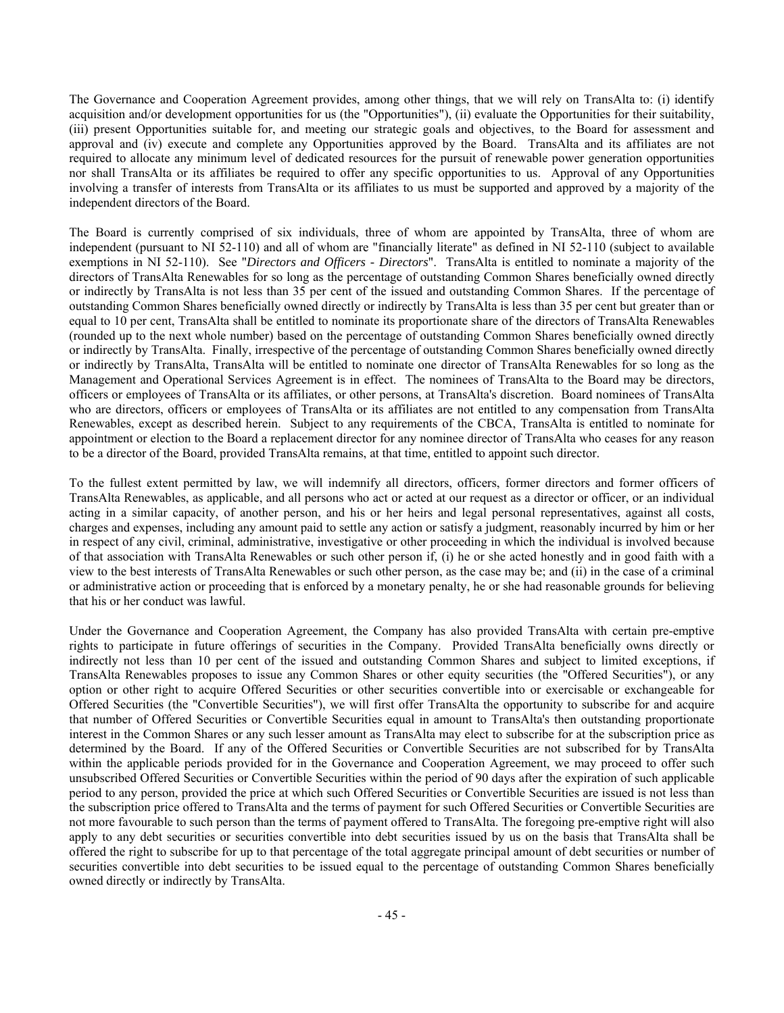The Governance and Cooperation Agreement provides, among other things, that we will rely on TransAlta to: (i) identify acquisition and/or development opportunities for us (the "Opportunities"), (ii) evaluate the Opportunities for their suitability, (iii) present Opportunities suitable for, and meeting our strategic goals and objectives, to the Board for assessment and approval and (iv) execute and complete any Opportunities approved by the Board. TransAlta and its affiliates are not required to allocate any minimum level of dedicated resources for the pursuit of renewable power generation opportunities nor shall TransAlta or its affiliates be required to offer any specific opportunities to us. Approval of any Opportunities involving a transfer of interests from TransAlta or its affiliates to us must be supported and approved by a majority of the independent directors of the Board.

The Board is currently comprised of six individuals, three of whom are appointed by TransAlta, three of whom are independent (pursuant to NI 52-110) and all of whom are "financially literate" as defined in NI 52-110 (subject to available exemptions in NI 52-110). See "*Directors and Officers - Directors*". TransAlta is entitled to nominate a majority of the directors of TransAlta Renewables for so long as the percentage of outstanding Common Shares beneficially owned directly or indirectly by TransAlta is not less than 35 per cent of the issued and outstanding Common Shares. If the percentage of outstanding Common Shares beneficially owned directly or indirectly by TransAlta is less than 35 per cent but greater than or equal to 10 per cent, TransAlta shall be entitled to nominate its proportionate share of the directors of TransAlta Renewables (rounded up to the next whole number) based on the percentage of outstanding Common Shares beneficially owned directly or indirectly by TransAlta. Finally, irrespective of the percentage of outstanding Common Shares beneficially owned directly or indirectly by TransAlta, TransAlta will be entitled to nominate one director of TransAlta Renewables for so long as the Management and Operational Services Agreement is in effect. The nominees of TransAlta to the Board may be directors, officers or employees of TransAlta or its affiliates, or other persons, at TransAlta's discretion. Board nominees of TransAlta who are directors, officers or employees of TransAlta or its affiliates are not entitled to any compensation from TransAlta Renewables, except as described herein. Subject to any requirements of the CBCA, TransAlta is entitled to nominate for appointment or election to the Board a replacement director for any nominee director of TransAlta who ceases for any reason to be a director of the Board, provided TransAlta remains, at that time, entitled to appoint such director.

To the fullest extent permitted by law, we will indemnify all directors, officers, former directors and former officers of TransAlta Renewables, as applicable, and all persons who act or acted at our request as a director or officer, or an individual acting in a similar capacity, of another person, and his or her heirs and legal personal representatives, against all costs, charges and expenses, including any amount paid to settle any action or satisfy a judgment, reasonably incurred by him or her in respect of any civil, criminal, administrative, investigative or other proceeding in which the individual is involved because of that association with TransAlta Renewables or such other person if, (i) he or she acted honestly and in good faith with a view to the best interests of TransAlta Renewables or such other person, as the case may be; and (ii) in the case of a criminal or administrative action or proceeding that is enforced by a monetary penalty, he or she had reasonable grounds for believing that his or her conduct was lawful.

Under the Governance and Cooperation Agreement, the Company has also provided TransAlta with certain pre-emptive rights to participate in future offerings of securities in the Company. Provided TransAlta beneficially owns directly or indirectly not less than 10 per cent of the issued and outstanding Common Shares and subject to limited exceptions, if TransAlta Renewables proposes to issue any Common Shares or other equity securities (the "Offered Securities"), or any option or other right to acquire Offered Securities or other securities convertible into or exercisable or exchangeable for Offered Securities (the "Convertible Securities"), we will first offer TransAlta the opportunity to subscribe for and acquire that number of Offered Securities or Convertible Securities equal in amount to TransAlta's then outstanding proportionate interest in the Common Shares or any such lesser amount as TransAlta may elect to subscribe for at the subscription price as determined by the Board. If any of the Offered Securities or Convertible Securities are not subscribed for by TransAlta within the applicable periods provided for in the Governance and Cooperation Agreement, we may proceed to offer such unsubscribed Offered Securities or Convertible Securities within the period of 90 days after the expiration of such applicable period to any person, provided the price at which such Offered Securities or Convertible Securities are issued is not less than the subscription price offered to TransAlta and the terms of payment for such Offered Securities or Convertible Securities are not more favourable to such person than the terms of payment offered to TransAlta. The foregoing pre-emptive right will also apply to any debt securities or securities convertible into debt securities issued by us on the basis that TransAlta shall be offered the right to subscribe for up to that percentage of the total aggregate principal amount of debt securities or number of securities convertible into debt securities to be issued equal to the percentage of outstanding Common Shares beneficially owned directly or indirectly by TransAlta.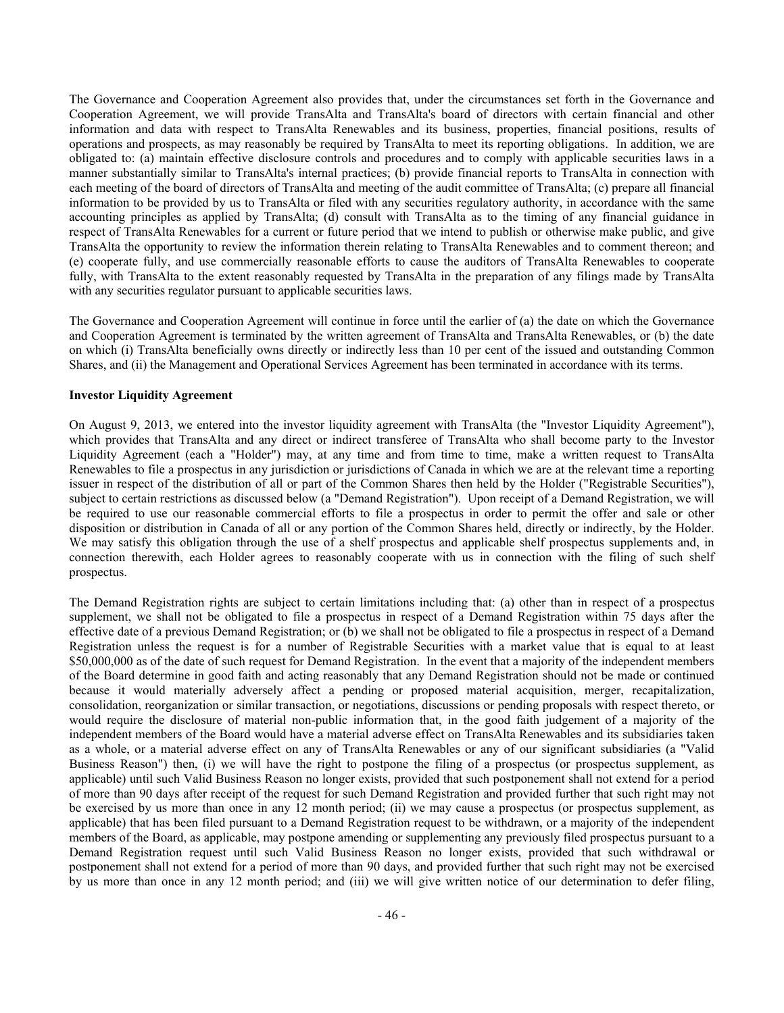The Governance and Cooperation Agreement also provides that, under the circumstances set forth in the Governance and Cooperation Agreement, we will provide TransAlta and TransAlta's board of directors with certain financial and other information and data with respect to TransAlta Renewables and its business, properties, financial positions, results of operations and prospects, as may reasonably be required by TransAlta to meet its reporting obligations. In addition, we are obligated to: (a) maintain effective disclosure controls and procedures and to comply with applicable securities laws in a manner substantially similar to TransAlta's internal practices; (b) provide financial reports to TransAlta in connection with each meeting of the board of directors of TransAlta and meeting of the audit committee of TransAlta; (c) prepare all financial information to be provided by us to TransAlta or filed with any securities regulatory authority, in accordance with the same accounting principles as applied by TransAlta; (d) consult with TransAlta as to the timing of any financial guidance in respect of TransAlta Renewables for a current or future period that we intend to publish or otherwise make public, and give TransAlta the opportunity to review the information therein relating to TransAlta Renewables and to comment thereon; and (e) cooperate fully, and use commercially reasonable efforts to cause the auditors of TransAlta Renewables to cooperate fully, with TransAlta to the extent reasonably requested by TransAlta in the preparation of any filings made by TransAlta with any securities regulator pursuant to applicable securities laws.

The Governance and Cooperation Agreement will continue in force until the earlier of (a) the date on which the Governance and Cooperation Agreement is terminated by the written agreement of TransAlta and TransAlta Renewables, or (b) the date on which (i) TransAlta beneficially owns directly or indirectly less than 10 per cent of the issued and outstanding Common Shares, and (ii) the Management and Operational Services Agreement has been terminated in accordance with its terms.

## **Investor Liquidity Agreement**

On August 9, 2013, we entered into the investor liquidity agreement with TransAlta (the "Investor Liquidity Agreement"), which provides that TransAlta and any direct or indirect transferee of TransAlta who shall become party to the Investor Liquidity Agreement (each a "Holder") may, at any time and from time to time, make a written request to TransAlta Renewables to file a prospectus in any jurisdiction or jurisdictions of Canada in which we are at the relevant time a reporting issuer in respect of the distribution of all or part of the Common Shares then held by the Holder ("Registrable Securities"), subject to certain restrictions as discussed below (a "Demand Registration"). Upon receipt of a Demand Registration, we will be required to use our reasonable commercial efforts to file a prospectus in order to permit the offer and sale or other disposition or distribution in Canada of all or any portion of the Common Shares held, directly or indirectly, by the Holder. We may satisfy this obligation through the use of a shelf prospectus and applicable shelf prospectus supplements and, in connection therewith, each Holder agrees to reasonably cooperate with us in connection with the filing of such shelf prospectus.

The Demand Registration rights are subject to certain limitations including that: (a) other than in respect of a prospectus supplement, we shall not be obligated to file a prospectus in respect of a Demand Registration within 75 days after the effective date of a previous Demand Registration; or (b) we shall not be obligated to file a prospectus in respect of a Demand Registration unless the request is for a number of Registrable Securities with a market value that is equal to at least \$50,000,000 as of the date of such request for Demand Registration. In the event that a majority of the independent members of the Board determine in good faith and acting reasonably that any Demand Registration should not be made or continued because it would materially adversely affect a pending or proposed material acquisition, merger, recapitalization, consolidation, reorganization or similar transaction, or negotiations, discussions or pending proposals with respect thereto, or would require the disclosure of material non-public information that, in the good faith judgement of a majority of the independent members of the Board would have a material adverse effect on TransAlta Renewables and its subsidiaries taken as a whole, or a material adverse effect on any of TransAlta Renewables or any of our significant subsidiaries (a "Valid Business Reason") then, (i) we will have the right to postpone the filing of a prospectus (or prospectus supplement, as applicable) until such Valid Business Reason no longer exists, provided that such postponement shall not extend for a period of more than 90 days after receipt of the request for such Demand Registration and provided further that such right may not be exercised by us more than once in any 12 month period; (ii) we may cause a prospectus (or prospectus supplement, as applicable) that has been filed pursuant to a Demand Registration request to be withdrawn, or a majority of the independent members of the Board, as applicable, may postpone amending or supplementing any previously filed prospectus pursuant to a Demand Registration request until such Valid Business Reason no longer exists, provided that such withdrawal or postponement shall not extend for a period of more than 90 days, and provided further that such right may not be exercised by us more than once in any 12 month period; and (iii) we will give written notice of our determination to defer filing,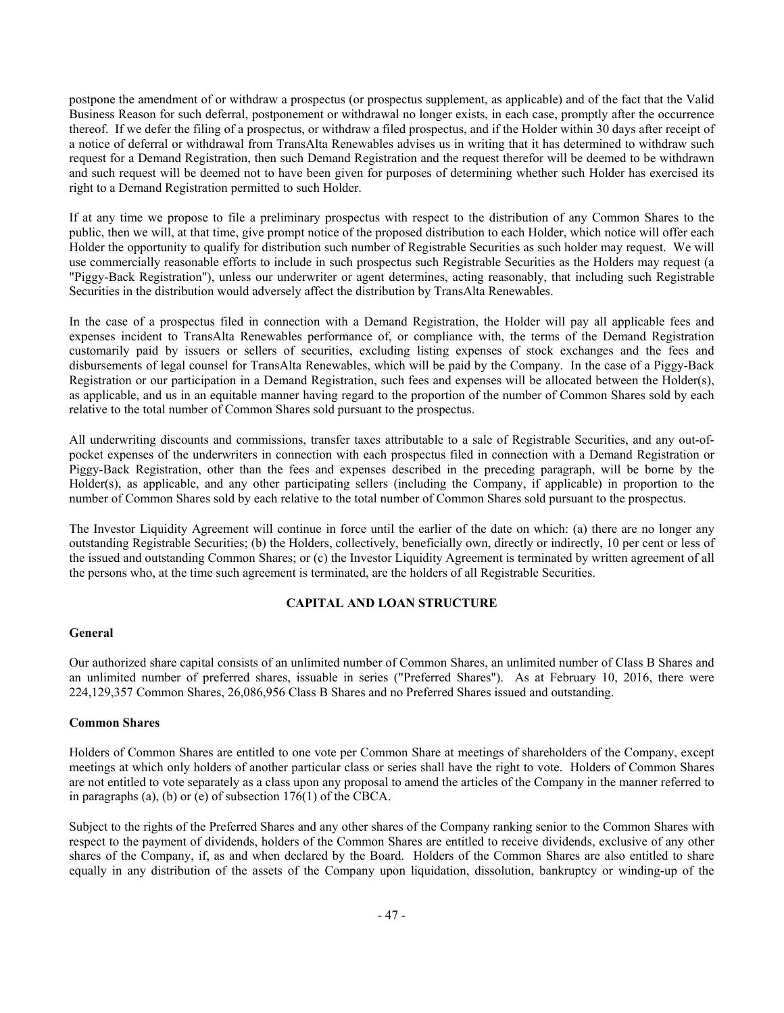postpone the amendment of or withdraw a prospectus (or prospectus supplement, as applicable) and of the fact that the Valid Business Reason for such deferral, postponement or withdrawal no longer exists, in each case, promptly after the occurrence thereof. If we defer the filing of a prospectus, or withdraw a filed prospectus, and if the Holder within 30 days after receipt of a notice of deferral or withdrawal from TransAlta Renewables advises us in writing that it has determined to withdraw such request for a Demand Registration, then such Demand Registration and the request therefor will be deemed to be withdrawn and such request will be deemed not to have been given for purposes of determining whether such Holder has exercised its right to a Demand Registration permitted to such Holder.

If at any time we propose to file a preliminary prospectus with respect to the distribution of any Common Shares to the public, then we will, at that time, give prompt notice of the proposed distribution to each Holder, which notice will offer each Holder the opportunity to qualify for distribution such number of Registrable Securities as such holder may request. We will use commercially reasonable efforts to include in such prospectus such Registrable Securities as the Holders may request (a "Piggy-Back Registration"), unless our underwriter or agent determines, acting reasonably, that including such Registrable Securities in the distribution would adversely affect the distribution by TransAlta Renewables.

In the case of a prospectus filed in connection with a Demand Registration, the Holder will pay all applicable fees and expenses incident to TransAlta Renewables performance of, or compliance with, the terms of the Demand Registration customarily paid by issuers or sellers of securities, excluding listing expenses of stock exchanges and the fees and disbursements of legal counsel for TransAlta Renewables, which will be paid by the Company. In the case of a Piggy-Back Registration or our participation in a Demand Registration, such fees and expenses will be allocated between the Holder(s), as applicable, and us in an equitable manner having regard to the proportion of the number of Common Shares sold by each relative to the total number of Common Shares sold pursuant to the prospectus.

All underwriting discounts and commissions, transfer taxes attributable to a sale of Registrable Securities, and any out-ofpocket expenses of the underwriters in connection with each prospectus filed in connection with a Demand Registration or Piggy-Back Registration, other than the fees and expenses described in the preceding paragraph, will be borne by the Holder(s), as applicable, and any other participating sellers (including the Company, if applicable) in proportion to the number of Common Shares sold by each relative to the total number of Common Shares sold pursuant to the prospectus.

The Investor Liquidity Agreement will continue in force until the earlier of the date on which: (a) there are no longer any outstanding Registrable Securities; (b) the Holders, collectively, beneficially own, directly or indirectly, 10 per cent or less of the issued and outstanding Common Shares; or (c) the Investor Liquidity Agreement is terminated by written agreement of all the persons who, at the time such agreement is terminated, are the holders of all Registrable Securities.

## **CAPITAL AND LOAN STRUCTURE**

## **General**

Our authorized share capital consists of an unlimited number of Common Shares, an unlimited number of Class B Shares and an unlimited number of preferred shares, issuable in series ("Preferred Shares"). As at February 10, 2016, there were 224,129,357 Common Shares, 26,086,956 Class B Shares and no Preferred Shares issued and outstanding.

## **Common Shares**

Holders of Common Shares are entitled to one vote per Common Share at meetings of shareholders of the Company, except meetings at which only holders of another particular class or series shall have the right to vote. Holders of Common Shares are not entitled to vote separately as a class upon any proposal to amend the articles of the Company in the manner referred to in paragraphs (a), (b) or (e) of subsection 176(1) of the CBCA.

Subject to the rights of the Preferred Shares and any other shares of the Company ranking senior to the Common Shares with respect to the payment of dividends, holders of the Common Shares are entitled to receive dividends, exclusive of any other shares of the Company, if, as and when declared by the Board. Holders of the Common Shares are also entitled to share equally in any distribution of the assets of the Company upon liquidation, dissolution, bankruptcy or winding-up of the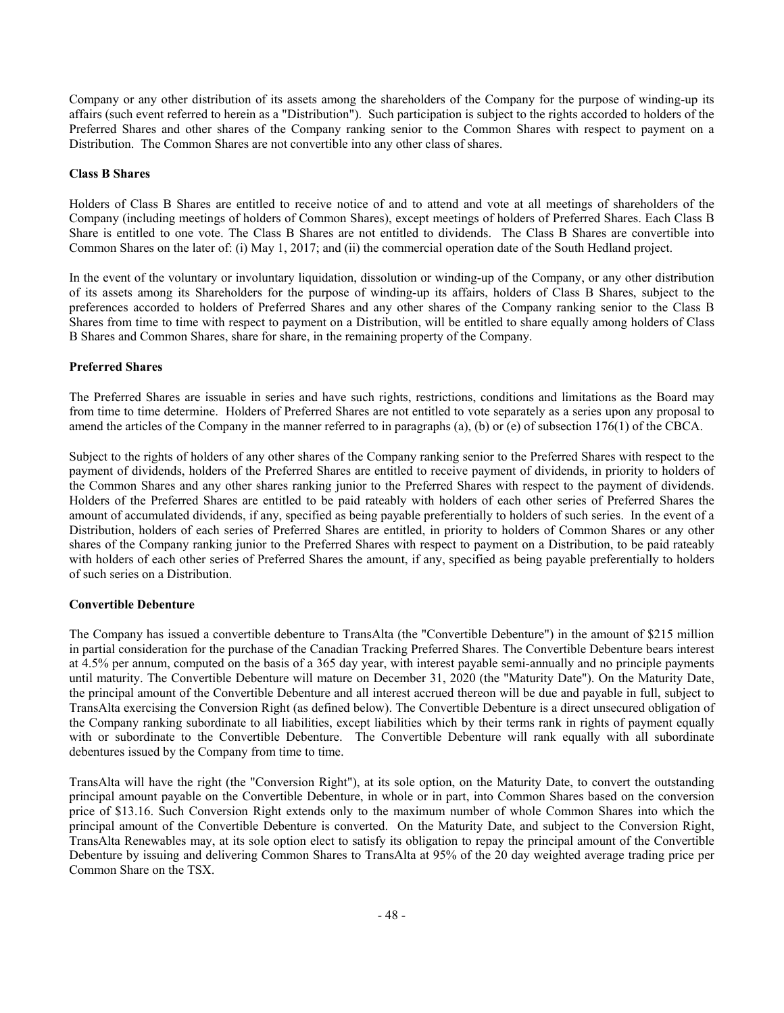Company or any other distribution of its assets among the shareholders of the Company for the purpose of winding-up its affairs (such event referred to herein as a "Distribution"). Such participation is subject to the rights accorded to holders of the Preferred Shares and other shares of the Company ranking senior to the Common Shares with respect to payment on a Distribution. The Common Shares are not convertible into any other class of shares.

# **Class B Shares**

Holders of Class B Shares are entitled to receive notice of and to attend and vote at all meetings of shareholders of the Company (including meetings of holders of Common Shares), except meetings of holders of Preferred Shares. Each Class B Share is entitled to one vote. The Class B Shares are not entitled to dividends. The Class B Shares are convertible into Common Shares on the later of: (i) May 1, 2017; and (ii) the commercial operation date of the South Hedland project.

In the event of the voluntary or involuntary liquidation, dissolution or winding-up of the Company, or any other distribution of its assets among its Shareholders for the purpose of winding-up its affairs, holders of Class B Shares, subject to the preferences accorded to holders of Preferred Shares and any other shares of the Company ranking senior to the Class B Shares from time to time with respect to payment on a Distribution, will be entitled to share equally among holders of Class B Shares and Common Shares, share for share, in the remaining property of the Company.

# **Preferred Shares**

The Preferred Shares are issuable in series and have such rights, restrictions, conditions and limitations as the Board may from time to time determine. Holders of Preferred Shares are not entitled to vote separately as a series upon any proposal to amend the articles of the Company in the manner referred to in paragraphs (a), (b) or (e) of subsection 176(1) of the CBCA.

Subject to the rights of holders of any other shares of the Company ranking senior to the Preferred Shares with respect to the payment of dividends, holders of the Preferred Shares are entitled to receive payment of dividends, in priority to holders of the Common Shares and any other shares ranking junior to the Preferred Shares with respect to the payment of dividends. Holders of the Preferred Shares are entitled to be paid rateably with holders of each other series of Preferred Shares the amount of accumulated dividends, if any, specified as being payable preferentially to holders of such series. In the event of a Distribution, holders of each series of Preferred Shares are entitled, in priority to holders of Common Shares or any other shares of the Company ranking junior to the Preferred Shares with respect to payment on a Distribution, to be paid rateably with holders of each other series of Preferred Shares the amount, if any, specified as being payable preferentially to holders of such series on a Distribution.

## **Convertible Debenture**

The Company has issued a convertible debenture to TransAlta (the "Convertible Debenture") in the amount of \$215 million in partial consideration for the purchase of the Canadian Tracking Preferred Shares. The Convertible Debenture bears interest at 4.5% per annum, computed on the basis of a 365 day year, with interest payable semi-annually and no principle payments until maturity. The Convertible Debenture will mature on December 31, 2020 (the "Maturity Date"). On the Maturity Date, the principal amount of the Convertible Debenture and all interest accrued thereon will be due and payable in full, subject to TransAlta exercising the Conversion Right (as defined below). The Convertible Debenture is a direct unsecured obligation of the Company ranking subordinate to all liabilities, except liabilities which by their terms rank in rights of payment equally with or subordinate to the Convertible Debenture. The Convertible Debenture will rank equally with all subordinate debentures issued by the Company from time to time.

TransAlta will have the right (the "Conversion Right"), at its sole option, on the Maturity Date, to convert the outstanding principal amount payable on the Convertible Debenture, in whole or in part, into Common Shares based on the conversion price of \$13.16. Such Conversion Right extends only to the maximum number of whole Common Shares into which the principal amount of the Convertible Debenture is converted. On the Maturity Date, and subject to the Conversion Right, TransAlta Renewables may, at its sole option elect to satisfy its obligation to repay the principal amount of the Convertible Debenture by issuing and delivering Common Shares to TransAlta at 95% of the 20 day weighted average trading price per Common Share on the TSX.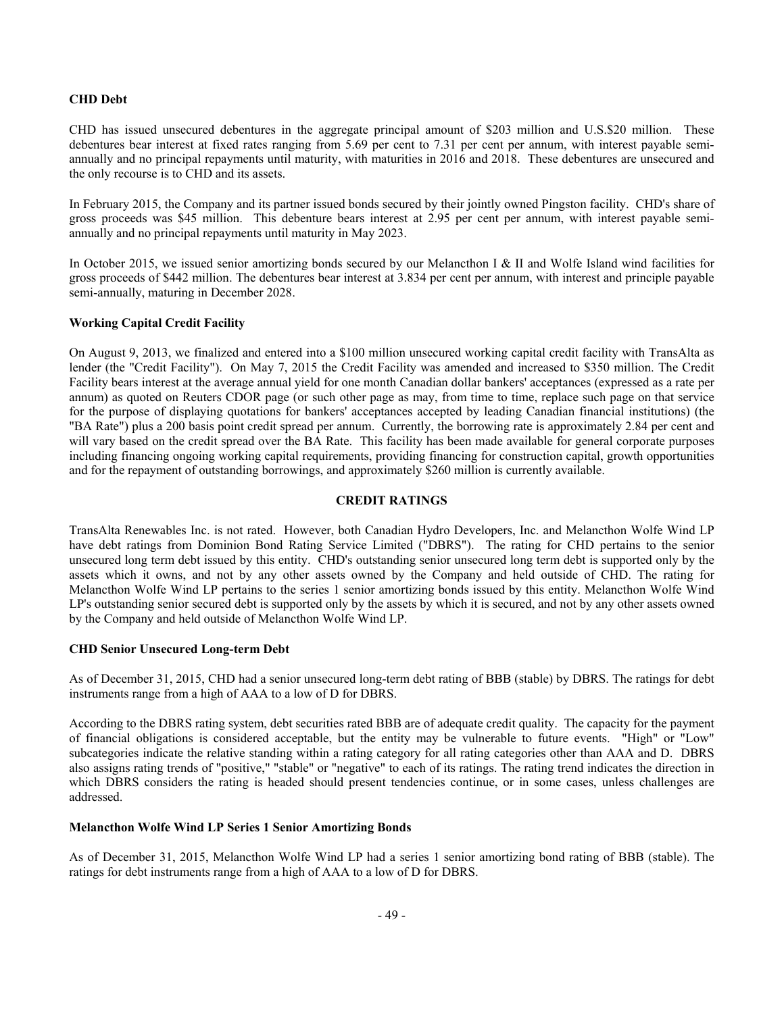# **CHD Debt**

CHD has issued unsecured debentures in the aggregate principal amount of \$203 million and U.S.\$20 million. These debentures bear interest at fixed rates ranging from 5.69 per cent to 7.31 per cent per annum, with interest payable semiannually and no principal repayments until maturity, with maturities in 2016 and 2018. These debentures are unsecured and the only recourse is to CHD and its assets.

In February 2015, the Company and its partner issued bonds secured by their jointly owned Pingston facility. CHD's share of gross proceeds was \$45 million. This debenture bears interest at 2.95 per cent per annum, with interest payable semiannually and no principal repayments until maturity in May 2023.

In October 2015, we issued senior amortizing bonds secured by our Melancthon I & II and Wolfe Island wind facilities for gross proceeds of \$442 million. The debentures bear interest at 3.834 per cent per annum, with interest and principle payable semi-annually, maturing in December 2028.

# **Working Capital Credit Facility**

On August 9, 2013, we finalized and entered into a \$100 million unsecured working capital credit facility with TransAlta as lender (the "Credit Facility"). On May 7, 2015 the Credit Facility was amended and increased to \$350 million. The Credit Facility bears interest at the average annual yield for one month Canadian dollar bankers' acceptances (expressed as a rate per annum) as quoted on Reuters CDOR page (or such other page as may, from time to time, replace such page on that service for the purpose of displaying quotations for bankers' acceptances accepted by leading Canadian financial institutions) (the "BA Rate") plus a 200 basis point credit spread per annum. Currently, the borrowing rate is approximately 2.84 per cent and will vary based on the credit spread over the BA Rate. This facility has been made available for general corporate purposes including financing ongoing working capital requirements, providing financing for construction capital, growth opportunities and for the repayment of outstanding borrowings, and approximately \$260 million is currently available.

# **CREDIT RATINGS**

TransAlta Renewables Inc. is not rated. However, both Canadian Hydro Developers, Inc. and Melancthon Wolfe Wind LP have debt ratings from Dominion Bond Rating Service Limited ("DBRS"). The rating for CHD pertains to the senior unsecured long term debt issued by this entity. CHD's outstanding senior unsecured long term debt is supported only by the assets which it owns, and not by any other assets owned by the Company and held outside of CHD. The rating for Melancthon Wolfe Wind LP pertains to the series 1 senior amortizing bonds issued by this entity. Melancthon Wolfe Wind LP's outstanding senior secured debt is supported only by the assets by which it is secured, and not by any other assets owned by the Company and held outside of Melancthon Wolfe Wind LP.

## **CHD Senior Unsecured Long-term Debt**

As of December 31, 2015, CHD had a senior unsecured long-term debt rating of BBB (stable) by DBRS. The ratings for debt instruments range from a high of AAA to a low of D for DBRS.

According to the DBRS rating system, debt securities rated BBB are of adequate credit quality. The capacity for the payment of financial obligations is considered acceptable, but the entity may be vulnerable to future events. "High" or "Low" subcategories indicate the relative standing within a rating category for all rating categories other than AAA and D. DBRS also assigns rating trends of "positive," "stable" or "negative" to each of its ratings. The rating trend indicates the direction in which DBRS considers the rating is headed should present tendencies continue, or in some cases, unless challenges are addressed.

## **Melancthon Wolfe Wind LP Series 1 Senior Amortizing Bonds**

As of December 31, 2015, Melancthon Wolfe Wind LP had a series 1 senior amortizing bond rating of BBB (stable). The ratings for debt instruments range from a high of AAA to a low of D for DBRS.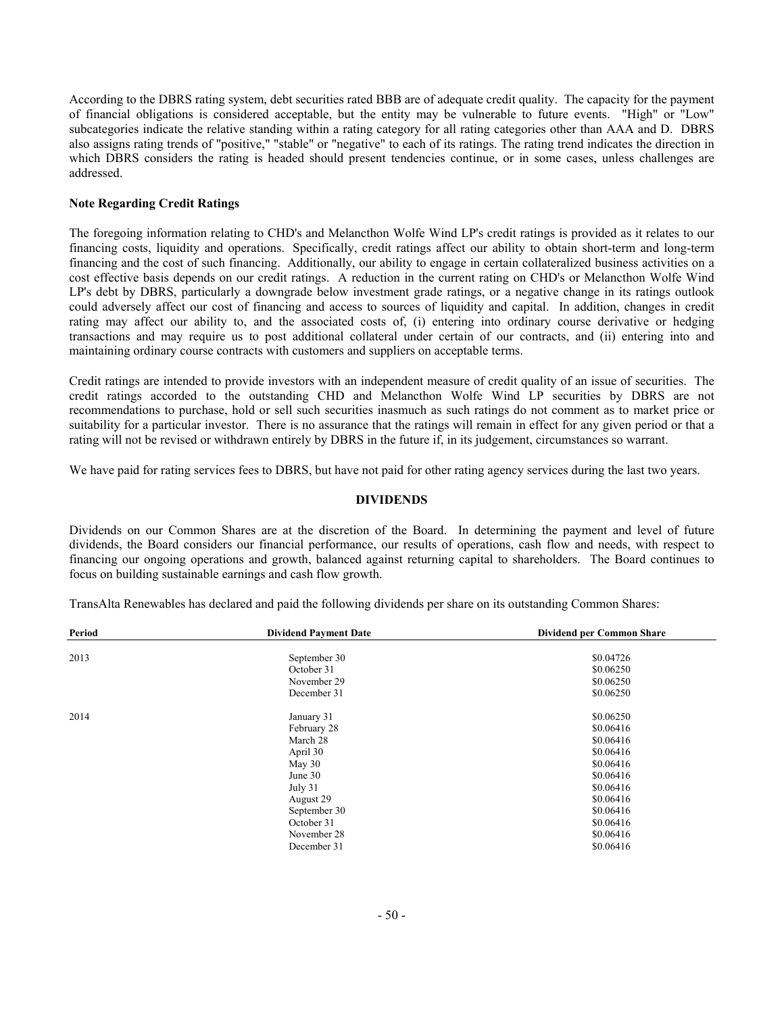According to the DBRS rating system, debt securities rated BBB are of adequate credit quality. The capacity for the payment of financial obligations is considered acceptable, but the entity may be vulnerable to future events. "High" or "Low" subcategories indicate the relative standing within a rating category for all rating categories other than AAA and D. DBRS also assigns rating trends of "positive," "stable" or "negative" to each of its ratings. The rating trend indicates the direction in which DBRS considers the rating is headed should present tendencies continue, or in some cases, unless challenges are addressed.

# **Note Regarding Credit Ratings**

The foregoing information relating to CHD's and Melancthon Wolfe Wind LP's credit ratings is provided as it relates to our financing costs, liquidity and operations. Specifically, credit ratings affect our ability to obtain short-term and long-term financing and the cost of such financing. Additionally, our ability to engage in certain collateralized business activities on a cost effective basis depends on our credit ratings. A reduction in the current rating on CHD's or Melancthon Wolfe Wind LP's debt by DBRS, particularly a downgrade below investment grade ratings, or a negative change in its ratings outlook could adversely affect our cost of financing and access to sources of liquidity and capital. In addition, changes in credit rating may affect our ability to, and the associated costs of, (i) entering into ordinary course derivative or hedging transactions and may require us to post additional collateral under certain of our contracts, and (ii) entering into and maintaining ordinary course contracts with customers and suppliers on acceptable terms.

Credit ratings are intended to provide investors with an independent measure of credit quality of an issue of securities. The credit ratings accorded to the outstanding CHD and Melancthon Wolfe Wind LP securities by DBRS are not recommendations to purchase, hold or sell such securities inasmuch as such ratings do not comment as to market price or suitability for a particular investor. There is no assurance that the ratings will remain in effect for any given period or that a rating will not be revised or withdrawn entirely by DBRS in the future if, in its judgement, circumstances so warrant.

We have paid for rating services fees to DBRS, but have not paid for other rating agency services during the last two years.

# **DIVIDENDS**

Dividends on our Common Shares are at the discretion of the Board. In determining the payment and level of future dividends, the Board considers our financial performance, our results of operations, cash flow and needs, with respect to financing our ongoing operations and growth, balanced against returning capital to shareholders. The Board continues to focus on building sustainable earnings and cash flow growth.

| Period | <b>Dividend Payment Date</b> | <b>Dividend per Common Share</b> |
|--------|------------------------------|----------------------------------|
| 2013   | September 30                 | \$0.04726                        |
|        | October 31                   | \$0.06250                        |
|        | November 29                  | \$0.06250                        |
|        | December 31                  | \$0.06250                        |
| 2014   | January 31                   | \$0.06250                        |
|        | February 28                  | \$0.06416                        |
|        | March 28                     | \$0.06416                        |
|        | April 30                     | \$0.06416                        |
|        | May $30$                     | \$0.06416                        |
|        | June 30                      | \$0.06416                        |
|        | July 31                      | \$0.06416                        |
|        | August 29                    | \$0.06416                        |
|        | September 30                 | \$0.06416                        |
|        | October 31                   | \$0.06416                        |
|        | November 28                  | \$0.06416                        |
|        | December 31                  | \$0.06416                        |

TransAlta Renewables has declared and paid the following dividends per share on its outstanding Common Shares: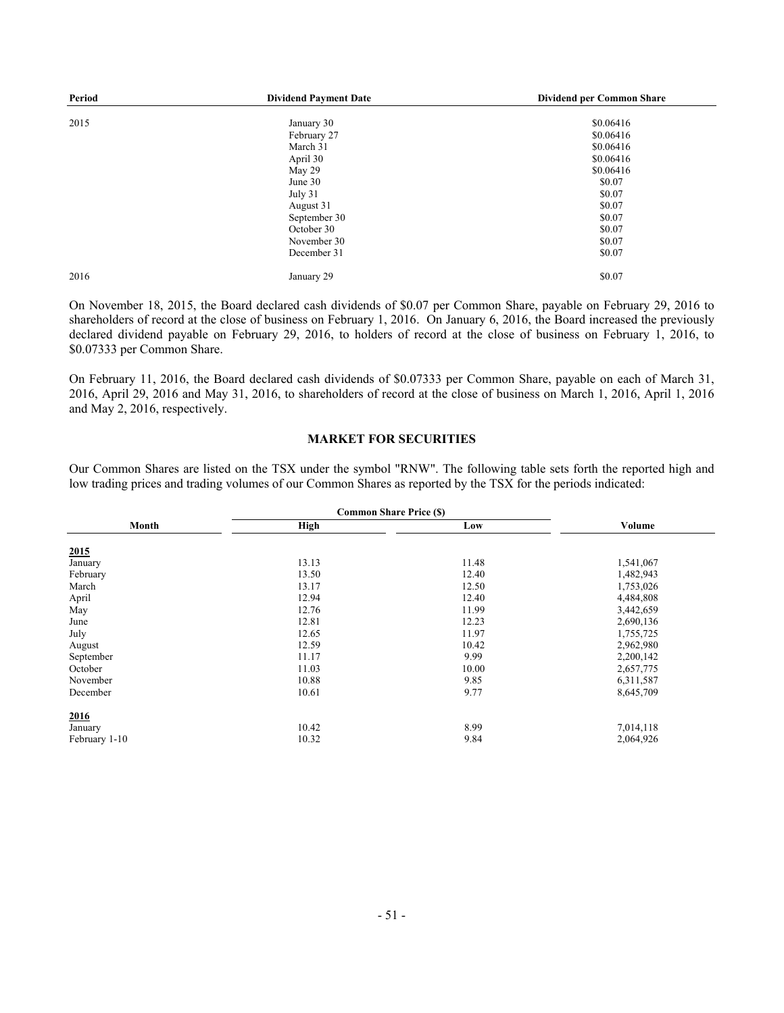| Period | <b>Dividend Payment Date</b> | Dividend per Common Share |
|--------|------------------------------|---------------------------|
| 2015   | January 30                   | \$0.06416                 |
|        | February 27                  | \$0.06416                 |
|        | March 31                     | \$0.06416                 |
|        | April 30                     | \$0.06416                 |
|        | May 29                       | \$0.06416                 |
|        | June 30                      | \$0.07                    |
|        | July 31                      | \$0.07                    |
|        | August 31                    | \$0.07                    |
|        | September 30                 | \$0.07                    |
|        | October 30                   | \$0.07                    |
|        | November 30                  | \$0.07                    |
|        | December 31                  | \$0.07                    |
| 2016   | January 29                   | \$0.07                    |

On November 18, 2015, the Board declared cash dividends of \$0.07 per Common Share, payable on February 29, 2016 to shareholders of record at the close of business on February 1, 2016. On January 6, 2016, the Board increased the previously declared dividend payable on February 29, 2016, to holders of record at the close of business on February 1, 2016, to \$0.07333 per Common Share.

On February 11, 2016, the Board declared cash dividends of \$0.07333 per Common Share, payable on each of March 31, 2016, April 29, 2016 and May 31, 2016, to shareholders of record at the close of business on March 1, 2016, April 1, 2016 and May 2, 2016, respectively.

## **MARKET FOR SECURITIES**

Our Common Shares are listed on the TSX under the symbol "RNW". The following table sets forth the reported high and low trading prices and trading volumes of our Common Shares as reported by the TSX for the periods indicated:

|               | <b>Common Share Price (\$)</b> |       |           |
|---------------|--------------------------------|-------|-----------|
| Month         | High                           | Low   | Volume    |
| 2015          |                                |       |           |
| January       | 13.13                          | 11.48 | 1,541,067 |
| February      | 13.50                          | 12.40 | 1,482,943 |
| March         | 13.17                          | 12.50 | 1,753,026 |
| April         | 12.94                          | 12.40 | 4,484,808 |
| May           | 12.76                          | 11.99 | 3,442,659 |
| June          | 12.81                          | 12.23 | 2,690,136 |
| July          | 12.65                          | 11.97 | 1,755,725 |
| August        | 12.59                          | 10.42 | 2,962,980 |
| September     | 11.17                          | 9.99  | 2,200,142 |
| October       | 11.03                          | 10.00 | 2,657,775 |
| November      | 10.88                          | 9.85  | 6,311,587 |
| December      | 10.61                          | 9.77  | 8,645,709 |
| 2016          |                                |       |           |
| January       | 10.42                          | 8.99  | 7,014,118 |
| February 1-10 | 10.32                          | 9.84  | 2,064,926 |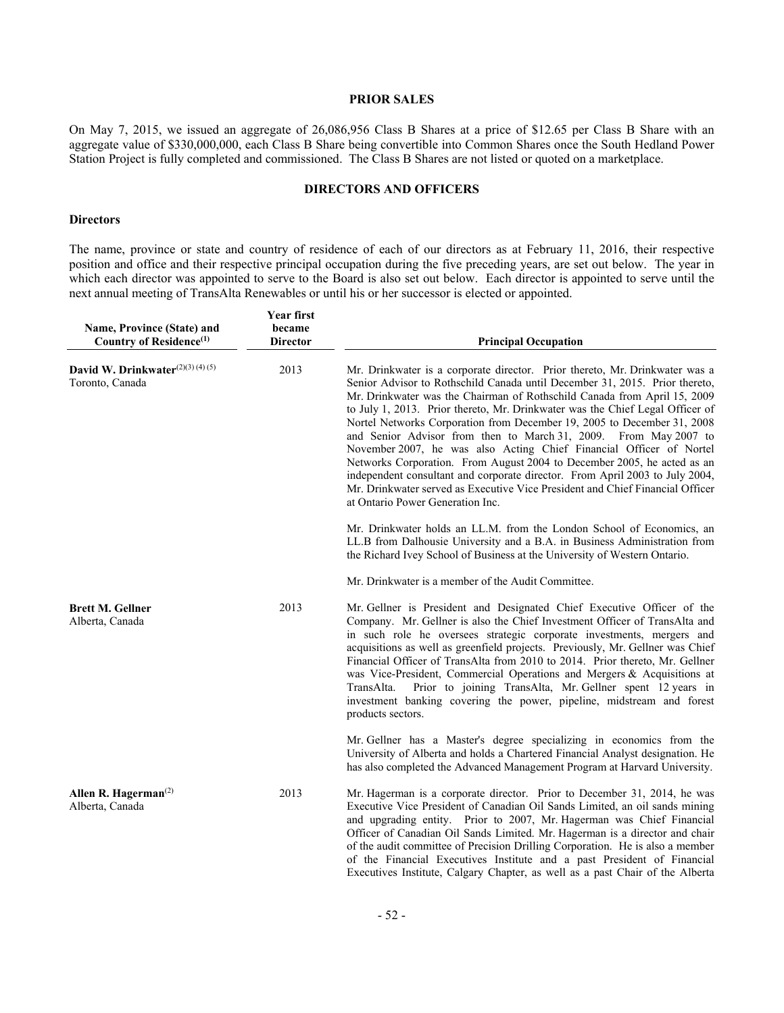# **PRIOR SALES**

On May 7, 2015, we issued an aggregate of 26,086,956 Class B Shares at a price of \$12.65 per Class B Share with an aggregate value of \$330,000,000, each Class B Share being convertible into Common Shares once the South Hedland Power Station Project is fully completed and commissioned. The Class B Shares are not listed or quoted on a marketplace.

# **DIRECTORS AND OFFICERS**

#### **Directors**

The name, province or state and country of residence of each of our directors as at February 11, 2016, their respective position and office and their respective principal occupation during the five preceding years, are set out below. The year in which each director was appointed to serve to the Board is also set out below. Each director is appointed to serve until the next annual meeting of TransAlta Renewables or until his or her successor is elected or appointed.

| Name, Province (State) and<br>Country of Residence <sup>(1)</sup> | <b>Year first</b><br>became<br><b>Director</b> | <b>Principal Occupation</b>                                                                                                                                                                                                                                                                                                                                                                                                                                                                                                                                                                                                                                                                                                                                                                                                   |
|-------------------------------------------------------------------|------------------------------------------------|-------------------------------------------------------------------------------------------------------------------------------------------------------------------------------------------------------------------------------------------------------------------------------------------------------------------------------------------------------------------------------------------------------------------------------------------------------------------------------------------------------------------------------------------------------------------------------------------------------------------------------------------------------------------------------------------------------------------------------------------------------------------------------------------------------------------------------|
| David W. Drinkwater $(2)(3)(4)(5)$<br>Toronto, Canada             | 2013                                           | Mr. Drinkwater is a corporate director. Prior thereto, Mr. Drinkwater was a<br>Senior Advisor to Rothschild Canada until December 31, 2015. Prior thereto,<br>Mr. Drinkwater was the Chairman of Rothschild Canada from April 15, 2009<br>to July 1, 2013. Prior thereto, Mr. Drinkwater was the Chief Legal Officer of<br>Nortel Networks Corporation from December 19, 2005 to December 31, 2008<br>and Senior Advisor from then to March 31, 2009. From May 2007 to<br>November 2007, he was also Acting Chief Financial Officer of Nortel<br>Networks Corporation. From August 2004 to December 2005, he acted as an<br>independent consultant and corporate director. From April 2003 to July 2004,<br>Mr. Drinkwater served as Executive Vice President and Chief Financial Officer<br>at Ontario Power Generation Inc. |
|                                                                   |                                                | Mr. Drinkwater holds an LL.M. from the London School of Economics, an<br>LL.B from Dalhousie University and a B.A. in Business Administration from<br>the Richard Ivey School of Business at the University of Western Ontario.                                                                                                                                                                                                                                                                                                                                                                                                                                                                                                                                                                                               |
|                                                                   |                                                | Mr. Drinkwater is a member of the Audit Committee.                                                                                                                                                                                                                                                                                                                                                                                                                                                                                                                                                                                                                                                                                                                                                                            |
| <b>Brett M. Gellner</b><br>Alberta, Canada                        | 2013                                           | Mr. Gellner is President and Designated Chief Executive Officer of the<br>Company. Mr. Gellner is also the Chief Investment Officer of TransAlta and<br>in such role he oversees strategic corporate investments, mergers and<br>acquisitions as well as greenfield projects. Previously, Mr. Gellner was Chief<br>Financial Officer of TransAlta from 2010 to 2014. Prior thereto, Mr. Gellner<br>was Vice-President, Commercial Operations and Mergers & Acquisitions at<br>Prior to joining TransAlta, Mr. Gellner spent 12 years in<br>TransAlta.<br>investment banking covering the power, pipeline, midstream and forest<br>products sectors.                                                                                                                                                                           |
|                                                                   |                                                | Mr. Gellner has a Master's degree specializing in economics from the<br>University of Alberta and holds a Chartered Financial Analyst designation. He<br>has also completed the Advanced Management Program at Harvard University.                                                                                                                                                                                                                                                                                                                                                                                                                                                                                                                                                                                            |
| Allen R. Hagerman $^{(2)}$<br>Alberta, Canada                     | 2013                                           | Mr. Hagerman is a corporate director. Prior to December 31, 2014, he was<br>Executive Vice President of Canadian Oil Sands Limited, an oil sands mining<br>and upgrading entity. Prior to 2007, Mr. Hagerman was Chief Financial<br>Officer of Canadian Oil Sands Limited. Mr. Hagerman is a director and chair<br>of the audit committee of Precision Drilling Corporation. He is also a member<br>of the Financial Executives Institute and a past President of Financial<br>Executives Institute, Calgary Chapter, as well as a past Chair of the Alberta                                                                                                                                                                                                                                                                  |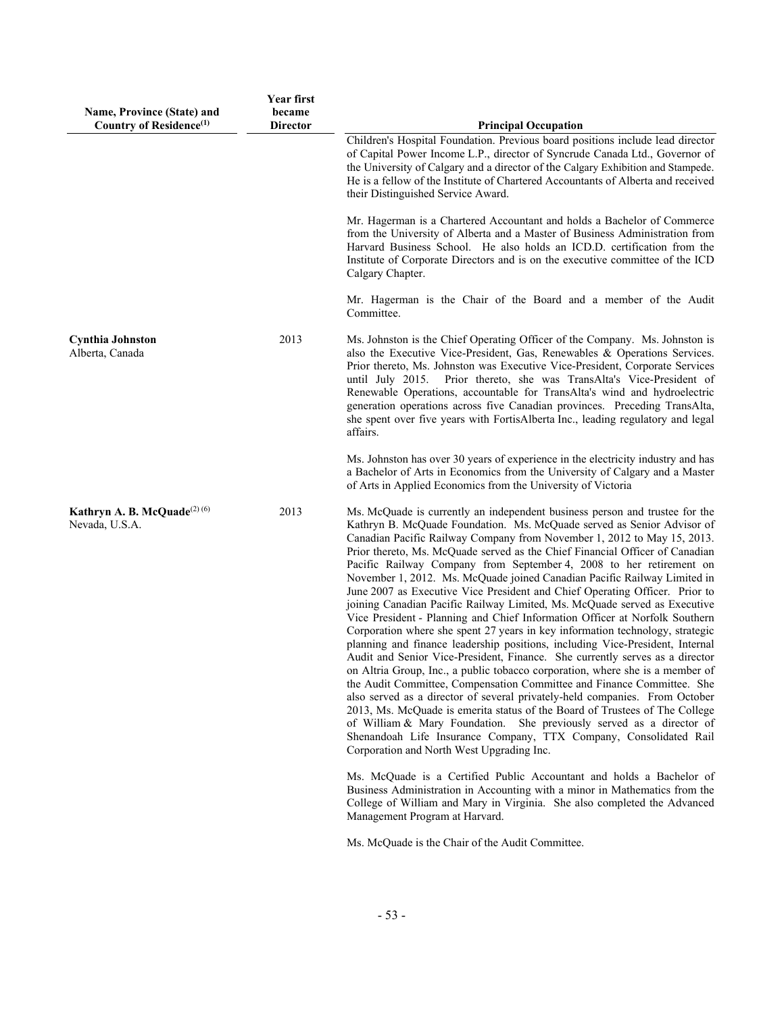| Name, Province (State) and<br>Country of Residence <sup>(1)</sup> | Year first<br>became<br><b>Director</b> | <b>Principal Occupation</b>                                                                                                                                                                                                                                                                                                                                                                                                                                                                                                                                                                                                                                                                                                                                                                                                                                                                                                                                                                                                                                                                                                                                                                                                                                                                                                                                                                                                                                                         |
|-------------------------------------------------------------------|-----------------------------------------|-------------------------------------------------------------------------------------------------------------------------------------------------------------------------------------------------------------------------------------------------------------------------------------------------------------------------------------------------------------------------------------------------------------------------------------------------------------------------------------------------------------------------------------------------------------------------------------------------------------------------------------------------------------------------------------------------------------------------------------------------------------------------------------------------------------------------------------------------------------------------------------------------------------------------------------------------------------------------------------------------------------------------------------------------------------------------------------------------------------------------------------------------------------------------------------------------------------------------------------------------------------------------------------------------------------------------------------------------------------------------------------------------------------------------------------------------------------------------------------|
|                                                                   |                                         | Children's Hospital Foundation. Previous board positions include lead director<br>of Capital Power Income L.P., director of Syncrude Canada Ltd., Governor of<br>the University of Calgary and a director of the Calgary Exhibition and Stampede.<br>He is a fellow of the Institute of Chartered Accountants of Alberta and received<br>their Distinguished Service Award.                                                                                                                                                                                                                                                                                                                                                                                                                                                                                                                                                                                                                                                                                                                                                                                                                                                                                                                                                                                                                                                                                                         |
|                                                                   |                                         | Mr. Hagerman is a Chartered Accountant and holds a Bachelor of Commerce<br>from the University of Alberta and a Master of Business Administration from<br>Harvard Business School. He also holds an ICD.D. certification from the<br>Institute of Corporate Directors and is on the executive committee of the ICD<br>Calgary Chapter.                                                                                                                                                                                                                                                                                                                                                                                                                                                                                                                                                                                                                                                                                                                                                                                                                                                                                                                                                                                                                                                                                                                                              |
|                                                                   |                                         | Mr. Hagerman is the Chair of the Board and a member of the Audit<br>Committee.                                                                                                                                                                                                                                                                                                                                                                                                                                                                                                                                                                                                                                                                                                                                                                                                                                                                                                                                                                                                                                                                                                                                                                                                                                                                                                                                                                                                      |
| <b>Cynthia Johnston</b><br>Alberta, Canada                        | 2013                                    | Ms. Johnston is the Chief Operating Officer of the Company. Ms. Johnston is<br>also the Executive Vice-President, Gas, Renewables & Operations Services.<br>Prior thereto, Ms. Johnston was Executive Vice-President, Corporate Services<br>until July 2015. Prior thereto, she was TransAlta's Vice-President of<br>Renewable Operations, accountable for TransAlta's wind and hydroelectric<br>generation operations across five Canadian provinces. Preceding TransAlta,<br>she spent over five years with FortisAlberta Inc., leading regulatory and legal<br>affairs.                                                                                                                                                                                                                                                                                                                                                                                                                                                                                                                                                                                                                                                                                                                                                                                                                                                                                                          |
|                                                                   |                                         | Ms. Johnston has over 30 years of experience in the electricity industry and has<br>a Bachelor of Arts in Economics from the University of Calgary and a Master<br>of Arts in Applied Economics from the University of Victoria                                                                                                                                                                                                                                                                                                                                                                                                                                                                                                                                                                                                                                                                                                                                                                                                                                                                                                                                                                                                                                                                                                                                                                                                                                                     |
| Kathryn A. B. McQuade $(2)(6)$<br>Nevada, U.S.A.                  | 2013                                    | Ms. McQuade is currently an independent business person and trustee for the<br>Kathryn B. McQuade Foundation. Ms. McQuade served as Senior Advisor of<br>Canadian Pacific Railway Company from November 1, 2012 to May 15, 2013.<br>Prior thereto, Ms. McQuade served as the Chief Financial Officer of Canadian<br>Pacific Railway Company from September 4, 2008 to her retirement on<br>November 1, 2012. Ms. McQuade joined Canadian Pacific Railway Limited in<br>June 2007 as Executive Vice President and Chief Operating Officer. Prior to<br>joining Canadian Pacific Railway Limited, Ms. McQuade served as Executive<br>Vice President - Planning and Chief Information Officer at Norfolk Southern<br>Corporation where she spent 27 years in key information technology, strategic<br>planning and finance leadership positions, including Vice-President, Internal<br>Audit and Senior Vice-President, Finance. She currently serves as a director<br>on Altria Group, Inc., a public tobacco corporation, where she is a member of<br>the Audit Committee, Compensation Committee and Finance Committee. She<br>also served as a director of several privately-held companies. From October<br>2013, Ms. McQuade is emerita status of the Board of Trustees of The College<br>of William & Mary Foundation. She previously served as a director of<br>Shenandoah Life Insurance Company, TTX Company, Consolidated Rail<br>Corporation and North West Upgrading Inc. |
|                                                                   |                                         | Ms. McQuade is a Certified Public Accountant and holds a Bachelor of<br>Business Administration in Accounting with a minor in Mathematics from the<br>College of William and Mary in Virginia. She also completed the Advanced<br>Management Program at Harvard.                                                                                                                                                                                                                                                                                                                                                                                                                                                                                                                                                                                                                                                                                                                                                                                                                                                                                                                                                                                                                                                                                                                                                                                                                    |
|                                                                   |                                         | Ms. McQuade is the Chair of the Audit Committee.                                                                                                                                                                                                                                                                                                                                                                                                                                                                                                                                                                                                                                                                                                                                                                                                                                                                                                                                                                                                                                                                                                                                                                                                                                                                                                                                                                                                                                    |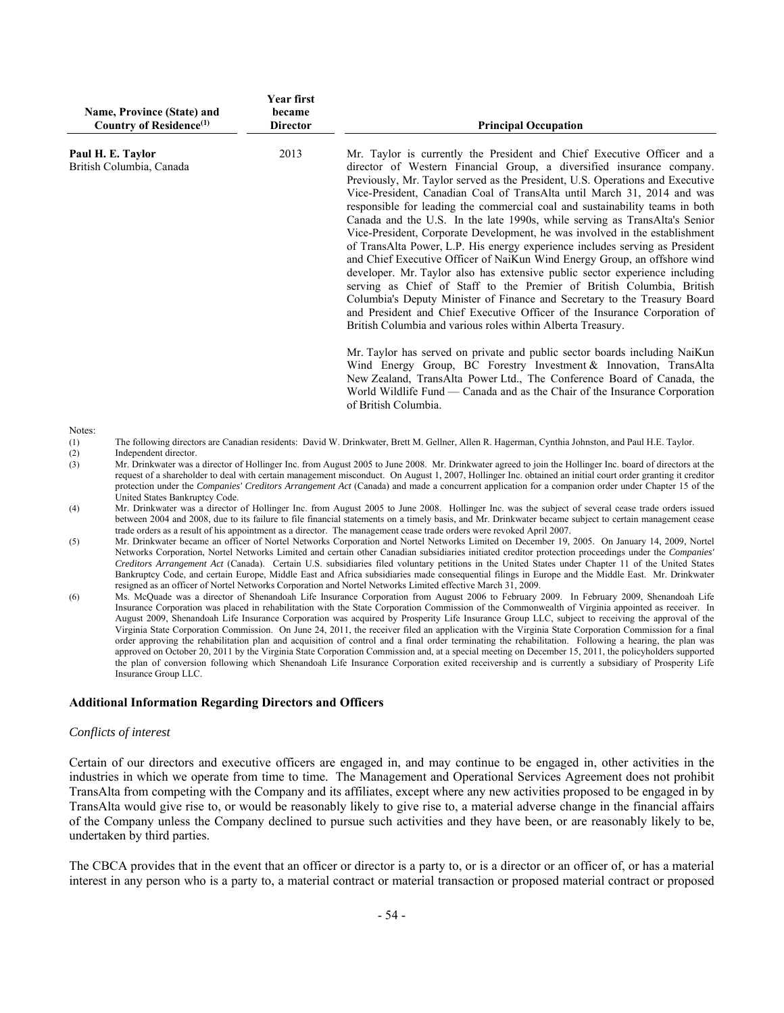| Name, Province (State) and<br>Country of Residence <sup>(1)</sup> | Year first<br>became<br><b>Director</b> | <b>Principal Occupation</b>                                                                                                                                                                                                                                                                                                                                                                                                                                                                                                                                                                                                                                                                                                                                                                                                                                                                                                                                                                                                                                                                             |
|-------------------------------------------------------------------|-----------------------------------------|---------------------------------------------------------------------------------------------------------------------------------------------------------------------------------------------------------------------------------------------------------------------------------------------------------------------------------------------------------------------------------------------------------------------------------------------------------------------------------------------------------------------------------------------------------------------------------------------------------------------------------------------------------------------------------------------------------------------------------------------------------------------------------------------------------------------------------------------------------------------------------------------------------------------------------------------------------------------------------------------------------------------------------------------------------------------------------------------------------|
| Paul H. E. Taylor<br>British Columbia, Canada                     | 2013                                    | Mr. Taylor is currently the President and Chief Executive Officer and a<br>director of Western Financial Group, a diversified insurance company.<br>Previously, Mr. Taylor served as the President, U.S. Operations and Executive<br>Vice-President, Canadian Coal of TransAlta until March 31, 2014 and was<br>responsible for leading the commercial coal and sustainability teams in both<br>Canada and the U.S. In the late 1990s, while serving as TransAlta's Senior<br>Vice-President, Corporate Development, he was involved in the establishment<br>of TransAlta Power, L.P. His energy experience includes serving as President<br>and Chief Executive Officer of NaiKun Wind Energy Group, an offshore wind<br>developer. Mr. Taylor also has extensive public sector experience including<br>serving as Chief of Staff to the Premier of British Columbia, British<br>Columbia's Deputy Minister of Finance and Secretary to the Treasury Board<br>and President and Chief Executive Officer of the Insurance Corporation of<br>British Columbia and various roles within Alberta Treasury. |
| Notes <sup>-</sup>                                                |                                         | Mr. Taylor has served on private and public sector boards including NaiKun<br>Wind Energy Group, BC Forestry Investment & Innovation, TransAlta<br>New Zealand, TransAlta Power Ltd., The Conference Board of Canada, the<br>World Wildlife Fund — Canada and as the Chair of the Insurance Corporation<br>of British Columbia.                                                                                                                                                                                                                                                                                                                                                                                                                                                                                                                                                                                                                                                                                                                                                                         |

- Notes:
- (1) The following directors are Canadian residents: David W. Drinkwater, Brett M. Gellner, Allen R. Hagerman, Cynthia Johnston, and Paul H.E. Taylor.
- (2) Independent director.
- (3) Mr. Drinkwater was a director of Hollinger Inc. from August 2005 to June 2008. Mr. Drinkwater agreed to join the Hollinger Inc. board of directors at the request of a shareholder to deal with certain management misconduct. On August 1, 2007, Hollinger Inc. obtained an initial court order granting it creditor protection under the *Companies' Creditors Arrangement Act* (Canada) and made a concurrent application for a companion order under Chapter 15 of the United States Bankruptcy Code.
- (4) Mr. Drinkwater was a director of Hollinger Inc. from August 2005 to June 2008. Hollinger Inc. was the subject of several cease trade orders issued between 2004 and 2008, due to its failure to file financial statements on a timely basis, and Mr. Drinkwater became subject to certain management cease trade orders as a result of his appointment as a director. The management cease trade orders were revoked April 2007.
- (5) Mr. Drinkwater became an officer of Nortel Networks Corporation and Nortel Networks Limited on December 19, 2005. On January 14, 2009, Nortel Networks Corporation, Nortel Networks Limited and certain other Canadian subsidiaries initiated creditor protection proceedings under the *Companies' Creditors Arrangement Act* (Canada). Certain U.S. subsidiaries filed voluntary petitions in the United States under Chapter 11 of the United States Bankruptcy Code, and certain Europe, Middle East and Africa subsidiaries made consequential filings in Europe and the Middle East. Mr. Drinkwater resigned as an officer of Nortel Networks Corporation and Nortel Networks Limited effective March 31, 2009.
- (6) Ms. McQuade was a director of Shenandoah Life Insurance Corporation from August 2006 to February 2009. In February 2009, Shenandoah Life Insurance Corporation was placed in rehabilitation with the State Corporation Commission of the Commonwealth of Virginia appointed as receiver. In August 2009, Shenandoah Life Insurance Corporation was acquired by Prosperity Life Insurance Group LLC, subject to receiving the approval of the Virginia State Corporation Commission. On June 24, 2011, the receiver filed an application with the Virginia State Corporation Commission for a final order approving the rehabilitation plan and acquisition of control and a final order terminating the rehabilitation. Following a hearing, the plan was approved on October 20, 2011 by the Virginia State Corporation Commission and, at a special meeting on December 15, 2011, the policyholders supported the plan of conversion following which Shenandoah Life Insurance Corporation exited receivership and is currently a subsidiary of Prosperity Life Insurance Group LLC.

# **Additional Information Regarding Directors and Officers**

#### *Conflicts of interest*

Certain of our directors and executive officers are engaged in, and may continue to be engaged in, other activities in the industries in which we operate from time to time. The Management and Operational Services Agreement does not prohibit TransAlta from competing with the Company and its affiliates, except where any new activities proposed to be engaged in by TransAlta would give rise to, or would be reasonably likely to give rise to, a material adverse change in the financial affairs of the Company unless the Company declined to pursue such activities and they have been, or are reasonably likely to be, undertaken by third parties.

The CBCA provides that in the event that an officer or director is a party to, or is a director or an officer of, or has a material interest in any person who is a party to, a material contract or material transaction or proposed material contract or proposed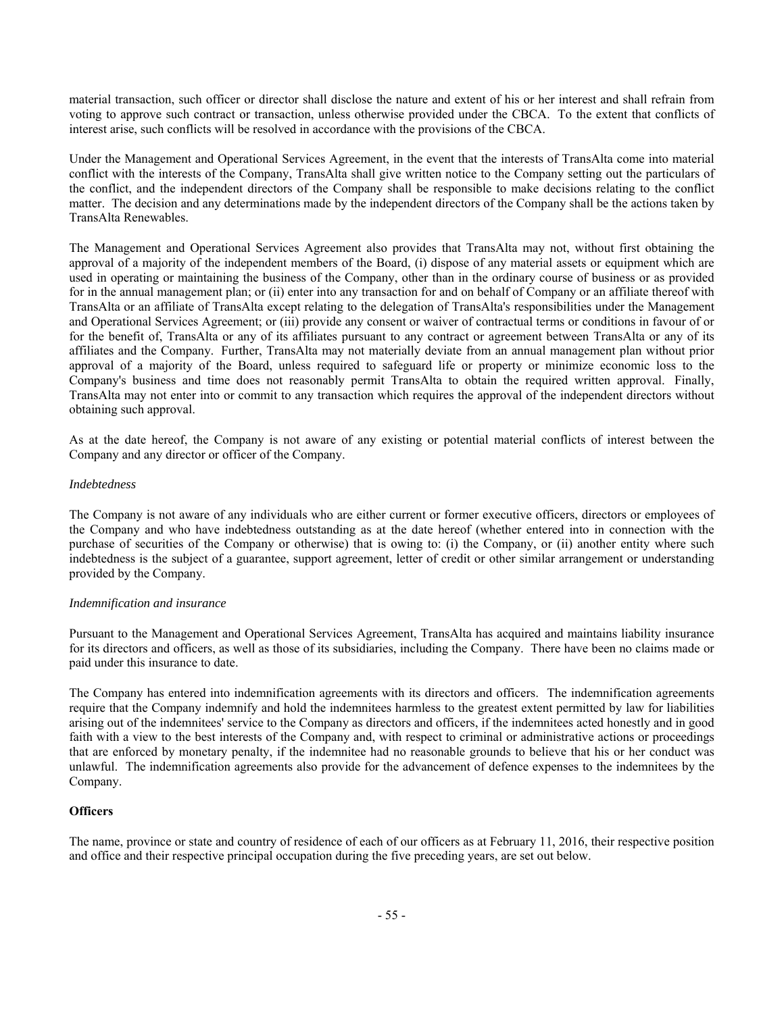material transaction, such officer or director shall disclose the nature and extent of his or her interest and shall refrain from voting to approve such contract or transaction, unless otherwise provided under the CBCA. To the extent that conflicts of interest arise, such conflicts will be resolved in accordance with the provisions of the CBCA.

Under the Management and Operational Services Agreement, in the event that the interests of TransAlta come into material conflict with the interests of the Company, TransAlta shall give written notice to the Company setting out the particulars of the conflict, and the independent directors of the Company shall be responsible to make decisions relating to the conflict matter. The decision and any determinations made by the independent directors of the Company shall be the actions taken by TransAlta Renewables.

The Management and Operational Services Agreement also provides that TransAlta may not, without first obtaining the approval of a majority of the independent members of the Board, (i) dispose of any material assets or equipment which are used in operating or maintaining the business of the Company, other than in the ordinary course of business or as provided for in the annual management plan; or (ii) enter into any transaction for and on behalf of Company or an affiliate thereof with TransAlta or an affiliate of TransAlta except relating to the delegation of TransAlta's responsibilities under the Management and Operational Services Agreement; or (iii) provide any consent or waiver of contractual terms or conditions in favour of or for the benefit of, TransAlta or any of its affiliates pursuant to any contract or agreement between TransAlta or any of its affiliates and the Company. Further, TransAlta may not materially deviate from an annual management plan without prior approval of a majority of the Board, unless required to safeguard life or property or minimize economic loss to the Company's business and time does not reasonably permit TransAlta to obtain the required written approval. Finally, TransAlta may not enter into or commit to any transaction which requires the approval of the independent directors without obtaining such approval.

As at the date hereof, the Company is not aware of any existing or potential material conflicts of interest between the Company and any director or officer of the Company.

# *Indebtedness*

The Company is not aware of any individuals who are either current or former executive officers, directors or employees of the Company and who have indebtedness outstanding as at the date hereof (whether entered into in connection with the purchase of securities of the Company or otherwise) that is owing to: (i) the Company, or (ii) another entity where such indebtedness is the subject of a guarantee, support agreement, letter of credit or other similar arrangement or understanding provided by the Company.

## *Indemnification and insurance*

Pursuant to the Management and Operational Services Agreement, TransAlta has acquired and maintains liability insurance for its directors and officers, as well as those of its subsidiaries, including the Company. There have been no claims made or paid under this insurance to date.

The Company has entered into indemnification agreements with its directors and officers. The indemnification agreements require that the Company indemnify and hold the indemnitees harmless to the greatest extent permitted by law for liabilities arising out of the indemnitees' service to the Company as directors and officers, if the indemnitees acted honestly and in good faith with a view to the best interests of the Company and, with respect to criminal or administrative actions or proceedings that are enforced by monetary penalty, if the indemnitee had no reasonable grounds to believe that his or her conduct was unlawful. The indemnification agreements also provide for the advancement of defence expenses to the indemnitees by the Company.

## **Officers**

The name, province or state and country of residence of each of our officers as at February 11, 2016, their respective position and office and their respective principal occupation during the five preceding years, are set out below.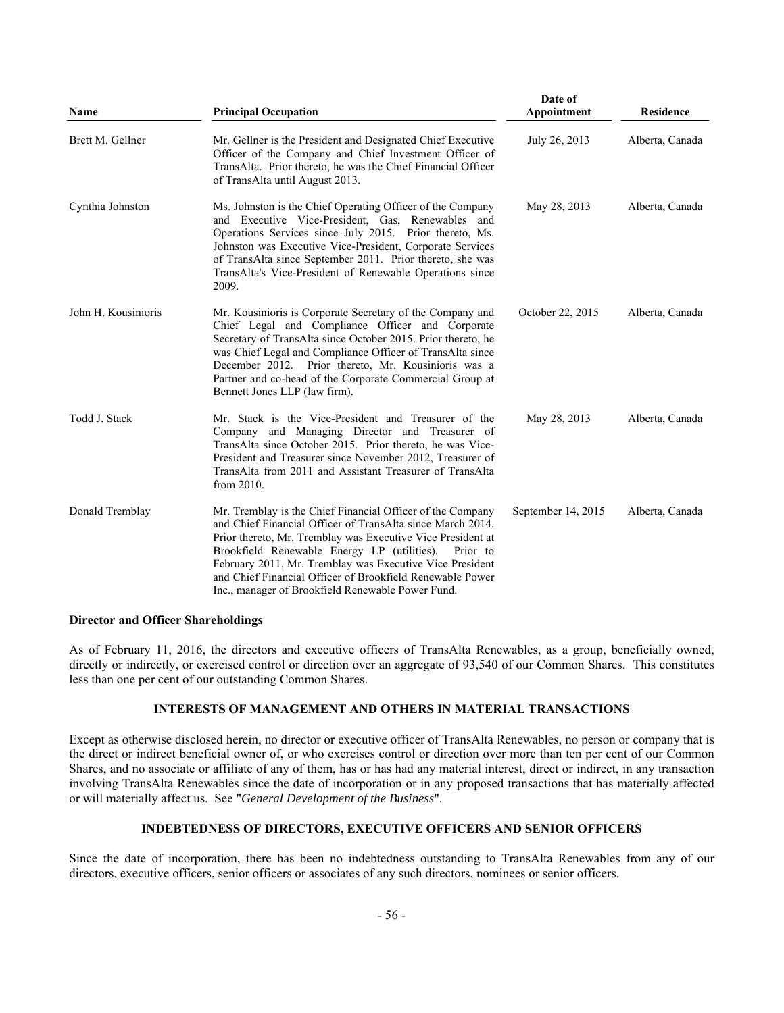| Name                | <b>Principal Occupation</b>                                                                                                                                                                                                                                                                                                                                                                                                      | Date of<br>Appointment | <b>Residence</b> |
|---------------------|----------------------------------------------------------------------------------------------------------------------------------------------------------------------------------------------------------------------------------------------------------------------------------------------------------------------------------------------------------------------------------------------------------------------------------|------------------------|------------------|
| Brett M. Gellner    | Mr. Gellner is the President and Designated Chief Executive<br>Officer of the Company and Chief Investment Officer of<br>TransAlta. Prior thereto, he was the Chief Financial Officer<br>of TransAlta until August 2013.                                                                                                                                                                                                         | July 26, 2013          | Alberta, Canada  |
| Cynthia Johnston    | Ms. Johnston is the Chief Operating Officer of the Company<br>and Executive Vice-President, Gas, Renewables and<br>Operations Services since July 2015. Prior thereto, Ms.<br>Johnston was Executive Vice-President, Corporate Services<br>of TransAlta since September 2011. Prior thereto, she was<br>TransAlta's Vice-President of Renewable Operations since<br>2009.                                                        | May 28, 2013           | Alberta, Canada  |
| John H. Kousinioris | Mr. Kousinioris is Corporate Secretary of the Company and<br>Chief Legal and Compliance Officer and Corporate<br>Secretary of TransAlta since October 2015. Prior thereto, he<br>was Chief Legal and Compliance Officer of TransAlta since<br>December 2012. Prior thereto, Mr. Kousinioris was a<br>Partner and co-head of the Corporate Commercial Group at<br>Bennett Jones LLP (law firm).                                   | October 22, 2015       | Alberta, Canada  |
| Todd J. Stack       | Mr. Stack is the Vice-President and Treasurer of the<br>Company and Managing Director and Treasurer of<br>TransAlta since October 2015. Prior thereto, he was Vice-<br>President and Treasurer since November 2012, Treasurer of<br>TransAlta from 2011 and Assistant Treasurer of TransAlta<br>from 2010.                                                                                                                       | May 28, 2013           | Alberta, Canada  |
| Donald Tremblay     | Mr. Tremblay is the Chief Financial Officer of the Company<br>and Chief Financial Officer of TransAlta since March 2014.<br>Prior thereto, Mr. Tremblay was Executive Vice President at<br>Brookfield Renewable Energy LP (utilities).<br>Prior to<br>February 2011, Mr. Tremblay was Executive Vice President<br>and Chief Financial Officer of Brookfield Renewable Power<br>Inc., manager of Brookfield Renewable Power Fund. | September 14, 2015     | Alberta, Canada  |

## **Director and Officer Shareholdings**

As of February 11, 2016, the directors and executive officers of TransAlta Renewables, as a group, beneficially owned, directly or indirectly, or exercised control or direction over an aggregate of 93,540 of our Common Shares. This constitutes less than one per cent of our outstanding Common Shares.

## **INTERESTS OF MANAGEMENT AND OTHERS IN MATERIAL TRANSACTIONS**

Except as otherwise disclosed herein, no director or executive officer of TransAlta Renewables, no person or company that is the direct or indirect beneficial owner of, or who exercises control or direction over more than ten per cent of our Common Shares, and no associate or affiliate of any of them, has or has had any material interest, direct or indirect, in any transaction involving TransAlta Renewables since the date of incorporation or in any proposed transactions that has materially affected or will materially affect us. See "*General Development of the Business*".

# **INDEBTEDNESS OF DIRECTORS, EXECUTIVE OFFICERS AND SENIOR OFFICERS**

Since the date of incorporation, there has been no indebtedness outstanding to TransAlta Renewables from any of our directors, executive officers, senior officers or associates of any such directors, nominees or senior officers.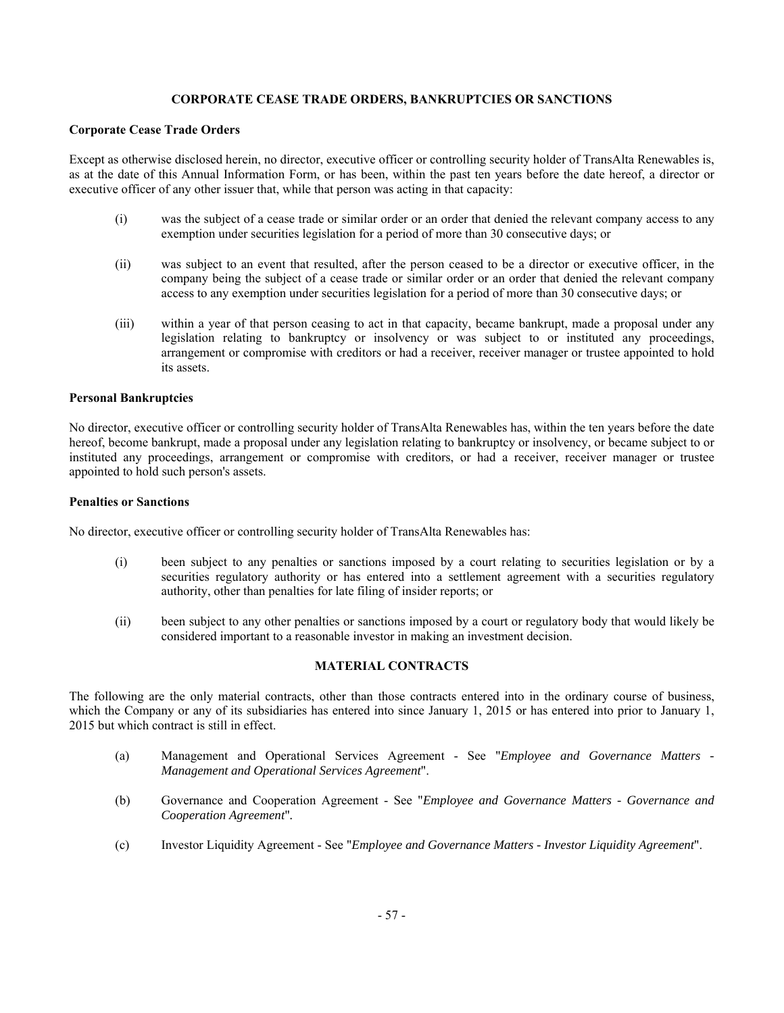# **CORPORATE CEASE TRADE ORDERS, BANKRUPTCIES OR SANCTIONS**

# **Corporate Cease Trade Orders**

Except as otherwise disclosed herein, no director, executive officer or controlling security holder of TransAlta Renewables is, as at the date of this Annual Information Form, or has been, within the past ten years before the date hereof, a director or executive officer of any other issuer that, while that person was acting in that capacity:

- (i) was the subject of a cease trade or similar order or an order that denied the relevant company access to any exemption under securities legislation for a period of more than 30 consecutive days; or
- (ii) was subject to an event that resulted, after the person ceased to be a director or executive officer, in the company being the subject of a cease trade or similar order or an order that denied the relevant company access to any exemption under securities legislation for a period of more than 30 consecutive days; or
- (iii) within a year of that person ceasing to act in that capacity, became bankrupt, made a proposal under any legislation relating to bankruptcy or insolvency or was subject to or instituted any proceedings, arrangement or compromise with creditors or had a receiver, receiver manager or trustee appointed to hold its assets.

# **Personal Bankruptcies**

No director, executive officer or controlling security holder of TransAlta Renewables has, within the ten years before the date hereof, become bankrupt, made a proposal under any legislation relating to bankruptcy or insolvency, or became subject to or instituted any proceedings, arrangement or compromise with creditors, or had a receiver, receiver manager or trustee appointed to hold such person's assets.

## **Penalties or Sanctions**

No director, executive officer or controlling security holder of TransAlta Renewables has:

- (i) been subject to any penalties or sanctions imposed by a court relating to securities legislation or by a securities regulatory authority or has entered into a settlement agreement with a securities regulatory authority, other than penalties for late filing of insider reports; or
- (ii) been subject to any other penalties or sanctions imposed by a court or regulatory body that would likely be considered important to a reasonable investor in making an investment decision.

# **MATERIAL CONTRACTS**

The following are the only material contracts, other than those contracts entered into in the ordinary course of business, which the Company or any of its subsidiaries has entered into since January 1, 2015 or has entered into prior to January 1, 2015 but which contract is still in effect.

- (a) Management and Operational Services Agreement See "*Employee and Governance Matters Management and Operational Services Agreement*".
- (b) Governance and Cooperation Agreement See "*Employee and Governance Matters Governance and Cooperation Agreement*"*.*
- (c) Investor Liquidity Agreement See "*Employee and Governance Matters Investor Liquidity Agreement*".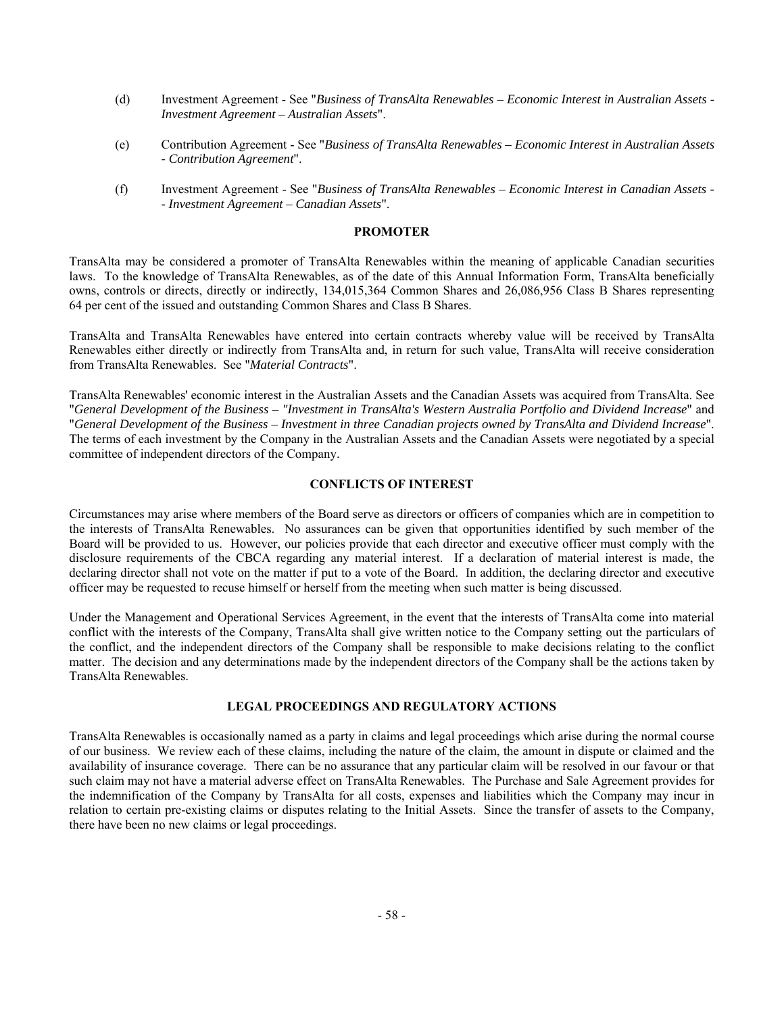- (d) Investment Agreement See "*Business of TransAlta Renewables Economic Interest in Australian Assets Investment Agreement – Australian Assets*".
- (e) Contribution Agreement See "*Business of TransAlta Renewables Economic Interest in Australian Assets - Contribution Agreement*".
- (f) Investment Agreement See "*Business of TransAlta Renewables Economic Interest in Canadian Assets - Investment Agreement – Canadian Assets*".

## **PROMOTER**

TransAlta may be considered a promoter of TransAlta Renewables within the meaning of applicable Canadian securities laws. To the knowledge of TransAlta Renewables, as of the date of this Annual Information Form, TransAlta beneficially owns, controls or directs, directly or indirectly, 134,015,364 Common Shares and 26,086,956 Class B Shares representing 64 per cent of the issued and outstanding Common Shares and Class B Shares.

TransAlta and TransAlta Renewables have entered into certain contracts whereby value will be received by TransAlta Renewables either directly or indirectly from TransAlta and, in return for such value, TransAlta will receive consideration from TransAlta Renewables. See "*Material Contracts*".

TransAlta Renewables' economic interest in the Australian Assets and the Canadian Assets was acquired from TransAlta. See "*General Development of the Business – "Investment in TransAlta's Western Australia Portfolio and Dividend Increase*" and "*General Development of the Business – Investment in three Canadian projects owned by TransAlta and Dividend Increase*". The terms of each investment by the Company in the Australian Assets and the Canadian Assets were negotiated by a special committee of independent directors of the Company.

# **CONFLICTS OF INTEREST**

Circumstances may arise where members of the Board serve as directors or officers of companies which are in competition to the interests of TransAlta Renewables. No assurances can be given that opportunities identified by such member of the Board will be provided to us. However, our policies provide that each director and executive officer must comply with the disclosure requirements of the CBCA regarding any material interest. If a declaration of material interest is made, the declaring director shall not vote on the matter if put to a vote of the Board. In addition, the declaring director and executive officer may be requested to recuse himself or herself from the meeting when such matter is being discussed.

Under the Management and Operational Services Agreement, in the event that the interests of TransAlta come into material conflict with the interests of the Company, TransAlta shall give written notice to the Company setting out the particulars of the conflict, and the independent directors of the Company shall be responsible to make decisions relating to the conflict matter. The decision and any determinations made by the independent directors of the Company shall be the actions taken by TransAlta Renewables.

# **LEGAL PROCEEDINGS AND REGULATORY ACTIONS**

TransAlta Renewables is occasionally named as a party in claims and legal proceedings which arise during the normal course of our business. We review each of these claims, including the nature of the claim, the amount in dispute or claimed and the availability of insurance coverage. There can be no assurance that any particular claim will be resolved in our favour or that such claim may not have a material adverse effect on TransAlta Renewables. The Purchase and Sale Agreement provides for the indemnification of the Company by TransAlta for all costs, expenses and liabilities which the Company may incur in relation to certain pre-existing claims or disputes relating to the Initial Assets. Since the transfer of assets to the Company, there have been no new claims or legal proceedings.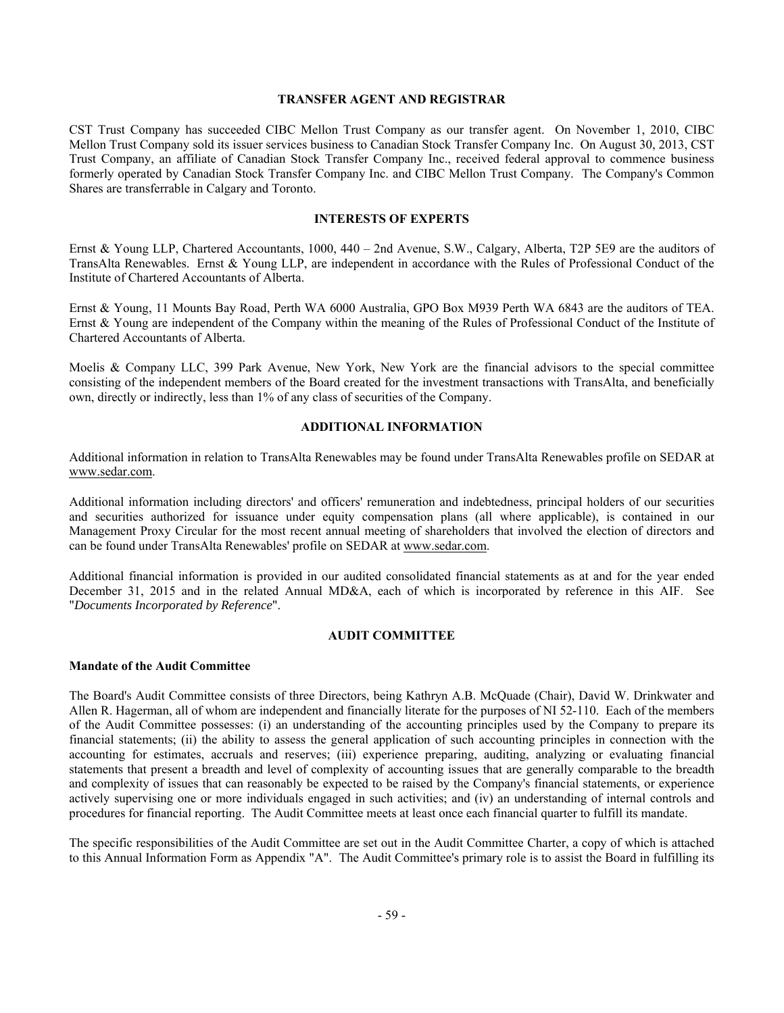# **TRANSFER AGENT AND REGISTRAR**

CST Trust Company has succeeded CIBC Mellon Trust Company as our transfer agent. On November 1, 2010, CIBC Mellon Trust Company sold its issuer services business to Canadian Stock Transfer Company Inc. On August 30, 2013, CST Trust Company, an affiliate of Canadian Stock Transfer Company Inc., received federal approval to commence business formerly operated by Canadian Stock Transfer Company Inc. and CIBC Mellon Trust Company. The Company's Common Shares are transferrable in Calgary and Toronto.

# **INTERESTS OF EXPERTS**

Ernst & Young LLP, Chartered Accountants, 1000, 440 – 2nd Avenue, S.W., Calgary, Alberta, T2P 5E9 are the auditors of TransAlta Renewables. Ernst & Young LLP, are independent in accordance with the Rules of Professional Conduct of the Institute of Chartered Accountants of Alberta.

Ernst & Young, 11 Mounts Bay Road, Perth WA 6000 Australia, GPO Box M939 Perth WA 6843 are the auditors of TEA. Ernst & Young are independent of the Company within the meaning of the Rules of Professional Conduct of the Institute of Chartered Accountants of Alberta.

Moelis & Company LLC, 399 Park Avenue, New York, New York are the financial advisors to the special committee consisting of the independent members of the Board created for the investment transactions with TransAlta, and beneficially own, directly or indirectly, less than 1% of any class of securities of the Company.

## **ADDITIONAL INFORMATION**

Additional information in relation to TransAlta Renewables may be found under TransAlta Renewables profile on SEDAR at www.sedar.com.

Additional information including directors' and officers' remuneration and indebtedness, principal holders of our securities and securities authorized for issuance under equity compensation plans (all where applicable), is contained in our Management Proxy Circular for the most recent annual meeting of shareholders that involved the election of directors and can be found under TransAlta Renewables' profile on SEDAR at www.sedar.com.

Additional financial information is provided in our audited consolidated financial statements as at and for the year ended December 31, 2015 and in the related Annual MD&A, each of which is incorporated by reference in this AIF. See "*Documents Incorporated by Reference*".

#### **AUDIT COMMITTEE**

#### **Mandate of the Audit Committee**

The Board's Audit Committee consists of three Directors, being Kathryn A.B. McQuade (Chair), David W. Drinkwater and Allen R. Hagerman, all of whom are independent and financially literate for the purposes of NI 52-110. Each of the members of the Audit Committee possesses: (i) an understanding of the accounting principles used by the Company to prepare its financial statements; (ii) the ability to assess the general application of such accounting principles in connection with the accounting for estimates, accruals and reserves; (iii) experience preparing, auditing, analyzing or evaluating financial statements that present a breadth and level of complexity of accounting issues that are generally comparable to the breadth and complexity of issues that can reasonably be expected to be raised by the Company's financial statements, or experience actively supervising one or more individuals engaged in such activities; and (iv) an understanding of internal controls and procedures for financial reporting. The Audit Committee meets at least once each financial quarter to fulfill its mandate.

The specific responsibilities of the Audit Committee are set out in the Audit Committee Charter, a copy of which is attached to this Annual Information Form as Appendix "A". The Audit Committee's primary role is to assist the Board in fulfilling its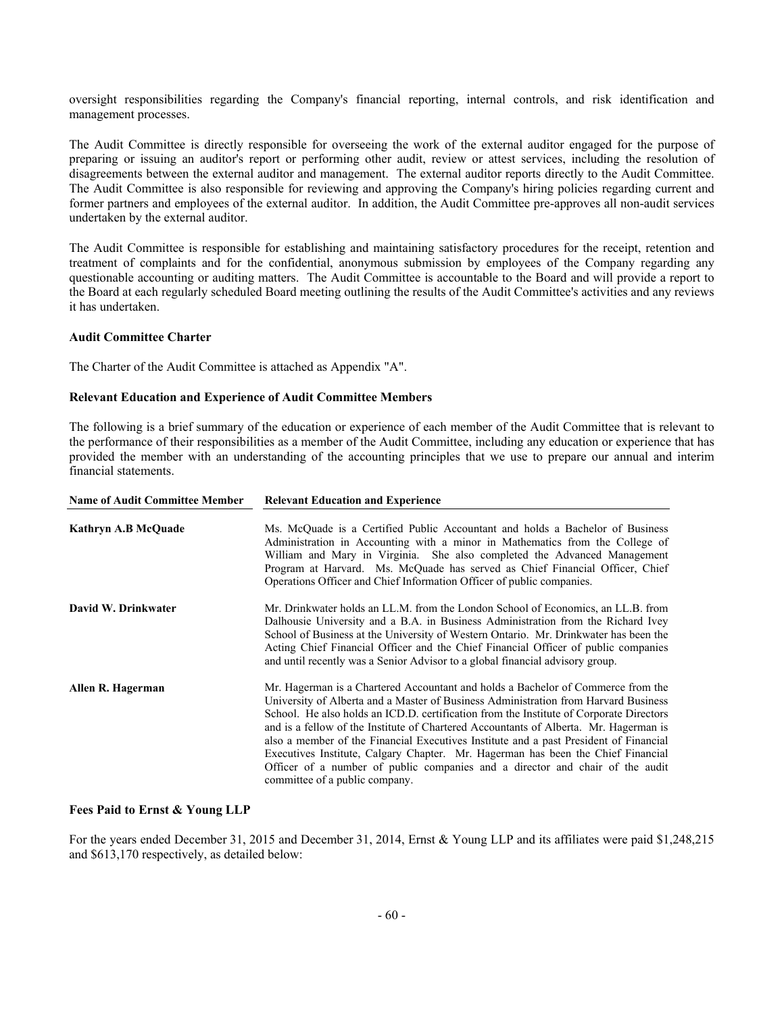oversight responsibilities regarding the Company's financial reporting, internal controls, and risk identification and management processes.

The Audit Committee is directly responsible for overseeing the work of the external auditor engaged for the purpose of preparing or issuing an auditor's report or performing other audit, review or attest services, including the resolution of disagreements between the external auditor and management. The external auditor reports directly to the Audit Committee. The Audit Committee is also responsible for reviewing and approving the Company's hiring policies regarding current and former partners and employees of the external auditor. In addition, the Audit Committee pre-approves all non-audit services undertaken by the external auditor.

The Audit Committee is responsible for establishing and maintaining satisfactory procedures for the receipt, retention and treatment of complaints and for the confidential, anonymous submission by employees of the Company regarding any questionable accounting or auditing matters. The Audit Committee is accountable to the Board and will provide a report to the Board at each regularly scheduled Board meeting outlining the results of the Audit Committee's activities and any reviews it has undertaken.

# **Audit Committee Charter**

The Charter of the Audit Committee is attached as Appendix "A".

#### **Relevant Education and Experience of Audit Committee Members**

The following is a brief summary of the education or experience of each member of the Audit Committee that is relevant to the performance of their responsibilities as a member of the Audit Committee, including any education or experience that has provided the member with an understanding of the accounting principles that we use to prepare our annual and interim financial statements.

| <b>Name of Audit Committee Member</b> | <b>Relevant Education and Experience</b>                                                                                                                                                                                                                                                                                                                                                                                                                                                                                                                                                                                                                    |  |  |
|---------------------------------------|-------------------------------------------------------------------------------------------------------------------------------------------------------------------------------------------------------------------------------------------------------------------------------------------------------------------------------------------------------------------------------------------------------------------------------------------------------------------------------------------------------------------------------------------------------------------------------------------------------------------------------------------------------------|--|--|
| Kathryn A.B McQuade                   | Ms. McQuade is a Certified Public Accountant and holds a Bachelor of Business<br>Administration in Accounting with a minor in Mathematics from the College of<br>William and Mary in Virginia. She also completed the Advanced Management<br>Program at Harvard. Ms. McQuade has served as Chief Financial Officer, Chief<br>Operations Officer and Chief Information Officer of public companies.                                                                                                                                                                                                                                                          |  |  |
| David W. Drinkwater                   | Mr. Drinkwater holds an LL.M. from the London School of Economics, an LL.B. from<br>Dalhousie University and a B.A. in Business Administration from the Richard Ivey<br>School of Business at the University of Western Ontario. Mr. Drinkwater has been the<br>Acting Chief Financial Officer and the Chief Financial Officer of public companies<br>and until recently was a Senior Advisor to a global financial advisory group.                                                                                                                                                                                                                         |  |  |
| Allen R. Hagerman                     | Mr. Hagerman is a Chartered Accountant and holds a Bachelor of Commerce from the<br>University of Alberta and a Master of Business Administration from Harvard Business<br>School. He also holds an ICD.D. certification from the Institute of Corporate Directors<br>and is a fellow of the Institute of Chartered Accountants of Alberta. Mr. Hagerman is<br>also a member of the Financial Executives Institute and a past President of Financial<br>Executives Institute, Calgary Chapter. Mr. Hagerman has been the Chief Financial<br>Officer of a number of public companies and a director and chair of the audit<br>committee of a public company. |  |  |

#### **Fees Paid to Ernst & Young LLP**

For the years ended December 31, 2015 and December 31, 2014, Ernst & Young LLP and its affiliates were paid \$1,248,215 and \$613,170 respectively, as detailed below: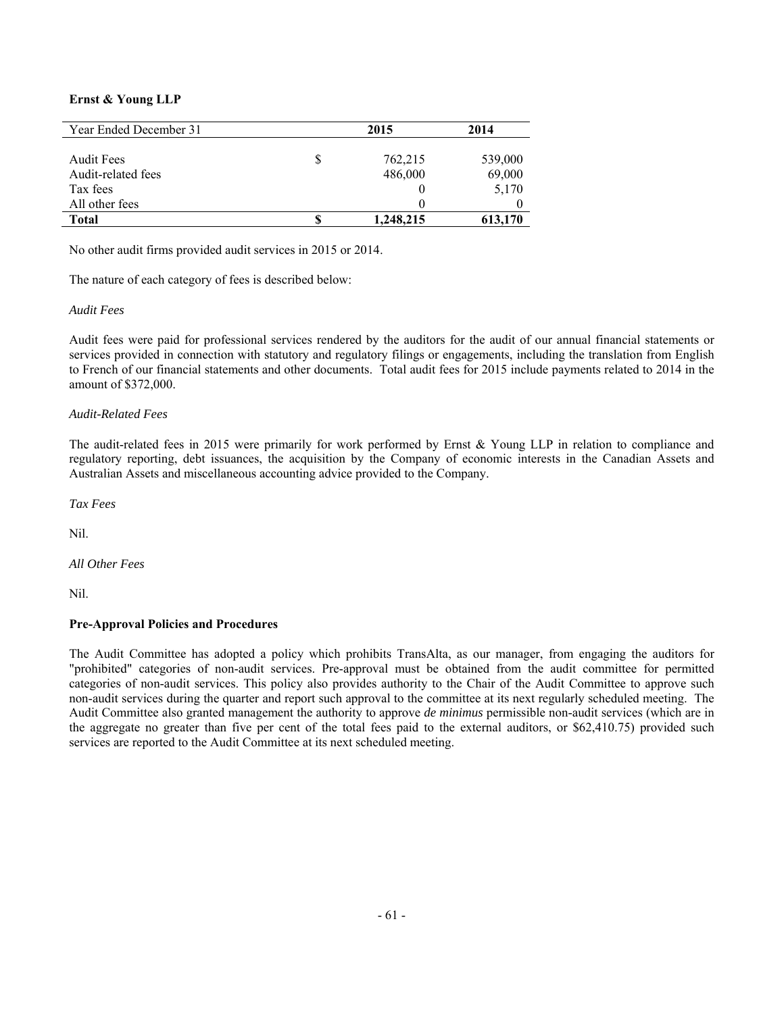# **Ernst & Young LLP**

| Year Ended December 31 | 2015      | 2014    |
|------------------------|-----------|---------|
|                        |           |         |
| <b>Audit Fees</b>      | 762,215   | 539,000 |
| Audit-related fees     | 486,000   | 69,000  |
| Tax fees               |           | 5,170   |
| All other fees         |           |         |
| Total                  | 1,248,215 | 613,170 |

No other audit firms provided audit services in 2015 or 2014.

The nature of each category of fees is described below:

# *Audit Fees*

Audit fees were paid for professional services rendered by the auditors for the audit of our annual financial statements or services provided in connection with statutory and regulatory filings or engagements, including the translation from English to French of our financial statements and other documents. Total audit fees for 2015 include payments related to 2014 in the amount of \$372,000.

# *Audit-Related Fees*

The audit-related fees in 2015 were primarily for work performed by Ernst & Young LLP in relation to compliance and regulatory reporting, debt issuances, the acquisition by the Company of economic interests in the Canadian Assets and Australian Assets and miscellaneous accounting advice provided to the Company.

*Tax Fees* 

Nil.

*All Other Fees* 

Nil.

# **Pre-Approval Policies and Procedures**

The Audit Committee has adopted a policy which prohibits TransAlta, as our manager, from engaging the auditors for "prohibited" categories of non-audit services. Pre-approval must be obtained from the audit committee for permitted categories of non-audit services. This policy also provides authority to the Chair of the Audit Committee to approve such non-audit services during the quarter and report such approval to the committee at its next regularly scheduled meeting. The Audit Committee also granted management the authority to approve *de minimus* permissible non-audit services (which are in the aggregate no greater than five per cent of the total fees paid to the external auditors, or \$62,410.75) provided such services are reported to the Audit Committee at its next scheduled meeting.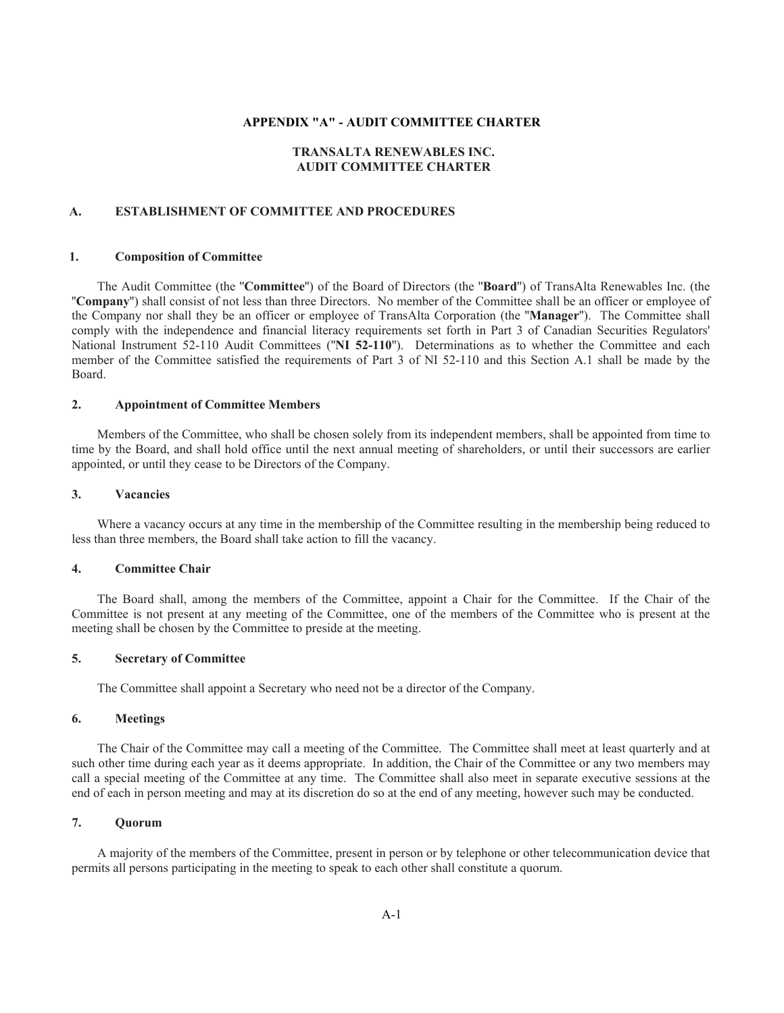## **APPENDIX "A" - AUDIT COMMITTEE CHARTER**

# **TRANSALTA RENEWABLES INC. AUDIT COMMITTEE CHARTER**

## **A. ESTABLISHMENT OF COMMITTEE AND PROCEDURES**

#### **1. Composition of Committee**

The Audit Committee (the ''**Committee**'') of the Board of Directors (the ''**Board**'') of TransAlta Renewables Inc. (the ''**Company**'') shall consist of not less than three Directors. No member of the Committee shall be an officer or employee of the Company nor shall they be an officer or employee of TransAlta Corporation (the ''**Manager**''). The Committee shall comply with the independence and financial literacy requirements set forth in Part 3 of Canadian Securities Regulators' National Instrument 52-110 Audit Committees ("**NI 52-110**"). Determinations as to whether the Committee and each member of the Committee satisfied the requirements of Part 3 of NI 52-110 and this Section A.1 shall be made by the Board.

#### **2. Appointment of Committee Members**

Members of the Committee, who shall be chosen solely from its independent members, shall be appointed from time to time by the Board, and shall hold office until the next annual meeting of shareholders, or until their successors are earlier appointed, or until they cease to be Directors of the Company.

## **3. Vacancies**

Where a vacancy occurs at any time in the membership of the Committee resulting in the membership being reduced to less than three members, the Board shall take action to fill the vacancy.

#### **4. Committee Chair**

The Board shall, among the members of the Committee, appoint a Chair for the Committee. If the Chair of the Committee is not present at any meeting of the Committee, one of the members of the Committee who is present at the meeting shall be chosen by the Committee to preside at the meeting.

#### **5. Secretary of Committee**

The Committee shall appoint a Secretary who need not be a director of the Company.

#### **6. Meetings**

The Chair of the Committee may call a meeting of the Committee. The Committee shall meet at least quarterly and at such other time during each year as it deems appropriate. In addition, the Chair of the Committee or any two members may call a special meeting of the Committee at any time. The Committee shall also meet in separate executive sessions at the end of each in person meeting and may at its discretion do so at the end of any meeting, however such may be conducted.

# **7. Quorum**

A majority of the members of the Committee, present in person or by telephone or other telecommunication device that permits all persons participating in the meeting to speak to each other shall constitute a quorum.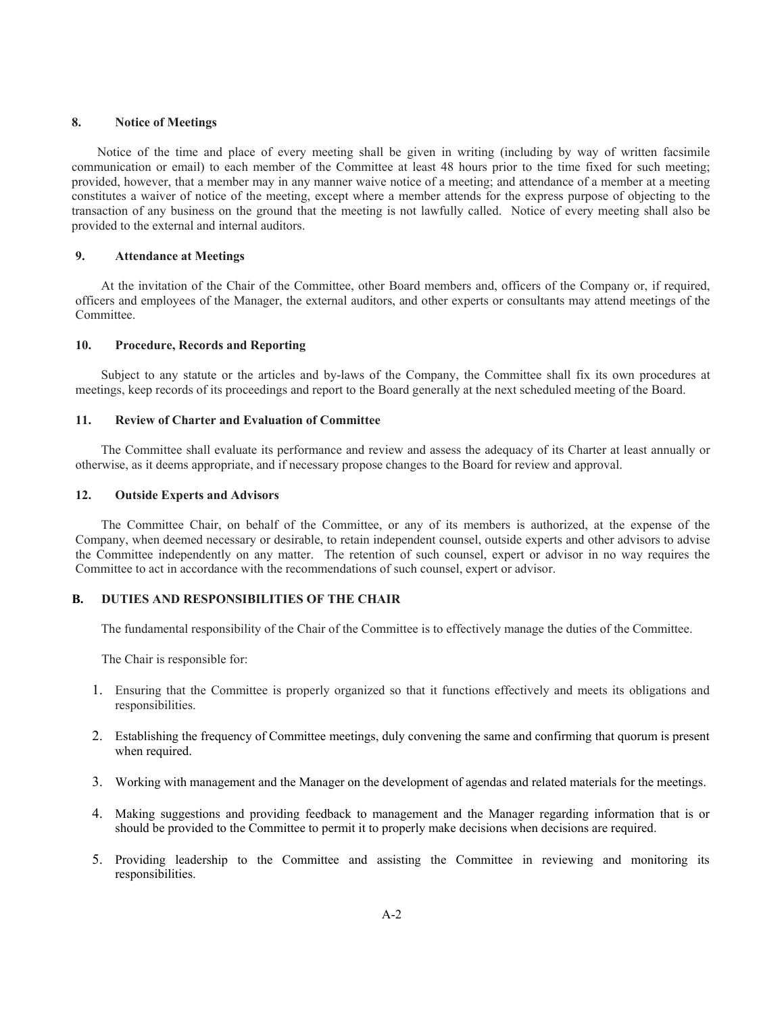#### **8. Notice of Meetings**

Notice of the time and place of every meeting shall be given in writing (including by way of written facsimile communication or email) to each member of the Committee at least 48 hours prior to the time fixed for such meeting; provided, however, that a member may in any manner waive notice of a meeting; and attendance of a member at a meeting constitutes a waiver of notice of the meeting, except where a member attends for the express purpose of objecting to the transaction of any business on the ground that the meeting is not lawfully called. Notice of every meeting shall also be provided to the external and internal auditors.

## **9. Attendance at Meetings**

At the invitation of the Chair of the Committee, other Board members and, officers of the Company or, if required, officers and employees of the Manager, the external auditors, and other experts or consultants may attend meetings of the **Committee** 

# **10. Procedure, Records and Reporting**

Subject to any statute or the articles and by-laws of the Company, the Committee shall fix its own procedures at meetings, keep records of its proceedings and report to the Board generally at the next scheduled meeting of the Board.

#### **11. Review of Charter and Evaluation of Committee**

The Committee shall evaluate its performance and review and assess the adequacy of its Charter at least annually or otherwise, as it deems appropriate, and if necessary propose changes to the Board for review and approval.

#### **12. Outside Experts and Advisors**

The Committee Chair, on behalf of the Committee, or any of its members is authorized, at the expense of the Company, when deemed necessary or desirable, to retain independent counsel, outside experts and other advisors to advise the Committee independently on any matter. The retention of such counsel, expert or advisor in no way requires the Committee to act in accordance with the recommendations of such counsel, expert or advisor.

## **B. DUTIES AND RESPONSIBILITIES OF THE CHAIR**

The fundamental responsibility of the Chair of the Committee is to effectively manage the duties of the Committee.

The Chair is responsible for:

- 1. Ensuring that the Committee is properly organized so that it functions effectively and meets its obligations and responsibilities.
- 2. Establishing the frequency of Committee meetings, duly convening the same and confirming that quorum is present when required.
- 3. Working with management and the Manager on the development of agendas and related materials for the meetings.
- 4. Making suggestions and providing feedback to management and the Manager regarding information that is or should be provided to the Committee to permit it to properly make decisions when decisions are required.
- 5. Providing leadership to the Committee and assisting the Committee in reviewing and monitoring its responsibilities.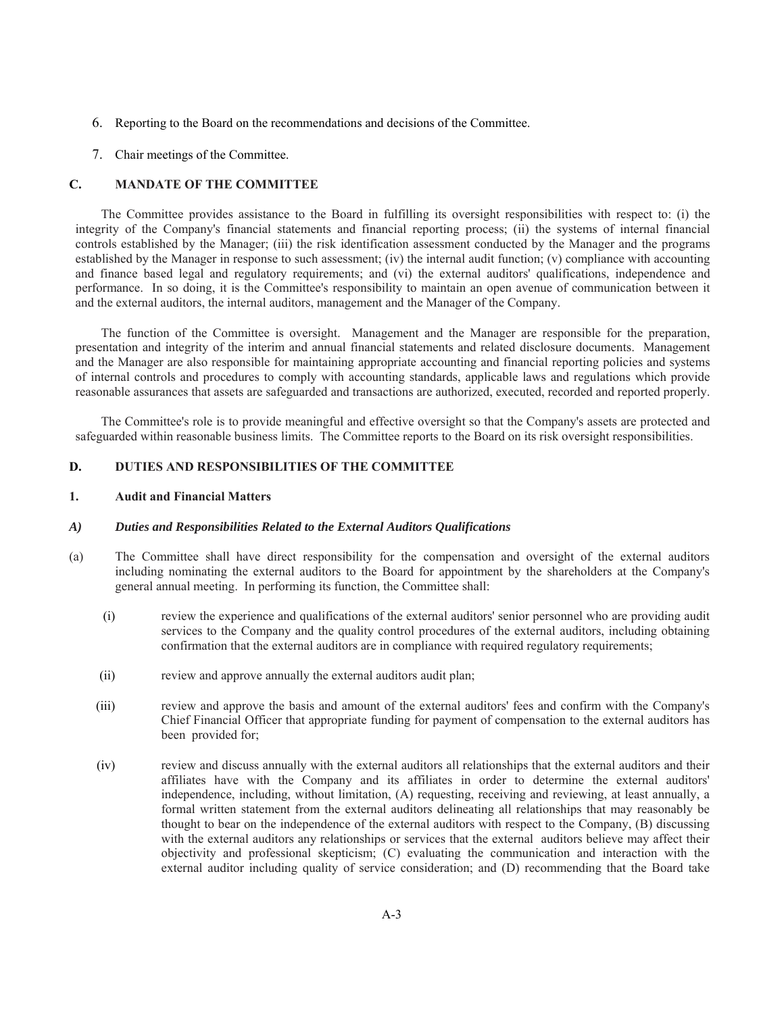- 6. Reporting to the Board on the recommendations and decisions of the Committee.
- 7. Chair meetings of the Committee.

## **C. MANDATE OF THE COMMITTEE**

The Committee provides assistance to the Board in fulfilling its oversight responsibilities with respect to: (i) the integrity of the Company's financial statements and financial reporting process; (ii) the systems of internal financial controls established by the Manager; (iii) the risk identification assessment conducted by the Manager and the programs established by the Manager in response to such assessment; (iv) the internal audit function; (v) compliance with accounting and finance based legal and regulatory requirements; and (vi) the external auditors' qualifications, independence and performance. In so doing, it is the Committee's responsibility to maintain an open avenue of communication between it and the external auditors, the internal auditors, management and the Manager of the Company.

The function of the Committee is oversight. Management and the Manager are responsible for the preparation, presentation and integrity of the interim and annual financial statements and related disclosure documents. Management and the Manager are also responsible for maintaining appropriate accounting and financial reporting policies and systems of internal controls and procedures to comply with accounting standards, applicable laws and regulations which provide reasonable assurances that assets are safeguarded and transactions are authorized, executed, recorded and reported properly.

The Committee's role is to provide meaningful and effective oversight so that the Company's assets are protected and safeguarded within reasonable business limits. The Committee reports to the Board on its risk oversight responsibilities.

## **D. DUTIES AND RESPONSIBILITIES OF THE COMMITTEE**

#### **1. Audit and Financial Matters**

## *A) Duties and Responsibilities Related to the External Auditors Qualifications*

- (a) The Committee shall have direct responsibility for the compensation and oversight of the external auditors including nominating the external auditors to the Board for appointment by the shareholders at the Company's general annual meeting. In performing its function, the Committee shall:
	- (i) review the experience and qualifications of the external auditors' senior personnel who are providing audit services to the Company and the quality control procedures of the external auditors, including obtaining confirmation that the external auditors are in compliance with required regulatory requirements;
	- (ii) review and approve annually the external auditors audit plan;
	- (iii) review and approve the basis and amount of the external auditors' fees and confirm with the Company's Chief Financial Officer that appropriate funding for payment of compensation to the external auditors has been provided for;
	- (iv) review and discuss annually with the external auditors all relationships that the external auditors and their affiliates have with the Company and its affiliates in order to determine the external auditors' independence, including, without limitation, (A) requesting, receiving and reviewing, at least annually, a formal written statement from the external auditors delineating all relationships that may reasonably be thought to bear on the independence of the external auditors with respect to the Company, (B) discussing with the external auditors any relationships or services that the external auditors believe may affect their objectivity and professional skepticism; (C) evaluating the communication and interaction with the external auditor including quality of service consideration; and (D) recommending that the Board take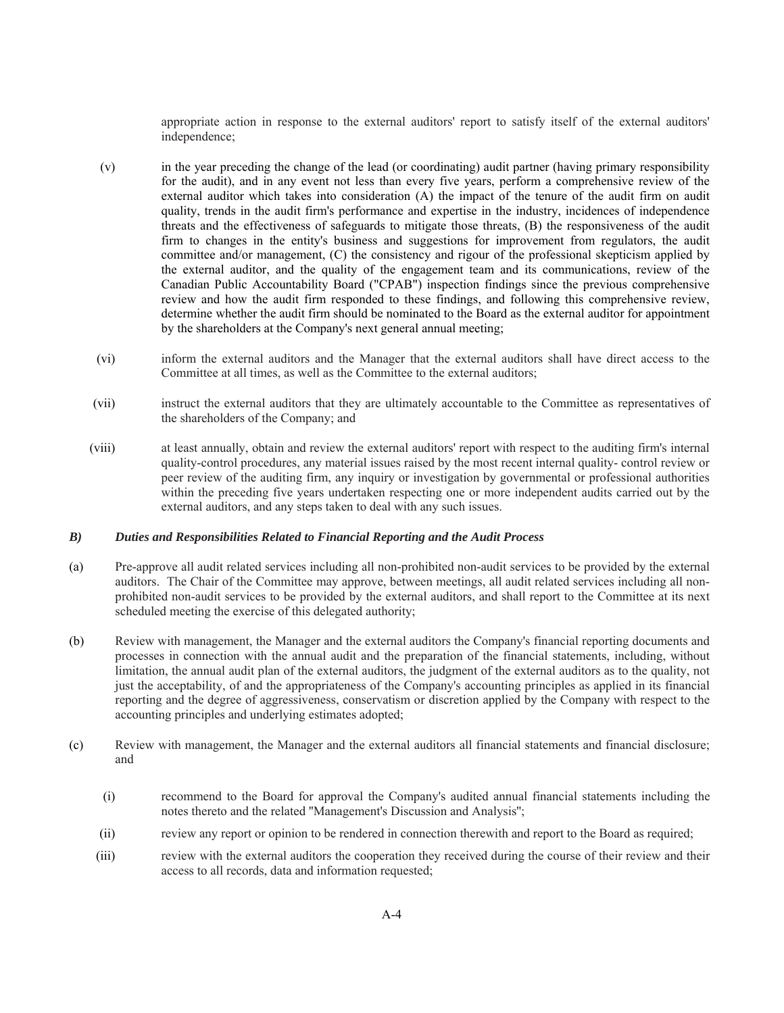appropriate action in response to the external auditors' report to satisfy itself of the external auditors' independence;

- (v) in the year preceding the change of the lead (or coordinating) audit partner (having primary responsibility for the audit), and in any event not less than every five years, perform a comprehensive review of the external auditor which takes into consideration (A) the impact of the tenure of the audit firm on audit quality, trends in the audit firm's performance and expertise in the industry, incidences of independence threats and the effectiveness of safeguards to mitigate those threats, (B) the responsiveness of the audit firm to changes in the entity's business and suggestions for improvement from regulators, the audit committee and/or management, (C) the consistency and rigour of the professional skepticism applied by the external auditor, and the quality of the engagement team and its communications, review of the Canadian Public Accountability Board ("CPAB") inspection findings since the previous comprehensive review and how the audit firm responded to these findings, and following this comprehensive review, determine whether the audit firm should be nominated to the Board as the external auditor for appointment by the shareholders at the Company's next general annual meeting;
- (vi) inform the external auditors and the Manager that the external auditors shall have direct access to the Committee at all times, as well as the Committee to the external auditors;
- (vii) instruct the external auditors that they are ultimately accountable to the Committee as representatives of the shareholders of the Company; and
- (viii) at least annually, obtain and review the external auditors' report with respect to the auditing firm's internal quality-control procedures, any material issues raised by the most recent internal quality- control review or peer review of the auditing firm, any inquiry or investigation by governmental or professional authorities within the preceding five years undertaken respecting one or more independent audits carried out by the external auditors, and any steps taken to deal with any such issues.

#### *B) Duties and Responsibilities Related to Financial Reporting and the Audit Process*

- (a) Pre-approve all audit related services including all non-prohibited non-audit services to be provided by the external auditors. The Chair of the Committee may approve, between meetings, all audit related services including all nonprohibited non-audit services to be provided by the external auditors, and shall report to the Committee at its next scheduled meeting the exercise of this delegated authority;
- (b) Review with management, the Manager and the external auditors the Company's financial reporting documents and processes in connection with the annual audit and the preparation of the financial statements, including, without limitation, the annual audit plan of the external auditors, the judgment of the external auditors as to the quality, not just the acceptability, of and the appropriateness of the Company's accounting principles as applied in its financial reporting and the degree of aggressiveness, conservatism or discretion applied by the Company with respect to the accounting principles and underlying estimates adopted;
- (c) Review with management, the Manager and the external auditors all financial statements and financial disclosure; and
	- (i) recommend to the Board for approval the Company's audited annual financial statements including the notes thereto and the related ''Management's Discussion and Analysis'';
	- (ii) review any report or opinion to be rendered in connection therewith and report to the Board as required;
	- (iii) review with the external auditors the cooperation they received during the course of their review and their access to all records, data and information requested;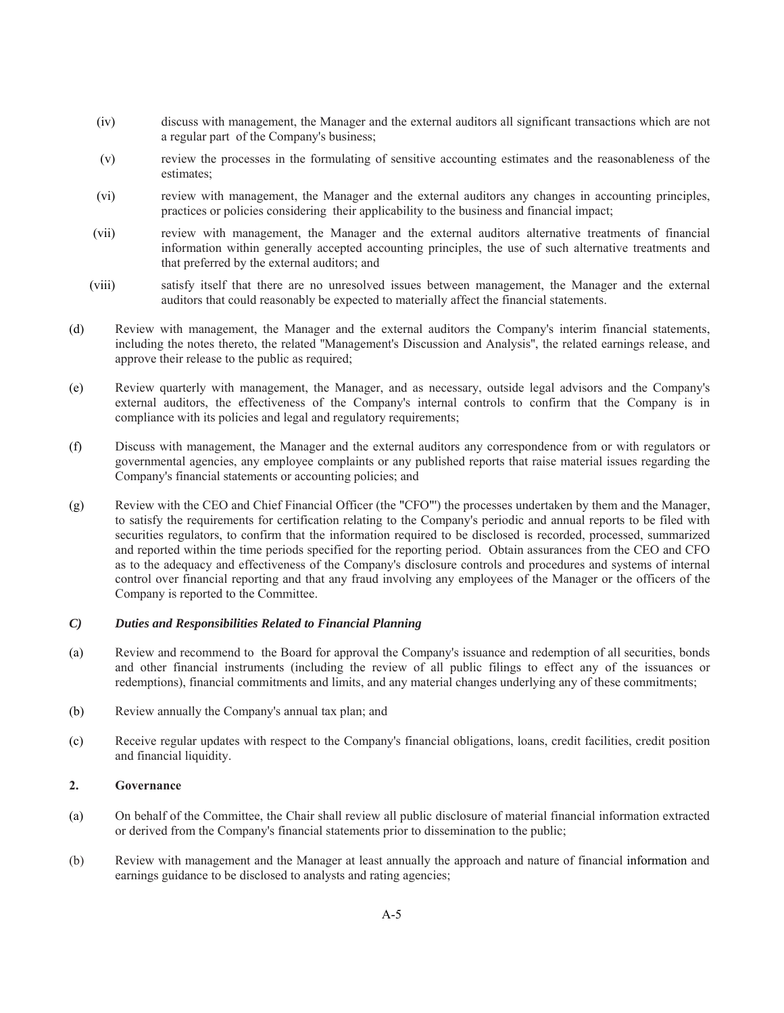- (iv) discuss with management, the Manager and the external auditors all significant transactions which are not a regular part of the Company's business;
- (v) review the processes in the formulating of sensitive accounting estimates and the reasonableness of the estimates;
- (vi) review with management, the Manager and the external auditors any changes in accounting principles, practices or policies considering their applicability to the business and financial impact;
- (vii) review with management, the Manager and the external auditors alternative treatments of financial information within generally accepted accounting principles, the use of such alternative treatments and that preferred by the external auditors; and
- (viii) satisfy itself that there are no unresolved issues between management, the Manager and the external auditors that could reasonably be expected to materially affect the financial statements.
- (d) Review with management, the Manager and the external auditors the Company's interim financial statements, including the notes thereto, the related ''Management's Discussion and Analysis'', the related earnings release, and approve their release to the public as required;
- (e) Review quarterly with management, the Manager, and as necessary, outside legal advisors and the Company's external auditors, the effectiveness of the Company's internal controls to confirm that the Company is in compliance with its policies and legal and regulatory requirements;
- (f) Discuss with management, the Manager and the external auditors any correspondence from or with regulators or governmental agencies, any employee complaints or any published reports that raise material issues regarding the Company's financial statements or accounting policies; and
- (g) Review with the CEO and Chief Financial Officer (the "CFO"') the processes undertaken by them and the Manager, to satisfy the requirements for certification relating to the Company's periodic and annual reports to be filed with securities regulators, to confirm that the information required to be disclosed is recorded, processed, summarized and reported within the time periods specified for the reporting period. Obtain assurances from the CEO and CFO as to the adequacy and effectiveness of the Company's disclosure controls and procedures and systems of internal control over financial reporting and that any fraud involving any employees of the Manager or the officers of the Company is reported to the Committee.

## *C) Duties and Responsibilities Related to Financial Planning*

- (a) Review and recommend to the Board for approval the Company's issuance and redemption of all securities, bonds and other financial instruments (including the review of all public filings to effect any of the issuances or redemptions), financial commitments and limits, and any material changes underlying any of these commitments;
- (b) Review annually the Company's annual tax plan; and
- (c) Receive regular updates with respect to the Company's financial obligations, loans, credit facilities, credit position and financial liquidity.

## **2. Governance**

- (a) On behalf of the Committee, the Chair shall review all public disclosure of material financial information extracted or derived from the Company's financial statements prior to dissemination to the public;
- (b) Review with management and the Manager at least annually the approach and nature of financial information and earnings guidance to be disclosed to analysts and rating agencies;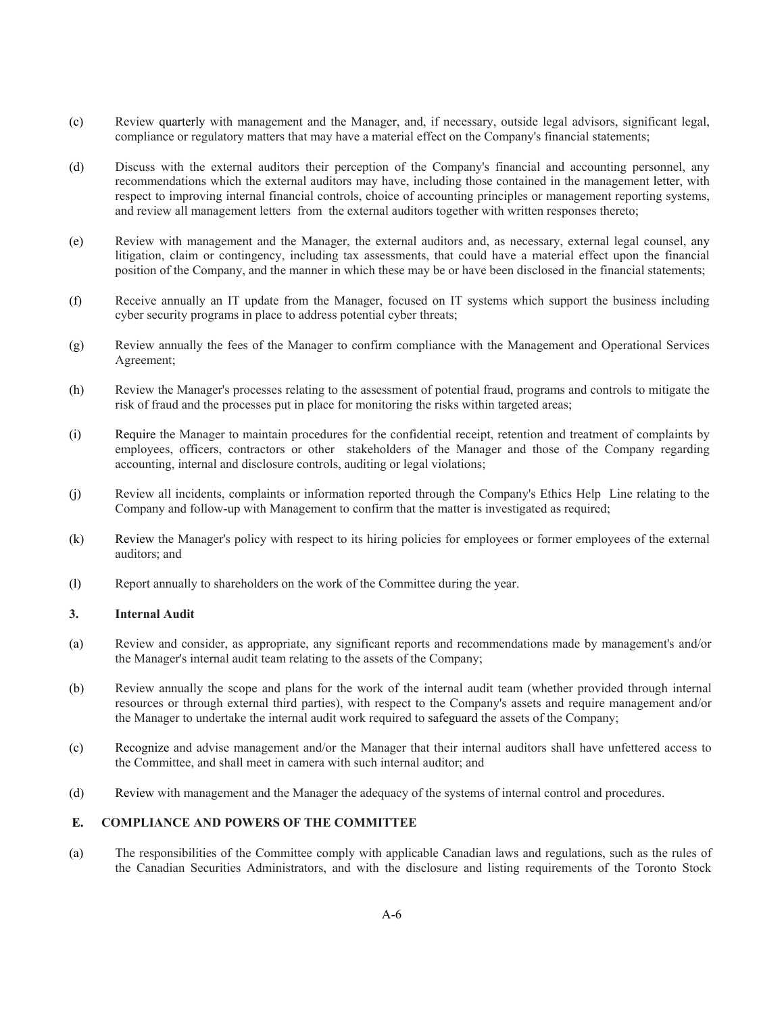- (c) Review quarterly with management and the Manager, and, if necessary, outside legal advisors, significant legal, compliance or regulatory matters that may have a material effect on the Company's financial statements;
- (d) Discuss with the external auditors their perception of the Company's financial and accounting personnel, any recommendations which the external auditors may have, including those contained in the management letter, with respect to improving internal financial controls, choice of accounting principles or management reporting systems, and review all management letters from the external auditors together with written responses thereto;
- (e) Review with management and the Manager, the external auditors and, as necessary, external legal counsel, any litigation, claim or contingency, including tax assessments, that could have a material effect upon the financial position of the Company, and the manner in which these may be or have been disclosed in the financial statements;
- (f) Receive annually an IT update from the Manager, focused on IT systems which support the business including cyber security programs in place to address potential cyber threats;
- (g) Review annually the fees of the Manager to confirm compliance with the Management and Operational Services Agreement;
- (h) Review the Manager's processes relating to the assessment of potential fraud, programs and controls to mitigate the risk of fraud and the processes put in place for monitoring the risks within targeted areas;
- (i) Require the Manager to maintain procedures for the confidential receipt, retention and treatment of complaints by employees, officers, contractors or other stakeholders of the Manager and those of the Company regarding accounting, internal and disclosure controls, auditing or legal violations;
- (j) Review all incidents, complaints or information reported through the Company's Ethics Help Line relating to the Company and follow-up with Management to confirm that the matter is investigated as required;
- (k) Review the Manager's policy with respect to its hiring policies for employees or former employees of the external auditors; and
- (l) Report annually to shareholders on the work of the Committee during the year.

# **3. Internal Audit**

- (a) Review and consider, as appropriate, any significant reports and recommendations made by management's and/or the Manager's internal audit team relating to the assets of the Company;
- (b) Review annually the scope and plans for the work of the internal audit team (whether provided through internal resources or through external third parties), with respect to the Company's assets and require management and/or the Manager to undertake the internal audit work required to safeguard the assets of the Company;
- (c) Recognize and advise management and/or the Manager that their internal auditors shall have unfettered access to the Committee, and shall meet in camera with such internal auditor; and
- (d) Review with management and the Manager the adequacy of the systems of internal control and procedures.

# **E. COMPLIANCE AND POWERS OF THE COMMITTEE**

(a) The responsibilities of the Committee comply with applicable Canadian laws and regulations, such as the rules of the Canadian Securities Administrators, and with the disclosure and listing requirements of the Toronto Stock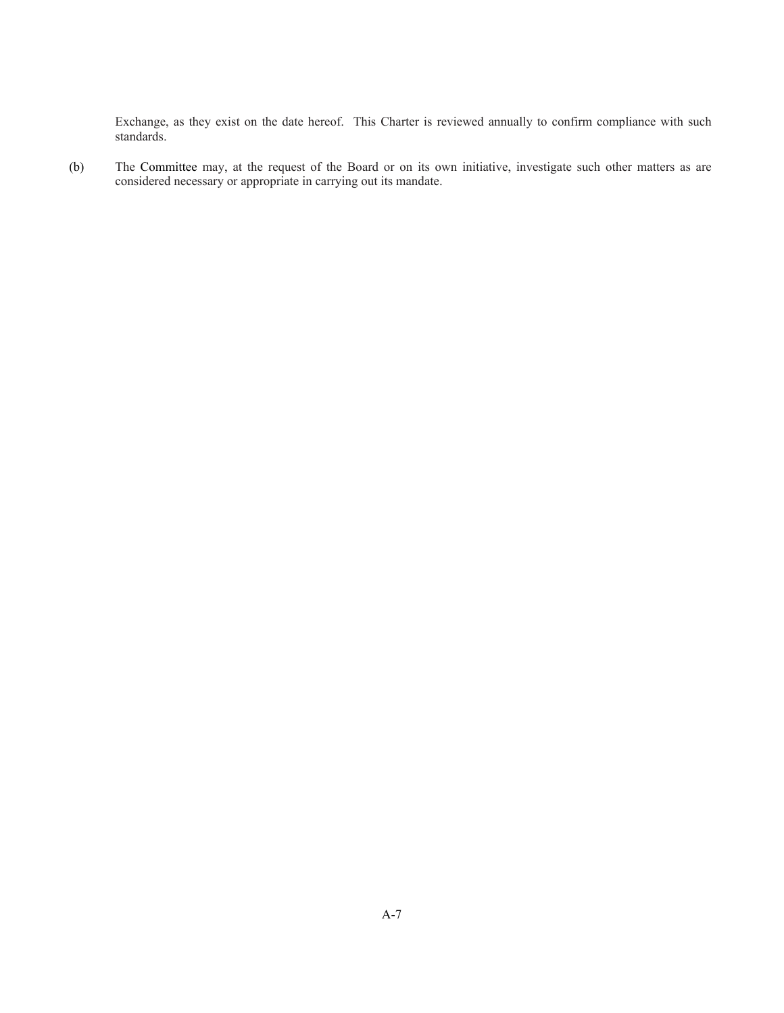Exchange, as they exist on the date hereof. This Charter is reviewed annually to confirm compliance with such standards.

(b) The Committee may, at the request of the Board or on its own initiative, investigate such other matters as are considered necessary or appropriate in carrying out its mandate.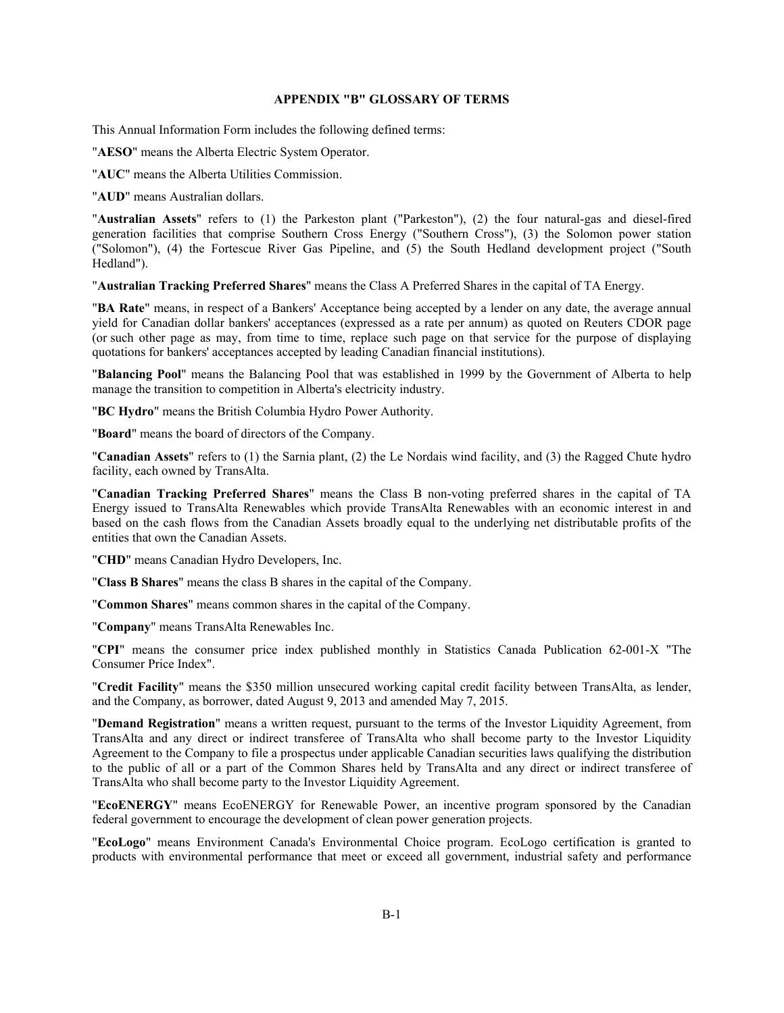## **APPENDIX "B" GLOSSARY OF TERMS**

This Annual Information Form includes the following defined terms:

"**AESO**" means the Alberta Electric System Operator.

"**AUC**" means the Alberta Utilities Commission.

"**AUD**" means Australian dollars.

"**Australian Assets**" refers to (1) the Parkeston plant ("Parkeston"), (2) the four natural-gas and diesel-fired generation facilities that comprise Southern Cross Energy ("Southern Cross"), (3) the Solomon power station ("Solomon"), (4) the Fortescue River Gas Pipeline, and (5) the South Hedland development project ("South Hedland").

"**Australian Tracking Preferred Shares**" means the Class A Preferred Shares in the capital of TA Energy.

"**BA Rate**" means, in respect of a Bankers' Acceptance being accepted by a lender on any date, the average annual yield for Canadian dollar bankers' acceptances (expressed as a rate per annum) as quoted on Reuters CDOR page (or such other page as may, from time to time, replace such page on that service for the purpose of displaying quotations for bankers' acceptances accepted by leading Canadian financial institutions).

"**Balancing Pool**" means the Balancing Pool that was established in 1999 by the Government of Alberta to help manage the transition to competition in Alberta's electricity industry.

"**BC Hydro**" means the British Columbia Hydro Power Authority.

"**Board**" means the board of directors of the Company.

"**Canadian Assets**" refers to (1) the Sarnia plant, (2) the Le Nordais wind facility, and (3) the Ragged Chute hydro facility, each owned by TransAlta.

"**Canadian Tracking Preferred Shares**" means the Class B non-voting preferred shares in the capital of TA Energy issued to TransAlta Renewables which provide TransAlta Renewables with an economic interest in and based on the cash flows from the Canadian Assets broadly equal to the underlying net distributable profits of the entities that own the Canadian Assets.

"**CHD**" means Canadian Hydro Developers, Inc.

"**Class B Shares**" means the class B shares in the capital of the Company.

"**Common Shares**" means common shares in the capital of the Company.

"**Company**" means TransAlta Renewables Inc.

"**CPI**" means the consumer price index published monthly in Statistics Canada Publication 62-001-X "The Consumer Price Index".

"**Credit Facility**" means the \$350 million unsecured working capital credit facility between TransAlta, as lender, and the Company, as borrower, dated August 9, 2013 and amended May 7, 2015.

"**Demand Registration**" means a written request, pursuant to the terms of the Investor Liquidity Agreement, from TransAlta and any direct or indirect transferee of TransAlta who shall become party to the Investor Liquidity Agreement to the Company to file a prospectus under applicable Canadian securities laws qualifying the distribution to the public of all or a part of the Common Shares held by TransAlta and any direct or indirect transferee of TransAlta who shall become party to the Investor Liquidity Agreement.

"**EcoENERGY**" means EcoENERGY for Renewable Power, an incentive program sponsored by the Canadian federal government to encourage the development of clean power generation projects.

"**EcoLogo**" means Environment Canada's Environmental Choice program. EcoLogo certification is granted to products with environmental performance that meet or exceed all government, industrial safety and performance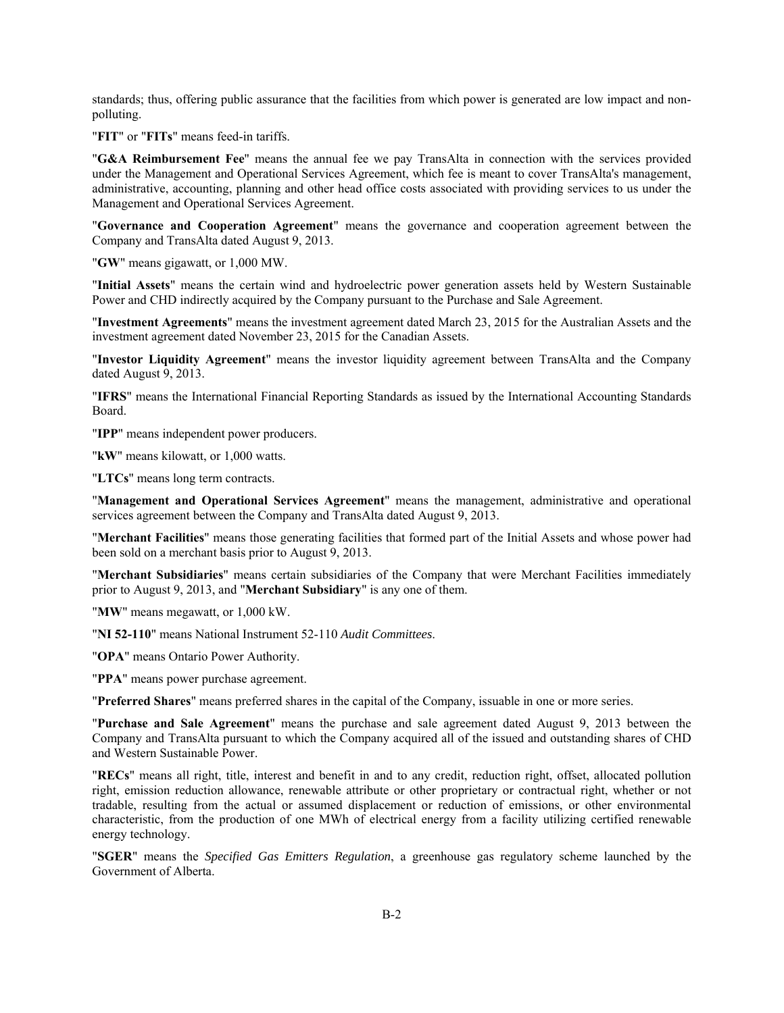standards; thus, offering public assurance that the facilities from which power is generated are low impact and nonpolluting.

"**FIT**" or "**FITs**" means feed-in tariffs.

"**G&A Reimbursement Fee**" means the annual fee we pay TransAlta in connection with the services provided under the Management and Operational Services Agreement, which fee is meant to cover TransAlta's management, administrative, accounting, planning and other head office costs associated with providing services to us under the Management and Operational Services Agreement.

"**Governance and Cooperation Agreement**" means the governance and cooperation agreement between the Company and TransAlta dated August 9, 2013.

"**GW**" means gigawatt, or 1,000 MW.

"**Initial Assets**" means the certain wind and hydroelectric power generation assets held by Western Sustainable Power and CHD indirectly acquired by the Company pursuant to the Purchase and Sale Agreement.

"**Investment Agreements**" means the investment agreement dated March 23, 2015 for the Australian Assets and the investment agreement dated November 23, 2015 for the Canadian Assets.

"**Investor Liquidity Agreement**" means the investor liquidity agreement between TransAlta and the Company dated August 9, 2013.

"**IFRS**" means the International Financial Reporting Standards as issued by the International Accounting Standards Board.

"**IPP**" means independent power producers.

"**kW**" means kilowatt, or 1,000 watts.

"**LTCs**" means long term contracts.

"**Management and Operational Services Agreement**" means the management, administrative and operational services agreement between the Company and TransAlta dated August 9, 2013.

"**Merchant Facilities**" means those generating facilities that formed part of the Initial Assets and whose power had been sold on a merchant basis prior to August 9, 2013.

"**Merchant Subsidiaries**" means certain subsidiaries of the Company that were Merchant Facilities immediately prior to August 9, 2013, and "**Merchant Subsidiary**" is any one of them.

"**MW**" means megawatt, or 1,000 kW.

"**NI 52-110**" means National Instrument 52-110 *Audit Committees*.

"**OPA**" means Ontario Power Authority.

"**PPA**" means power purchase agreement.

"**Preferred Shares**" means preferred shares in the capital of the Company, issuable in one or more series.

"**Purchase and Sale Agreement**" means the purchase and sale agreement dated August 9, 2013 between the Company and TransAlta pursuant to which the Company acquired all of the issued and outstanding shares of CHD and Western Sustainable Power.

"**RECs**" means all right, title, interest and benefit in and to any credit, reduction right, offset, allocated pollution right, emission reduction allowance, renewable attribute or other proprietary or contractual right, whether or not tradable, resulting from the actual or assumed displacement or reduction of emissions, or other environmental characteristic, from the production of one MWh of electrical energy from a facility utilizing certified renewable energy technology.

"**SGER**" means the *Specified Gas Emitters Regulation*, a greenhouse gas regulatory scheme launched by the Government of Alberta.